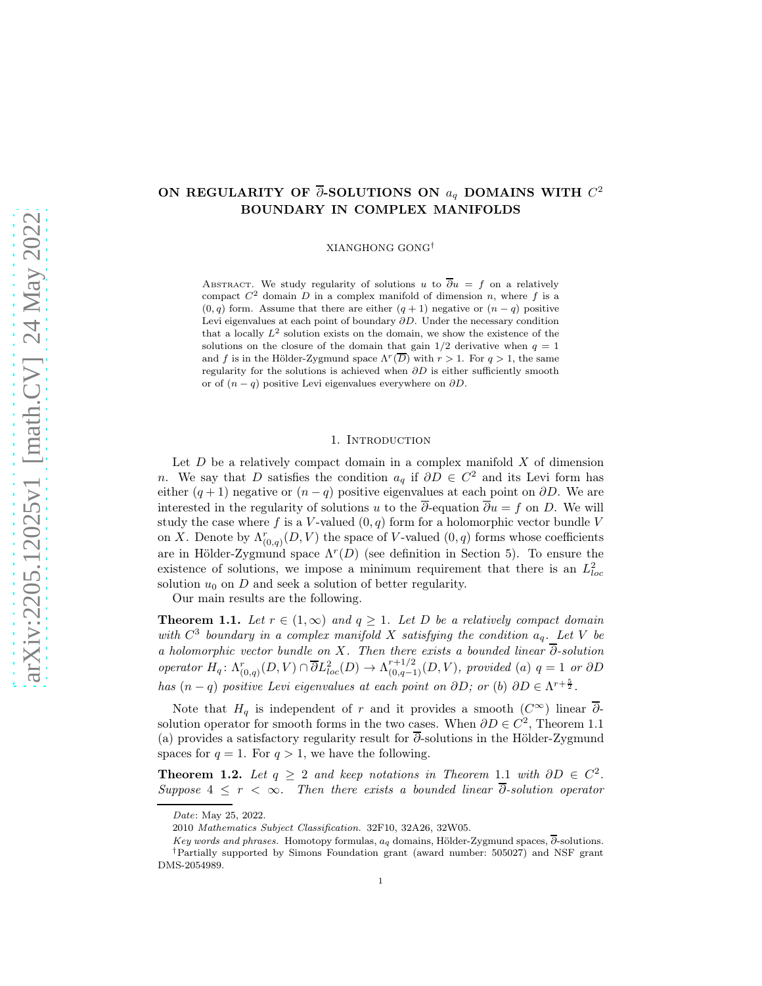# ON REGULARITY OF  $\overline{\partial}$ -SOLUTIONS ON  $a_q$  DOMAINS WITH  $C^2$ BOUNDARY IN COMPLEX MANIFOLDS

XIANGHONG GONG†

ABSTRACT. We study regularity of solutions u to  $\overline{\partial}u = f$  on a relatively compact  $C^2$  domain D in a complex manifold of dimension n, where f is a  $(0, q)$  form. Assume that there are either  $(q + 1)$  negative or  $(n - q)$  positive Levi eigenvalues at each point of boundary ∂D. Under the necessary condition that a locally  $L^2$  solution exists on the domain, we show the existence of the solutions on the closure of the domain that gain  $1/2$  derivative when  $q = 1$ and f is in the Hölder-Zygmund space  $\Lambda^r(\overline{D})$  with  $r > 1$ . For  $q > 1$ , the same regularity for the solutions is achieved when ∂D is either sufficiently smooth or of  $(n - q)$  positive Levi eigenvalues everywhere on  $\partial D$ .

### 1. INTRODUCTION

Let  $D$  be a relatively compact domain in a complex manifold  $X$  of dimension n. We say that D satisfies the condition  $a_q$  if  $\partial D \in C^2$  and its Levi form has either  $(q + 1)$  negative or  $(n - q)$  positive eigenvalues at each point on  $\partial D$ . We are interested in the regularity of solutions u to the  $\overline{\partial}$ -equation  $\overline{\partial}u = f$  on D. We will study the case where f is a V-valued  $(0, q)$  form for a holomorphic vector bundle V on X. Denote by  $\Lambda_{(0,q)}^r(D, V)$  the space of V-valued  $(0, q)$  forms whose coefficients are in Hölder-Zygmund space  $\Lambda^r(D)$  (see definition in Section [5\)](#page-15-0). To ensure the existence of solutions, we impose a minimum requirement that there is an  $L^2_{loc}$ solution  $u_0$  on  $D$  and seek a solution of better regularity.

Our main results are the following.

<span id="page-0-0"></span>**Theorem 1.1.** Let  $r \in (1,\infty)$  and  $q \geq 1$ . Let D be a relatively compact domain with  $C^3$  boundary in a complex manifold X satisfying the condition  $a_q$ . Let V be a holomorphic vector bundle on X. Then there exists a bounded linear ∂-solution operator  $H_q: \Lambda_{(0,q)}^r(D, V) \cap \overline{\partial} L_{loc}^2(D) \to \Lambda_{(0,q-1)}^{r+1/2}(D, V)$ , provided (a)  $q = 1$  or  $\partial D$ has  $(n - q)$  positive Levi eigenvalues at each point on  $\partial D$ ; or (b)  $\partial D \in \Lambda^{r + \frac{5}{2}}$ .

Note that  $H_q$  is independent of r and it provides a smooth  $(C^{\infty})$  linear  $\overline{\partial}$ solution operator for smooth forms in the two cases. When  $\partial D \in C^2$ , Theorem [1.1](#page-0-0) (a) provides a satisfactory regularity result for  $\overline{\partial}$ -solutions in the Hölder-Zygmund spaces for  $q = 1$ . For  $q > 1$ , we have the following.

<span id="page-0-1"></span>**Theorem [1](#page-0-0).2.** Let  $q \geq 2$  and keep notations in Theorem 1.1 with  $\partial D \in C^2$ . Suppose  $4 \leq r < \infty$ . Then there exists a bounded linear  $\overline{\partial}$ -solution operator

Date: May 25, 2022.

<sup>2010</sup> Mathematics Subject Classification. 32F10, 32A26, 32W05.

Key words and phrases. Homotopy formulas,  $a_q$  domains, Hölder-Zygmund spaces,  $\overline{\partial}$ -solutions. †Partially supported by Simons Foundation grant (award number: 505027) and NSF grant DMS-2054989.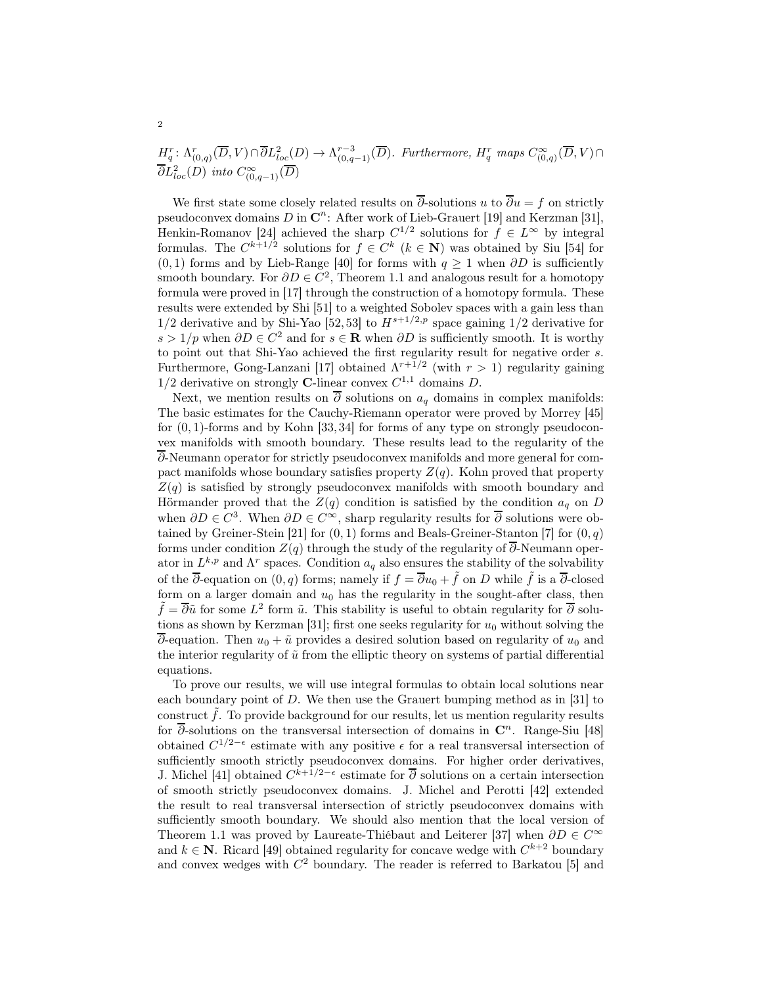$H_q^r: \Lambda_{(0,q)}^r(\overline{D}, V) \cap \overline{\partial} L_{loc}^2(D) \to \Lambda_{(0,q-1)}^{r-3}(\overline{D}).$  Furthermore,  $H_q^r$  maps  $C_{(0,q)}^{\infty}(\overline{D}, V) \cap$  $\overline{\partial}L^2_{loc}(D)$  into  $C^\infty_{(0,q-1)}(\overline{D})$ 

We first state some closely related results on  $\overline{\partial}$ -solutions u to  $\overline{\partial}u = f$  on strictly pseudoconvex domains D in  $\mathbb{C}^n$ : After work of Lieb-Grauert [\[19\]](#page-43-0) and Kerzman [\[31\]](#page-43-1), Henkin-Romanov [\[24\]](#page-43-2) achieved the sharp  $C^{1/2}$  solutions for  $f \in L^{\infty}$  by integral formulas. The  $C^{k+1/2}$  solutions for  $f \in C^k$   $(k \in \mathbb{N})$  was obtained by Siu [\[54\]](#page-44-0) for  $(0, 1)$  forms and by Lieb-Range [\[40\]](#page-43-3) for forms with  $q \ge 1$  when  $\partial D$  is sufficiently smooth boundary. For  $\partial D \in C^2$ , Theorem [1.1](#page-0-0) and analogous result for a homotopy formula were proved in [\[17\]](#page-43-4) through the construction of a homotopy formula. These results were extended by Shi [\[51\]](#page-44-1) to a weighted Sobolev spaces with a gain less than 1/2 derivative and by Shi-Yao [52, 53] to  $H^{s+1/2,p}$  space gaining 1/2 derivative for  $s > 1/p$  when  $\partial D \in C^2$  and for  $s \in \mathbb{R}$  when  $\partial D$  is sufficiently smooth. It is worthy to point out that Shi-Yao achieved the first regularity result for negative order s. Furthermore, Gong-Lanzani [\[17\]](#page-43-4) obtained  $\Lambda^{r+1/2}$  (with  $r > 1$ ) regularity gaining  $1/2$  derivative on strongly **C**-linear convex  $C^{1,1}$  domains D.

Next, we mention results on  $\overline{\partial}$  solutions on  $a_q$  domains in complex manifolds: The basic estimates for the Cauchy-Riemann operator were proved by Morrey [\[45\]](#page-44-2) for  $(0, 1)$ -forms and by Kohn [\[33,](#page-43-5) [34\]](#page-43-6) for forms of any type on strongly pseudoconvex manifolds with smooth boundary. These results lead to the regularity of the ∂-Neumann operator for strictly pseudoconvex manifolds and more general for compact manifolds whose boundary satisfies property  $Z(q)$ . Kohn proved that property  $Z(q)$  is satisfied by strongly pseudoconvex manifolds with smooth boundary and Hörmander proved that the  $Z(q)$  condition is satisfied by the condition  $a_q$  on D when  $\partial D \in C^3$ . When  $\partial D \in C^\infty$ , sharp regularity results for  $\overline{\partial}$  solutions were ob-tained by Greiner-Stein [\[21\]](#page-43-7) for  $(0, 1)$  forms and Beals-Greiner-Stanton [\[7\]](#page-42-0) for  $(0, q)$ forms under condition  $Z(q)$  through the study of the regularity of  $\overline{\partial}$ -Neumann operator in  $L^{k,p}$  and  $\Lambda^r$  spaces. Condition  $a_q$  also ensures the stability of the solvability of the  $\overline{\partial}$ -equation on  $(0, q)$  forms; namely if  $f = \overline{\partial}u_0 + \tilde{f}$  on D while  $\tilde{f}$  is a  $\overline{\partial}$ -closed form on a larger domain and  $u_0$  has the regularity in the sought-after class, then  $\tilde{f} = \overline{\partial}\tilde{u}$  for some  $L^2$  form  $\tilde{u}$ . This stability is useful to obtain regularity for  $\overline{\partial}$  solu-tions as shown by Kerzman [\[31\]](#page-43-1); first one seeks regularity for  $u_0$  without solving the  $\overline{\partial}$ -equation. Then  $u_0 + \tilde{u}$  provides a desired solution based on regularity of  $u_0$  and the interior regularity of  $\tilde{u}$  from the elliptic theory on systems of partial differential equations.

To prove our results, we will use integral formulas to obtain local solutions near each boundary point of D. We then use the Grauert bumping method as in [\[31\]](#page-43-1) to construct  $\hat{f}$ . To provide background for our results, let us mention regularity results for  $\overline{\partial}$ -solutions on the transversal intersection of domains in  $\mathbb{C}^n$ . Range-Siu [\[48\]](#page-44-3) obtained  $C^{1/2-\epsilon}$  estimate with any positive  $\epsilon$  for a real transversal intersection of sufficiently smooth strictly pseudoconvex domains. For higher order derivatives, J. Michel [\[41\]](#page-44-4) obtained  $C^{k+1/2-\epsilon}$  estimate for  $\overline{\partial}$  solutions on a certain intersection of smooth strictly pseudoconvex domains. J. Michel and Perotti [\[42\]](#page-44-5) extended the result to real transversal intersection of strictly pseudoconvex domains with sufficiently smooth boundary. We should also mention that the local version of Theorem [1.1](#page-0-0) was proved by Laureate-Thiébaut and Leiterer [\[37\]](#page-43-8) when ∂D ∈ C<sup>∞</sup> and  $k \in \mathbb{N}$ . Ricard [\[49\]](#page-44-6) obtained regularity for concave wedge with  $C^{k+2}$  boundary and convex wedges with  $C^2$  boundary. The reader is referred to Barkatou [\[5\]](#page-42-1) and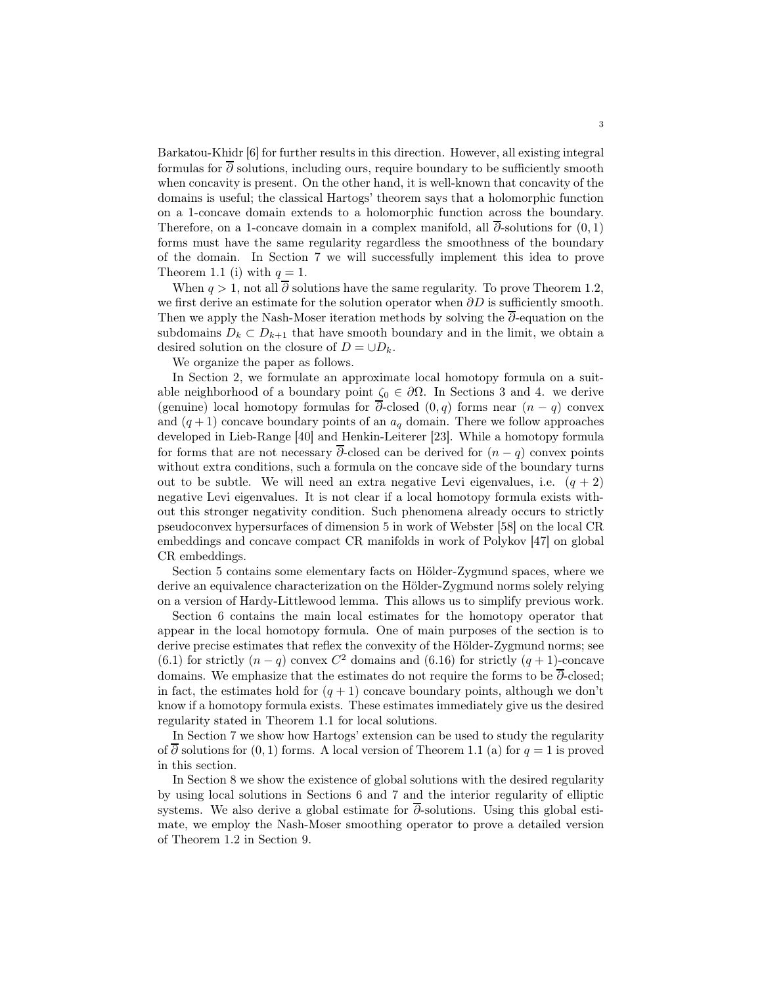Barkatou-Khidr [\[6\]](#page-42-2) for further results in this direction. However, all existing integral formulas for  $\overline{\partial}$  solutions, including ours, require boundary to be sufficiently smooth when concavity is present. On the other hand, it is well-known that concavity of the domains is useful; the classical Hartogs' theorem says that a holomorphic function on a 1-concave domain extends to a holomorphic function across the boundary. Therefore, on a 1-concave domain in a complex manifold, all  $\overline{\partial}$ -solutions for  $(0,1)$ forms must have the same regularity regardless the smoothness of the boundary of the domain. In Section 7 we will successfully implement this idea to prove Theorem [1.1](#page-0-0) (i) with  $q = 1$ .

When  $q > 1$ , not all  $\overline{\partial}$  solutions have the same regularity. To prove Theorem [1.2,](#page-0-1) we first derive an estimate for the solution operator when  $\partial D$  is sufficiently smooth. Then we apply the Nash-Moser iteration methods by solving the  $\overline{\partial}$ -equation on the subdomains  $D_k \subset D_{k+1}$  that have smooth boundary and in the limit, we obtain a desired solution on the closure of  $D = \cup D_k$ .

We organize the paper as follows.

In Section 2, we formulate an approximate local homotopy formula on a suitable neighborhood of a boundary point  $\zeta_0 \in \partial \Omega$ . In Sections 3 and 4. we derive (genuine) local homotopy formulas for  $\overline{\partial}$ -closed  $(0, q)$  forms near  $(n - q)$  convex and  $(q+1)$  concave boundary points of an  $a_q$  domain. There we follow approaches developed in Lieb-Range [\[40\]](#page-43-3) and Henkin-Leiterer [\[23\]](#page-43-9). While a homotopy formula for forms that are not necessary  $\overline{\partial}$ -closed can be derived for  $(n - q)$  convex points without extra conditions, such a formula on the concave side of the boundary turns out to be subtle. We will need an extra negative Levi eigenvalues, i.e.  $(q + 2)$ negative Levi eigenvalues. It is not clear if a local homotopy formula exists without this stronger negativity condition. Such phenomena already occurs to strictly pseudoconvex hypersurfaces of dimension 5 in work of Webster [\[58\]](#page-44-7) on the local CR embeddings and concave compact CR manifolds in work of Polykov [\[47\]](#page-44-8) on global CR embeddings.

Section 5 contains some elementary facts on Hölder-Zygmund spaces, where we derive an equivalence characterization on the Hölder-Zygmund norms solely relying on a version of Hardy-Littlewood lemma. This allows us to simplify previous work.

Section 6 contains the main local estimates for the homotopy operator that appear in the local homotopy formula. One of main purposes of the section is to derive precise estimates that reflex the convexity of the Hölder-Zygmund norms; see [\(6.1\)](#page-16-0) for strictly  $(n - q)$  convex  $C^2$  domains and [\(6.16\)](#page-19-0) for strictly  $(q + 1)$ -concave domains. We emphasize that the estimates do not require the forms to be  $\overline{\partial}$ -closed; in fact, the estimates hold for  $(q + 1)$  concave boundary points, although we don't know if a homotopy formula exists. These estimates immediately give us the desired regularity stated in Theorem [1.1](#page-0-0) for local solutions.

In Section 7 we show how Hartogs' extension can be used to study the regularity of  $\overline{\partial}$  solutions for  $(0, 1)$  forms. A local version of Theorem [1.1](#page-0-0) (a) for  $q = 1$  is proved in this section.

In Section 8 we show the existence of global solutions with the desired regularity by using local solutions in Sections 6 and 7 and the interior regularity of elliptic systems. We also derive a global estimate for ∂-solutions. Using this global estimate, we employ the Nash-Moser smoothing operator to prove a detailed version of Theorem [1.2](#page-0-1) in Section 9.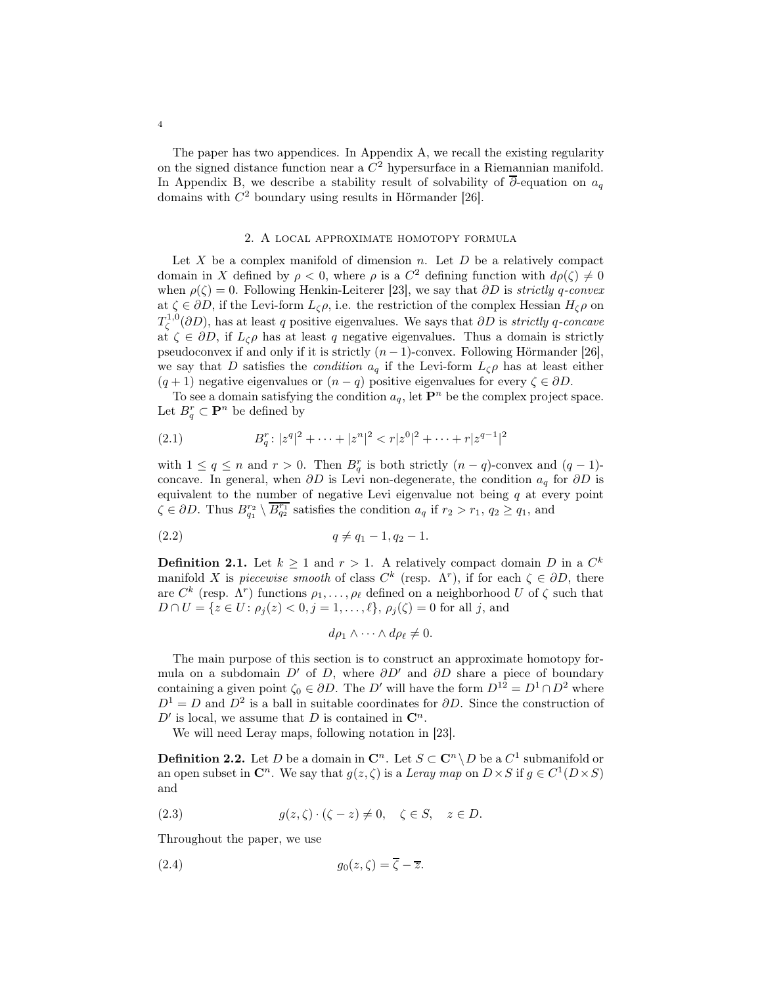The paper has two appendices. In Appendix A, we recall the existing regularity on the signed distance function near a  $C<sup>2</sup>$  hypersurface in a Riemannian manifold. In Appendix B, we describe a stability result of solvability of  $\overline{\partial}$ -equation on  $a_q$ domains with  $C^2$  boundary using results in Hörmander [\[26\]](#page-43-10).

### 2. A local approximate homotopy formula

Let  $X$  be a complex manifold of dimension  $n$ . Let  $D$  be a relatively compact domain in X defined by  $\rho < 0$ , where  $\rho$  is a  $C^2$  defining function with  $d\rho(\zeta) \neq 0$ when  $\rho(\zeta) = 0$ . Following Henkin-Leiterer [\[23\]](#page-43-9), we say that ∂D is strictly q-convex at  $\zeta \in \partial D$ , if the Levi-form  $L_{\zeta}\rho$ , i.e. the restriction of the complex Hessian  $H_{\zeta}\rho$  on  $T_{\zeta}^{1,0}(\partial D)$ , has at least q positive eigenvalues. We says that  $\partial D$  is *strictly q-concave* at  $\zeta \in \partial D$ , if  $L_{\zeta}\rho$  has at least q negative eigenvalues. Thus a domain is strictly pseudoconvex if and only if it is strictly  $(n-1)$ -convex. Following Hörmander [\[26\]](#page-43-10), we say that D satisfies the *condition*  $a_q$  if the Levi-form  $L_{\zeta} \rho$  has at least either  $(q + 1)$  negative eigenvalues or  $(n - q)$  positive eigenvalues for every  $\zeta \in \partial D$ .

To see a domain satisfying the condition  $a_q$ , let  $\mathbf{P}^n$  be the complex project space. Let  $B_q^r \subset \mathbf{P}^n$  be defined by

(2.1) 
$$
B_q^r: |z^q|^2 + \cdots + |z^n|^2 < r|z^0|^2 + \cdots + r|z^{q-1}|^2
$$

with  $1 \le q \le n$  and  $r > 0$ . Then  $B_q^r$  is both strictly  $(n-q)$ -convex and  $(q-1)$ concave. In general, when  $\partial D$  is Levi non-degenerate, the condition  $a_q$  for  $\partial D$  is equivalent to the number of negative Levi eigenvalue not being  $q$  at every point  $\zeta \in \partial D$ . Thus  $B_{q_1}^{r_2} \setminus \overline{B_{q_2}^{r_1}}$  satisfies the condition  $a_q$  if  $r_2 > r_1$ ,  $q_2 \ge q_1$ , and

$$
(2.2) \t\t q \neq q_1 - 1, q_2 - 1.
$$

<span id="page-3-0"></span>**Definition 2.1.** Let  $k \geq 1$  and  $r > 1$ . A relatively compact domain D in a  $C^k$ manifold X is *piecewise smooth* of class  $C^k$  (resp.  $\Lambda^r$ ), if for each  $\zeta \in \partial D$ , there are  $C^k$  (resp.  $\Lambda^r$ ) functions  $\rho_1, \ldots, \rho_\ell$  defined on a neighborhood U of  $\zeta$  such that  $D \cap U = \{z \in U : \rho_i(z) < 0, j = 1, \ldots, \ell\}, \rho_i(\zeta) = 0$  for all j, and

$$
d\rho_1 \wedge \cdots \wedge d\rho_\ell \neq 0.
$$

The main purpose of this section is to construct an approximate homotopy formula on a subdomain D' of D, where  $\partial D'$  and  $\partial D$  share a piece of boundary containing a given point  $\zeta_0 \in \partial D$ . The D' will have the form  $D^{12} = D^1 \cap D^2$  where  $D<sup>1</sup> = D$  and  $D<sup>2</sup>$  is a ball in suitable coordinates for  $\partial D$ . Since the construction of  $D'$  is local, we assume that D is contained in  $\mathbb{C}^n$ .

We will need Leray maps, following notation in [\[23\]](#page-43-9).

**Definition 2.2.** Let D be a domain in  $\mathbb{C}^n$ . Let  $S \subset \mathbb{C}^n \setminus D$  be a  $C^1$  submanifold or an open subset in  $\mathbb{C}^n$ . We say that  $g(z, \zeta)$  is a Leray map on  $D \times S$  if  $g \in C^1(D \times S)$ and

(2.3) 
$$
g(z,\zeta)\cdot(\zeta-z)\neq 0, \quad \zeta\in S, \quad z\in D.
$$

Throughout the paper, we use

$$
(2.4) \t\t\t g_0(z,\zeta) = \zeta - \overline{z}.
$$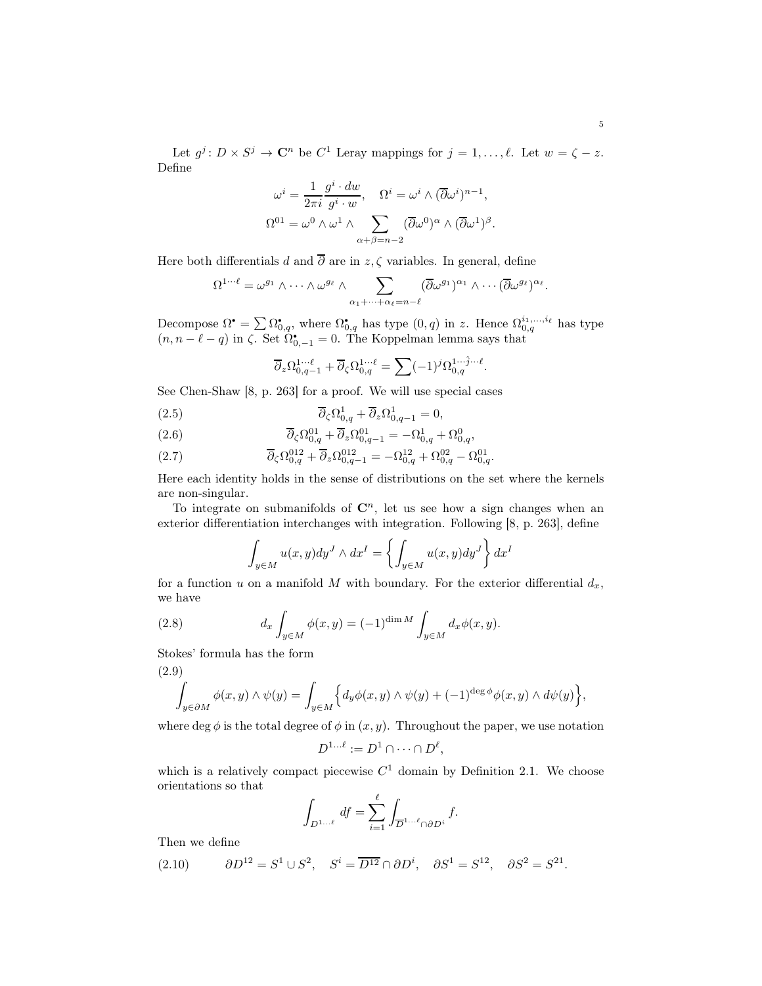Let  $g^j: D \times S^j \to \mathbb{C}^n$  be  $C^1$  Leray mappings for  $j = 1, \ldots, \ell$ . Let  $w = \zeta - z$ . Define

$$
\omega^{i} = \frac{1}{2\pi i} \frac{g^{i} \cdot dw}{g^{i} \cdot w}, \quad \Omega^{i} = \omega^{i} \wedge (\overline{\partial}\omega^{i})^{n-1},
$$

$$
\Omega^{01} = \omega^{0} \wedge \omega^{1} \wedge \sum_{\alpha+\beta=n-2} (\overline{\partial}\omega^{0})^{\alpha} \wedge (\overline{\partial}\omega^{1})^{\beta}.
$$

Here both differentials d and  $\overline{\partial}$  are in z,  $\zeta$  variables. In general, define

$$
\Omega^{1\cdots \ell} = \omega^{g_1} \wedge \cdots \wedge \omega^{g_\ell} \wedge \sum_{\alpha_1 + \cdots + \alpha_\ell = n-\ell} (\overline{\partial} \omega^{g_1})^{\alpha_1} \wedge \cdots (\overline{\partial} \omega^{g_\ell})^{\alpha_\ell}.
$$

Decompose  $\Omega^* = \sum \Omega^*_{0,q}$ , where  $\Omega^*_{0,q}$  has type  $(0,q)$  in z. Hence  $\Omega^{i_1,\dots,i_\ell}_{0,q}$  has type  $(n, n - \ell - q)$  in  $\zeta$ . Set  $\Omega_{0,-1}^{\bullet} = 0$ . The Koppelman lemma says that

$$
\overline{\partial}_z \Omega_{0,q-1}^{1 \cdots \ell} + \overline{\partial}_\zeta \Omega_{0,q}^{1 \cdots \ell} = \sum (-1)^j \Omega_{0,q}^{1 \cdots \hat{j} \cdots \ell}.
$$

See Chen-Shaw [\[8,](#page-42-3) p. 263] for a proof. We will use special cases

<span id="page-4-1"></span>(2.5) 
$$
\overline{\partial}_{\zeta} \Omega^1_{0,q} + \overline{\partial}_z \Omega^1_{0,q-1} = 0,
$$

(2.6) 
$$
\overline{\partial}_{\zeta} \Omega_{0,q}^{01} + \overline{\partial}_{z} \Omega_{0,q-1}^{01} = -\Omega_{0,q}^{1} + \Omega_{0,q}^{0},
$$

<span id="page-4-2"></span>(2.7) 
$$
\overline{\partial}_{\zeta} \Omega_{0,q}^{012} + \overline{\partial}_{z} \Omega_{0,q-1}^{012} = -\Omega_{0,q}^{12} + \Omega_{0,q}^{02} - \Omega_{0,q}^{01}.
$$

Here each identity holds in the sense of distributions on the set where the kernels are non-singular.

To integrate on submanifolds of  $\mathbb{C}^n$ , let us see how a sign changes when an exterior differentiation interchanges with integration. Following [\[8,](#page-42-3) p. 263], define

$$
\int_{y \in M} u(x, y) dy^J \wedge dx^I = \left\{ \int_{y \in M} u(x, y) dy^J \right\} dx^I
$$

for a function u on a manifold M with boundary. For the exterior differential  $d_x$ , we have

(2.8) 
$$
d_x \int_{y \in M} \phi(x, y) = (-1)^{\dim M} \int_{y \in M} d_x \phi(x, y).
$$

Stokes' formula has the form

<span id="page-4-3"></span>(2.9)  

$$
\int_{y \in \partial M} \phi(x, y) \wedge \psi(y) = \int_{y \in M} \left\{ d_y \phi(x, y) \wedge \psi(y) + (-1)^{\deg \phi} \phi(x, y) \wedge d\psi(y) \right\},
$$

where deg  $\phi$  is the total degree of  $\phi$  in  $(x, y)$ . Throughout the paper, we use notation

$$
D^{1...l} := D^1 \cap \cdots \cap D^l,
$$

which is a relatively compact piecewise  $C<sup>1</sup>$  domain by Definition [2.1.](#page-3-0) We choose orientations so that

$$
\int_{D^{1...l}} df = \sum_{i=1}^{l} \int_{\overline{D}^{1...l}} f.
$$

Then we define

<span id="page-4-0"></span>(2.10) 
$$
\partial D^{12} = S^1 \cup S^2, \quad S^i = \overline{D^{12}} \cap \partial D^i, \quad \partial S^1 = S^{12}, \quad \partial S^2 = S^{21}.
$$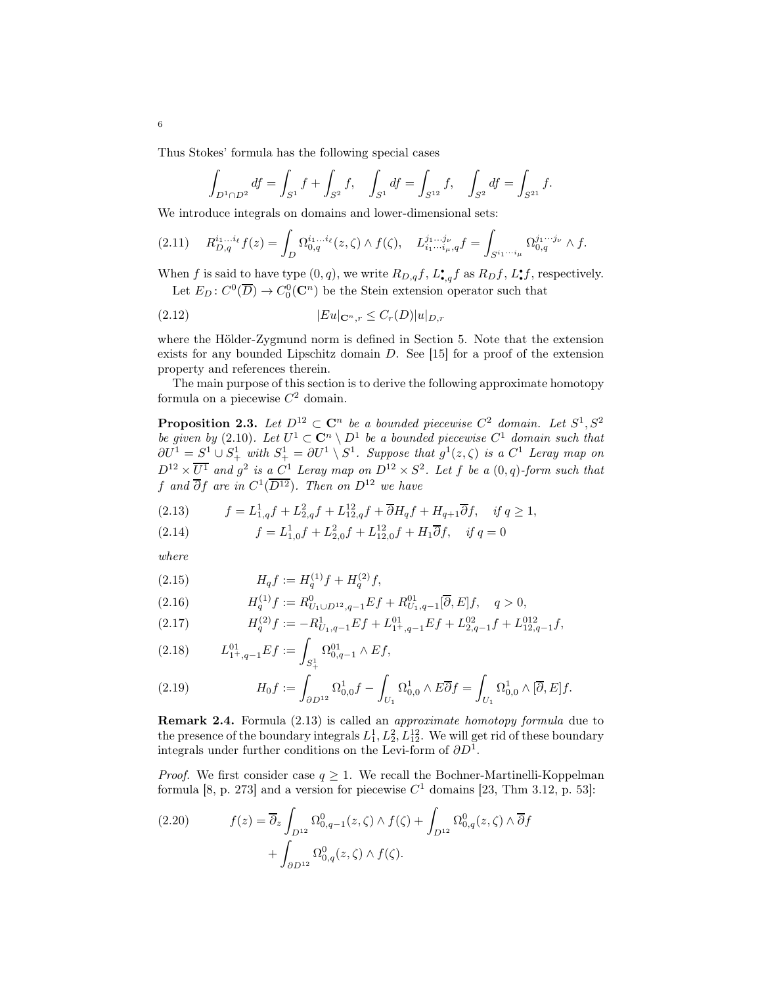Thus Stokes' formula has the following special cases

$$
\int_{D^1 \cap D^2} df = \int_{S^1} f + \int_{S^2} f, \quad \int_{S^1} df = \int_{S^{12}} f, \quad \int_{S^2} df = \int_{S^{21}} f.
$$

We introduce integrals on domains and lower-dimensional sets:

<span id="page-5-5"></span>
$$
(2.11) \t R^{i_1...i_\ell}_{D,q} f(z) = \int_D \Omega^{i_1...i_\ell}_{0,q}(z,\zeta) \wedge f(\zeta), \t L^{j_1...j_\nu}_{i_1...i_\mu,q} f = \int_{S^{i_1...i_\mu}} \Omega^{j_1...j_\nu}_{0,q} \wedge f.
$$

When f is said to have type  $(0, q)$ , we write  $R_{D,q}f$ ,  $L_{\bullet,q}^{\bullet}f$  as  $R_{D}f$ ,  $L_{\bullet}^{\bullet}f$ , respectively. Let  $E_D: C^0(\overline{D}) \to C_0^0(\mathbb{C}^n)$  be the Stein extension operator such that

$$
(2.12)\qquad \qquad |Eu|_{\mathbf{C}^n,r}\leq C_r(D)|u|_{D,r}
$$

where the Hölder-Zygmund norm is defined in Section [5.](#page-15-0) Note that the extension exists for any bounded Lipschitz domain  $D$ . See [\[15\]](#page-43-11) for a proof of the extension property and references therein.

The main purpose of this section is to derive the following approximate homotopy formula on a piecewise  $C^2$  domain.

<span id="page-5-2"></span>**Proposition 2.3.** Let  $D^{12} \subset \mathbb{C}^n$  be a bounded piecewise  $C^2$  domain. Let  $S^1, S^2$ be given by (2.[10\)](#page-4-0). Let  $U^1 \subset \mathbb{C}^n \setminus D^1$  be a bounded piecewise  $C^1$  domain such that  $\partial U^1 = S^1 \cup S^1_+$  with  $S^1_+ = \partial U^1 \setminus S^1$ . Suppose that  $g^1(z,\zeta)$  is a  $C^1$  Leray map on  $D^{12} \times \overline{U^1}$  and  $g^2$  is a  $C^1$  Leray map on  $D^{12} \times S^2$ . Let f be a  $(0, q)$ -form such that f and  $\overline{\partial}$ f are in  $C^1(\overline{D^{12}})$ . Then on  $D^{12}$  we have

<span id="page-5-0"></span>(2.13) 
$$
f = L_{1,q}^1 f + L_{2,q}^2 f + L_{12,q}^{12} f + \overline{\partial} H_q f + H_{q+1} \overline{\partial} f, \quad \text{if } q \ge 1,
$$

<span id="page-5-1"></span>(2.14) 
$$
f = L_{1,0}^1 f + L_{2,0}^2 f + L_{12,0}^{12} f + H_1 \overline{\partial} f, \quad \text{if } q = 0
$$

where

6

(2.15) 
$$
H_q f := H_q^{(1)} f + H_q^{(2)} f,
$$

<span id="page-5-4"></span>(2.16) 
$$
H_q^{(1)}f := R_{U_1 \cup D^{12}, q-1}^0 Ef + R_{U_1, q-1}^{01} [\overline{\partial}, E]f, \quad q > 0,
$$

<span id="page-5-3"></span>(2.17) 
$$
H_q^{(2)}f := -R_{U_1,q-1}^1Ef + L_{1^+,q-1}^{01}Ef + L_{2,q-1}^{02}f + L_{12,q-1}^{012}f,
$$

(2.18) 
$$
L_{1^+,q-1}^{01}Ef := \int_{S_+^1} \Omega_{0,q-1}^{01} \wedge Ef,
$$

(2.19) 
$$
H_0f := \int_{\partial D^{12}} \Omega^1_{0,0} f - \int_{U_1} \Omega^1_{0,0} \wedge E \overline{\partial} f = \int_{U_1} \Omega^1_{0,0} \wedge [\overline{\partial}, E] f.
$$

Remark 2.4. Formula [\(2.13\)](#page-5-0) is called an approximate homotopy formula due to the presence of the boundary integrals  $L_1^1, L_2^2, L_{12}^{12}$ . We will get rid of these boundary integrals under further conditions on the Levi-form of  $\partial D^1$ .

*Proof.* We first consider case  $q \geq 1$ . We recall the Bochner-Martinelli-Koppelman formula [\[8,](#page-42-3) p. 273] and a version for piecewise  $C<sup>1</sup>$  domains [\[23,](#page-43-9) Thm 3.12, p. 53]:

(2.20) 
$$
f(z) = \overline{\partial}_z \int_{D^{12}} \Omega^0_{0,q-1}(z,\zeta) \wedge f(\zeta) + \int_{D^{12}} \Omega^0_{0,q}(z,\zeta) \wedge \overline{\partial} f + \int_{\partial D^{12}} \Omega^0_{0,q}(z,\zeta) \wedge f(\zeta).
$$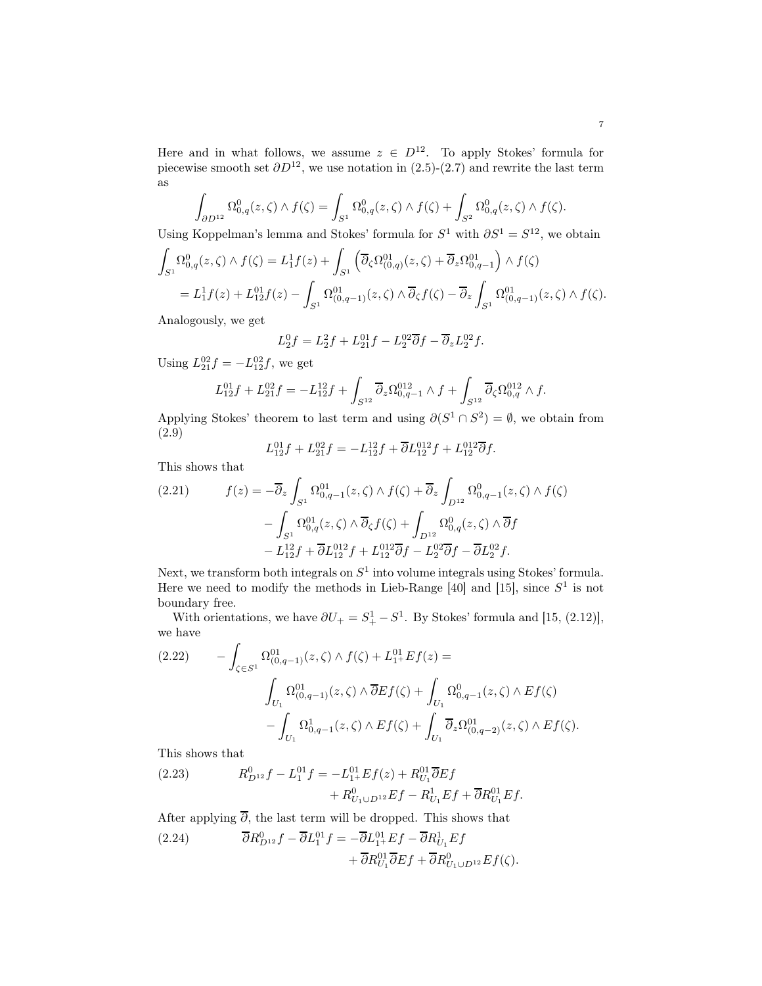Here and in what follows, we assume  $z \in D^{12}$ . To apply Stokes' formula for piecewise smooth set  $\partial D^{12}$ , we use notation in [\(2.5\)](#page-4-1)-[\(2.7\)](#page-4-2) and rewrite the last term as

$$
\int_{\partial D^{12}} \Omega^0_{0,q}(z,\zeta) \wedge f(\zeta) = \int_{S^1} \Omega^0_{0,q}(z,\zeta) \wedge f(\zeta) + \int_{S^2} \Omega^0_{0,q}(z,\zeta) \wedge f(\zeta).
$$

Using Koppelman's lemma and Stokes' formula for  $S^1$  with  $\partial S^1 = S^{12}$ , we obtain

$$
\int_{S^1} \Omega^0_{0,q}(z,\zeta) \wedge f(\zeta) = L_1^1 f(z) + \int_{S^1} \left( \overline{\partial}_{\zeta} \Omega^{01}_{(0,q)}(z,\zeta) + \overline{\partial}_z \Omega^{01}_{0,q-1} \right) \wedge f(\zeta)
$$
  
=  $L_1^1 f(z) + L_{12}^{01} f(z) - \int_{S^1} \Omega^{01}_{(0,q-1)}(z,\zeta) \wedge \overline{\partial}_{\zeta} f(\zeta) - \overline{\partial}_z \int_{S^1} \Omega^{01}_{(0,q-1)}(z,\zeta) \wedge f(\zeta).$ 

Analogously, we get

$$
L_2^0 f = L_2^2 f + L_{21}^{01} f - L_2^{02} \overline{\partial} f - \overline{\partial}_z L_2^{02} f.
$$

Using  $L_{21}^{02}f = -L_{12}^{02}f$ , we get

$$
L_{12}^{01}f + L_{21}^{02}f = -L_{12}^{12}f + \int_{S^{12}} \overline{\partial}_z \Omega_{0,q-1}^{012} \wedge f + \int_{S^{12}} \overline{\partial}_\zeta \Omega_{0,q}^{012} \wedge f.
$$

Applying Stokes' theorem to last term and using  $\partial (S^1 \cap S^2) = \emptyset$ , we obtain from [\(2.9\)](#page-4-3)

$$
L_{12}^{01}f + L_{21}^{02}f = -L_{12}^{12}f + \overline{\partial}L_{12}^{012}f + L_{12}^{012}\overline{\partial}f.
$$

This shows that

$$
(2.21) \t f(z) = -\overline{\partial}_z \int_{S^1} \Omega_{0,q-1}^{01}(z,\zeta) \wedge f(\zeta) + \overline{\partial}_z \int_{D^{12}} \Omega_{0,q-1}^{0}(z,\zeta) \wedge f(\zeta) - \int_{S^1} \Omega_{0,q}^{01}(z,\zeta) \wedge \overline{\partial}_{\zeta} f(\zeta) + \int_{D^{12}} \Omega_{0,q}^{0}(z,\zeta) \wedge \overline{\partial} f - L_{12}^{12} f + \overline{\partial} L_{12}^{012} f + L_{12}^{012} \overline{\partial} f - L_2^{02} \overline{\partial} f - \overline{\partial} L_2^{02} f.
$$

Next, we transform both integrals on  $S<sup>1</sup>$  into volume integrals using Stokes' formula. Here we need to modify the methods in Lieb-Range [\[40\]](#page-43-3) and [\[15\]](#page-43-11), since  $S^1$  is not boundary free.

With orientations, we have  $\partial U_+ = S_+^1 - S^1$ . By Stokes' formula and [\[15,](#page-43-11) (2.12)], we have

$$
(2.22) \qquad -\int_{\zeta \in S^1} \Omega^{01}_{(0,q-1)}(z,\zeta) \wedge f(\zeta) + L^{01}_{1^+} E f(z) =
$$
\n
$$
\int_{U_1} \Omega^{01}_{(0,q-1)}(z,\zeta) \wedge \overline{\partial} E f(\zeta) + \int_{U_1} \Omega^{0}_{0,q-1}(z,\zeta) \wedge E f(\zeta)
$$
\n
$$
-\int_{U_1} \Omega^{1}_{0,q-1}(z,\zeta) \wedge E f(\zeta) + \int_{U_1} \overline{\partial}_z \Omega^{01}_{(0,q-2)}(z,\zeta) \wedge E f(\zeta).
$$

This shows that

<span id="page-6-0"></span>(2.23) 
$$
R_{D^{12}}^0 f - L_1^{01} f = -L_{1+}^{01} Ef(z) + R_{U_1}^{01} \overline{\partial} Ef + R_{U_1 \cup D^{12}}^0 Ef - R_{U_1}^1 Ef + \overline{\partial} R_{U_1}^{01} Ef.
$$

After applying  $\overline{\partial}$ , the last term will be dropped. This shows that

<span id="page-6-1"></span>(2.24) 
$$
\overline{\partial}R_{D^{12}}^0 f - \overline{\partial}L_1^{01} f = -\overline{\partial}L_{1^+}^{01} Ef - \overline{\partial}R_{U_1}^1 Ef + \overline{\partial}R_{U_1}^{01} \overline{\partial}Ef + \overline{\partial}R_{U_1 \cup D^{12}}^0 Ef(\zeta).
$$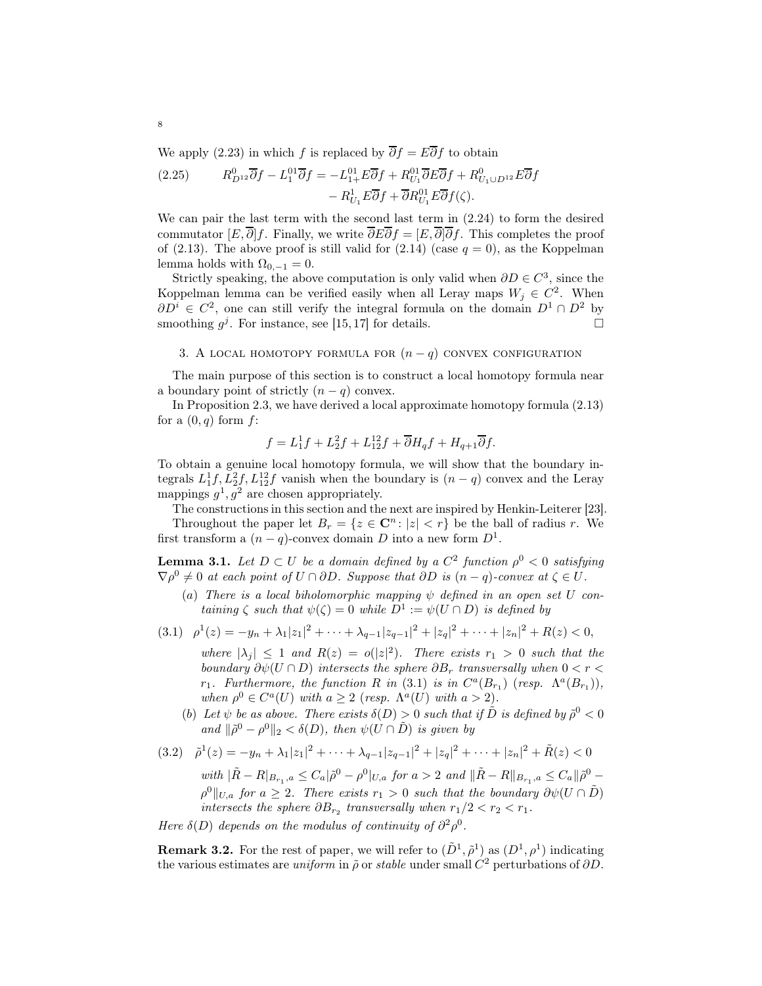We apply [\(2.23\)](#page-6-0) in which f is replaced by  $\overline{\partial} f = E \overline{\partial} f$  to obtain

(2.25) 
$$
R_{D^{12}}^0 \overline{\partial} f - L_1^{01} \overline{\partial} f = -L_{1+}^{01} E \overline{\partial} f + R_{U_1}^{01} \overline{\partial} E \overline{\partial} f + R_{U_1 \cup D^{12}}^0 E \overline{\partial} f
$$

$$
- R_{U_1}^1 E \overline{\partial} f + \overline{\partial} R_{U_1}^{01} E \overline{\partial} f (\zeta).
$$

We can pair the last term with the second last term in [\(2.24\)](#page-6-1) to form the desired commutator  $[E, \overline{\partial}]f$ . Finally, we write  $\overline{\partial}E\overline{\partial}f = [E, \overline{\partial}]\overline{\partial}f$ . This completes the proof of [\(2.13\)](#page-5-0). The above proof is still valid for [\(2.14\)](#page-5-1) (case  $q = 0$ ), as the Koppelman lemma holds with  $\Omega_{0,-1} = 0$ .

Strictly speaking, the above computation is only valid when  $\partial D \in C^3$ , since the Koppelman lemma can be verified easily when all Leray maps  $W_j \in C^2$ . When  $\partial D^i \in C^2$ , one can still verify the integral formula on the domain  $D^1 \cap D^2$  by smoothing  $g^j$ . For instance, see [\[15,](#page-43-11)17] for details.

## 3. A LOCAL HOMOTOPY FORMULA FOR  $(n - q)$  CONVEX CONFIGURATION

The main purpose of this section is to construct a local homotopy formula near a boundary point of strictly  $(n - q)$  convex.

In Proposition [2.3,](#page-5-2) we have derived a local approximate homotopy formula [\(2.13\)](#page-5-0) for a  $(0, q)$  form  $f$ :

$$
f = L_1^1 f + L_2^2 f + L_{12}^{12} f + \overline{\partial} H_q f + H_{q+1} \overline{\partial} f.
$$

To obtain a genuine local homotopy formula, we will show that the boundary integrals  $L_1^1 f, L_2^2 f, L_{12}^{12} f$  vanish when the boundary is  $(n-q)$  convex and the Leray mappings  $g^1, g^2$  are chosen appropriately.

The constructions in this section and the next are inspired by Henkin-Leiterer [\[23\]](#page-43-9). Throughout the paper let  $B_r = \{z \in \mathbb{C}^n : |z| < r\}$  be the ball of radius r. We first transform a  $(n-q)$ -convex domain D into a new form  $D^1$ .

<span id="page-7-1"></span>**Lemma 3.1.** Let  $D \subset U$  be a domain defined by a  $C^2$  function  $\rho^0 < 0$  satisfying  $\nabla \rho^0 \neq 0$  at each point of  $U \cap \partial D$ . Suppose that  $\partial D$  is  $(n-q)$ -convex at  $\zeta \in U$ .

(a) There is a local biholomorphic mapping  $\psi$  defined in an open set U containing  $\zeta$  such that  $\psi(\zeta) = 0$  while  $D^1 := \psi(U \cap D)$  is defined by

$$
(3.1) \quad \rho^1(z) = -y_n + \lambda_1 |z_1|^2 + \dots + \lambda_{q-1} |z_{q-1}|^2 + |z_q|^2 + \dots + |z_n|^2 + R(z) < 0,
$$

<span id="page-7-0"></span>where  $|\lambda_j| \leq 1$  and  $R(z) = o(|z|^2)$ . There exists  $r_1 > 0$  such that the boundary  $\partial \psi(U \cap D)$  intersects the sphere  $\partial B_r$  transversally when  $0 < r <$  $r_1$ . Furthermore, the function R in (3.[1\)](#page-7-0) is in  $C^a(B_{r_1})$  (resp.  $\Lambda^a(B_{r_1})$ ), when  $\rho^0 \in C^a(U)$  with  $a \geq 2$  (resp.  $\Lambda^a(U)$  with  $a > 2$ ).

(b) Let  $\psi$  be as above. There exists  $\delta(D) > 0$  such that if  $\tilde{D}$  is defined by  $\tilde{\rho}^0 < 0$ and  $\|\tilde{\rho}^0 - \rho^0\|_2 < \delta(D)$ , then  $\psi(\tilde{U} \cap \tilde{D})$  is given by

<span id="page-7-2"></span>(3.2) 
$$
\tilde{\rho}^1(z) = -y_n + \lambda_1 |z_1|^2 + \dots + \lambda_{q-1} |z_{q-1}|^2 + |z_q|^2 + \dots + |z_n|^2 + \tilde{R}(z) < 0
$$
\nwith 
$$
|\tilde{R} - R|_{B_{r_1},a} \leq C_a |\tilde{\rho}^0 - \rho^0|_{U,a} \text{ for } a > 2 \text{ and } ||\tilde{R} - R||_{B_{r_1},a} \leq C_a ||\tilde{\rho}^0 - \rho^0||_{U,a} \text{ for } a \geq 2.
$$
\nThere exists  $r_1 > 0$  such that the boundary  $\partial \psi(U \cap \tilde{D})$  intersects the sphere  $\partial B_{r_2}$  transversally when  $r_1/2 < r_2 < r_1$ .

Here  $\delta(D)$  depends on the modulus of continuity of  $\partial^2 \rho^0$ .

**Remark 3.2.** For the rest of paper, we will refer to  $(\tilde{D}^1, \tilde{\rho}^1)$  as  $(D^1, \rho^1)$  indicating the various estimates are *uniform* in  $\tilde{\rho}$  or *stable* under small  $C^2$  perturbations of  $\partial D$ .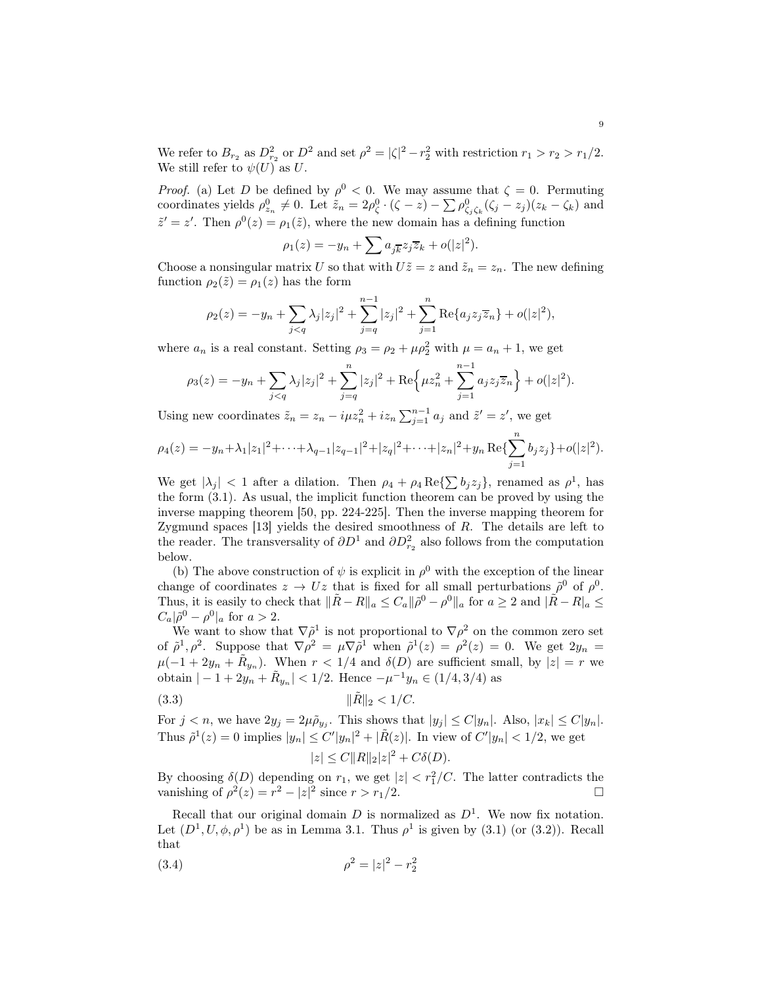We refer to  $B_{r_2}$  as  $D_{r_2}^2$  or  $D^2$  and set  $\rho^2 = |\zeta|^2 - r_2^2$  with restriction  $r_1 > r_2 > r_1/2$ . We still refer to  $\psi(U)$  as U.

*Proof.* (a) Let D be defined by  $\rho^0 < 0$ . We may assume that  $\zeta = 0$ . Permuting coordinates yields  $\rho_{z_n}^0 \neq 0$ . Let  $\tilde{z}_n = 2\rho_{\zeta}^0 \cdot (\zeta - z) - \sum \rho_{\zeta_j \zeta_k}^0 (\zeta_j - z_j)(z_k - \zeta_k)$  and  $\tilde{z}' = z'$ . Then  $\rho^0(z) = \rho_1(\tilde{z})$ , where the new domain has a defining function

$$
\rho_1(z) = -y_n + \sum a_{j\overline{k}} z_j \overline{z}_k + o(|z|^2).
$$

Choose a nonsingular matrix U so that with  $U\tilde{z} = z$  and  $\tilde{z}_n = z_n$ . The new defining function  $\rho_2(\tilde{z}) = \rho_1(z)$  has the form

$$
\rho_2(z) = -y_n + \sum_{j < q} \lambda_j |z_j|^2 + \sum_{j=q}^{n-1} |z_j|^2 + \sum_{j=1}^n \text{Re}\{a_j z_j \overline{z}_n\} + o(|z|^2),
$$

where  $a_n$  is a real constant. Setting  $\rho_3 = \rho_2 + \mu \rho_2^2$  with  $\mu = a_n + 1$ , we get

$$
\rho_3(z) = -y_n + \sum_{j < q} \lambda_j |z_j|^2 + \sum_{j=q}^n |z_j|^2 + \text{Re}\Big\{\mu z_n^2 + \sum_{j=1}^{n-1} a_j z_j \overline{z}_n\Big\} + o(|z|^2).
$$

Using new coordinates  $\tilde{z}_n = z_n - i\mu z_n^2 + i z_n \sum_{j=1}^{n-1} a_j$  and  $\tilde{z}' = z'$ , we get

$$
\rho_4(z) = -y_n + \lambda_1 |z_1|^2 + \dots + \lambda_{q-1} |z_{q-1}|^2 + |z_q|^2 + \dots + |z_n|^2 + y_n \operatorname{Re} \{ \sum_{j=1}^n b_j z_j \} + o(|z|^2).
$$

We get  $|\lambda_j| < 1$  after a dilation. Then  $\rho_4 + \rho_4 \operatorname{Re} {\{\sum b_j z_j\}}$ , renamed as  $\rho^1$ , has the form [\(3.1\)](#page-7-0). As usual, the implicit function theorem can be proved by using the inverse mapping theorem [\[50,](#page-44-9) pp. 224-225]. Then the inverse mapping theorem for Zygmund spaces  $[13]$  yields the desired smoothness of  $R$ . The details are left to the reader. The transversality of  $\partial D^1$  and  $\partial D^2_{r_2}$  also follows from the computation below.

(b) The above construction of  $\psi$  is explicit in  $\rho^0$  with the exception of the linear change of coordinates  $z \to Uz$  that is fixed for all small perturbations  $\tilde{\rho}^0$  of  $\rho^0$ . Thus, it is easily to check that  $\|\tilde{R} - R\|_a \leq C_a \|\tilde{\rho}^0 - \rho^0\|_a$  for  $a \geq 2$  and  $\|\tilde{R} - R\|_a \leq$  $C_a |\tilde{\rho}^0 - \rho^0|_a$  for  $a > 2$ .

We want to show that  $\nabla \rho^1$  is not proportional to  $\nabla \rho^2$  on the common zero set of  $\tilde{\rho}^1, \rho^2$ . Suppose that  $\nabla \rho^2 = \mu \nabla \tilde{\rho}^1$  when  $\tilde{\rho}^1(z) = \rho^2(z) = 0$ . We get  $2y_n =$  $\mu(-1+2y_n+\tilde{R}_{y_n})$ . When  $r<1/4$  and  $\delta(D)$  are sufficient small, by  $|z|=r$  we obtain  $|-1 + 2y_n + \tilde{R}_{y_n}| < 1/2$ . Hence  $-\mu^{-1}y_n \in (1/4, 3/4)$  as

(3.3) 
$$
\|\tilde{R}\|_2 < 1/C.
$$

For  $j < n$ , we have  $2y_j = 2\mu \tilde{\rho}_{y_j}$ . This shows that  $|y_j| \le C|y_n|$ . Also,  $|x_k| \le C|y_n|$ . Thus  $\tilde{\rho}^1(z) = 0$  implies  $|y_n| \le C'|y_n|^2 + |\tilde{R}(z)|$ . In view of  $C'|y_n| < 1/2$ , we get  $|z| \leq C ||R||_2 |z|^2 + C\delta(D).$ 

By choosing  $\delta(D)$  depending on  $r_1$ , we get  $|z| < r_1^2/C$ . The latter contradicts the vanishing of  $\rho^2(z) = r^2 - |z|^2$  since  $r > r_1/2$ .

Recall that our original domain D is normalized as  $D^1$ . We now fix notation. Let  $(D^1, U, \phi, \rho^1)$  be as in Lemma [3.1.](#page-7-1) Thus  $\rho^1$  is given by  $(3.1)$  (or  $(3.2)$ ). Recall that

<span id="page-8-0"></span>(3.4) 
$$
\rho^2 = |z|^2 - r_2^2
$$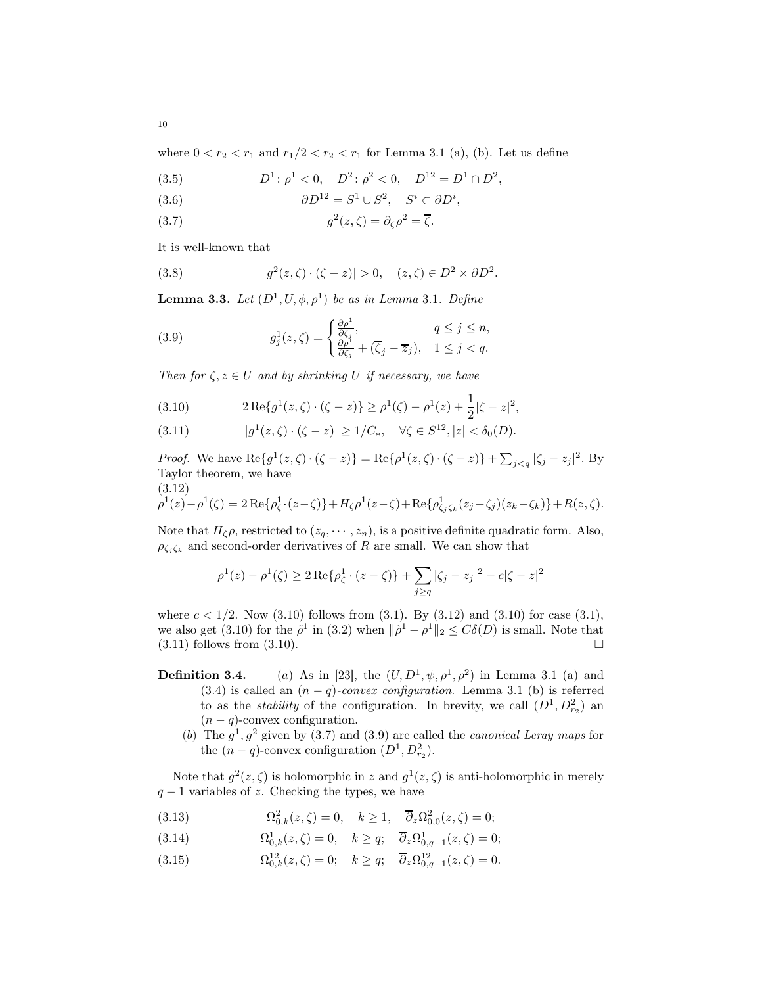where  $0 < r_2 < r_1$  and  $r_1/2 < r_2 < r_1$  for Lemma [3.1](#page-7-1) (a), (b). Let us define

(3.5) 
$$
D^1: \rho^1 < 0, \quad D^2: \rho^2 < 0, \quad D^{12} = D^1 \cap D^2,
$$

(3.6) 
$$
\partial D^{12} = S^1 \cup S^2, \quad S^i \subset \partial D^i,
$$

<span id="page-9-3"></span>(3.7) 
$$
g^2(z,\zeta) = \partial_{\zeta} \rho^2 = \overline{\zeta}.
$$

It is well-known that

(3.8) 
$$
|g^2(z,\zeta)\cdot(\zeta-z)|>0, \quad (z,\zeta)\in D^2\times\partial D^2.
$$

**Lemma [3](#page-7-1).3.** Let  $(D^1, U, \phi, \rho^1)$  be as in Lemma 3.1. Define

<span id="page-9-4"></span>(3.9) 
$$
g_j^1(z,\zeta) = \begin{cases} \frac{\partial \rho^1}{\partial \zeta_j}, & q \le j \le n, \\ \frac{\partial \rho^1}{\partial \zeta_j} + (\overline{\zeta}_j - \overline{z}_j), & 1 \le j < q. \end{cases}
$$

Then for  $\zeta, z \in U$  and by shrinking U if necessary, we have

<span id="page-9-0"></span>(3.10) 
$$
2 \operatorname{Re} \{ g^1(z, \zeta) \cdot (\zeta - z) \} \ge \rho^1(\zeta) - \rho^1(z) + \frac{1}{2} |\zeta - z|^2,
$$

<span id="page-9-2"></span>(3.11) 
$$
|g^{1}(z,\zeta)\cdot(\zeta-z)| \geq 1/C_{*}, \quad \forall \zeta \in S^{12}, |z| < \delta_{0}(D).
$$

*Proof.* We have  $\text{Re}\{g^1(z,\zeta)\cdot(\zeta-z)\} = \text{Re}\{\rho^1(z,\zeta)\cdot(\zeta-z)\} + \sum_{j < q} |\zeta_j - z_j|^2$ . By Taylor theorem, we have  $(3.12)$ 

<span id="page-9-1"></span>
$$
\rho^{1}(z) - \rho^{1}(\zeta) = 2 \operatorname{Re} \{ \rho_{\zeta}^{1} \cdot (z - \zeta) \} + H_{\zeta} \rho^{1}(z - \zeta) + \operatorname{Re} \{ \rho_{\zeta_{j}\zeta_{k}}^{1}(z_{j} - \zeta_{j})(z_{k} - \zeta_{k}) \} + R(z, \zeta).
$$

Note that  $H_{\zeta}\rho$ , restricted to  $(z_q, \dots, z_n)$ , is a positive definite quadratic form. Also,  $\rho_{\zeta_j\zeta_k}$  and second-order derivatives of R are small. We can show that

$$
\rho^{1}(z) - \rho^{1}(\zeta) \ge 2 \operatorname{Re} \{ \rho_{\zeta}^{1} \cdot (z - \zeta) \} + \sum_{j \ge q} |\zeta_{j} - z_{j}|^{2} - c|\zeta - z|^{2}
$$

where  $c < 1/2$ . Now  $(3.10)$  follows from  $(3.1)$ . By  $(3.12)$  and  $(3.10)$  for case  $(3.1)$ , we also get [\(3.10\)](#page-9-0) for the  $\tilde{\rho}^1$  in [\(3.2\)](#page-7-2) when  $\|\tilde{\rho}^1 - \rho^1\|_2 \leq C\delta(D)$  is small. Note that  $(3.11)$  follows from  $(3.10)$ .

- **Definition 3.4.** (a) As in [\[23\]](#page-43-9), the  $(U, D^1, \psi, \rho^1, \rho^2)$  in Lemma [3.1](#page-7-1) (a) and [\(3.4\)](#page-8-0) is called an  $(n - q)$ -convex configuration. Lemma [3.1](#page-7-1) (b) is referred to as the *stability* of the configuration. In brevity, we call  $(D^1, D^2_{r_2})$  and  $(n - q)$ -convex configuration.
	- (b) The  $g^1, g^2$  given by [\(3.7\)](#page-9-3) and [\(3.9\)](#page-9-4) are called the *canonical Leray maps* for the  $(n-q)$ -convex configuration  $(D^1, D^2_{r_2})$ .

Note that  $g^2(z,\zeta)$  is holomorphic in z and  $g^1(z,\zeta)$  is anti-holomorphic in merely  $q-1$  variables of z. Checking the types, we have

<span id="page-9-5"></span>(3.13) 
$$
\Omega_{0,k}^2(z,\zeta) = 0, \quad k \ge 1, \quad \overline{\partial}_z \Omega_{0,0}^2(z,\zeta) = 0;
$$

(3.14) 
$$
\Omega_{0,k}^1(z,\zeta) = 0, \quad k \ge q; \quad \overline{\partial}_z \Omega_{0,q-1}^1(z,\zeta) = 0;
$$

<span id="page-9-6"></span>(3.15)  $\Omega_{0,k}^{12}(z,\zeta) = 0; \quad k \ge q; \quad \overline{\partial}_z \Omega_{0,q-1}^{12}(z,\zeta) = 0.$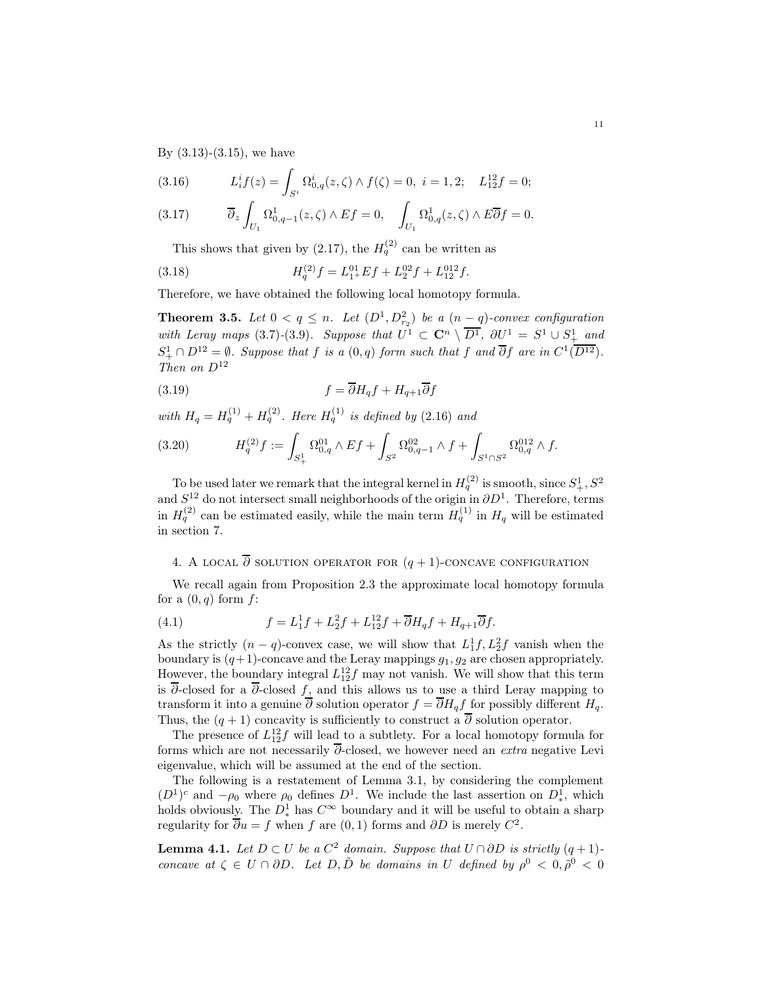By  $(3.13)-(3.15)$  $(3.13)-(3.15)$ , we have

<span id="page-10-0"></span>(3.16) 
$$
L_i^i f(z) = \int_{S^i} \Omega_{0,q}^i(z,\zeta) \wedge f(\zeta) = 0, \ i = 1,2; \quad L_{12}^{12} f = 0;
$$

$$
(3.17) \t\overline{\partial}_z \int_{U_1} \Omega^1_{0,q-1}(z,\zeta) \wedge Ef = 0, \quad \int_{U_1} \Omega^1_{0,q}(z,\zeta) \wedge E\overline{\partial}f = 0.
$$

<span id="page-10-3"></span>This shows that given by [\(2.17\)](#page-5-3), the  $H_q^{(2)}$  can be written as

(3.18) 
$$
H_q^{(2)}f = L_{1+}^{01}Ef + L_{2}^{02}f + L_{12}^{012}f.
$$

Therefore, we have obtained the following local homotopy formula.

<span id="page-10-4"></span>**Theorem 3.5.** Let  $0 < q \leq n$ . Let  $(D^1, D_{r_2}^2)$  be a  $(n-q)$ -convex configuration with Leray maps [\(3](#page-9-4).7)-(3.9). Suppose that  $U^1 \subset \mathbb{C}^n \setminus \overline{D^1}$ ,  $\partial U^1 = S^1 \cup S^1_+$  and  $S_+^1 \cap D^{12} = \emptyset$ . Suppose that f is a  $(0, q)$  form such that f and  $\overline{\partial} f$  are in  $C^1(\overline{D^{12}})$ . Then on  $D^{12}$ 

(3.19) 
$$
f = \overline{\partial} H_q f + H_{q+1} \overline{\partial} f
$$

with  $H_q = H_q^{(1)} + H_q^{(2)}$ . Here  $H_q^{(1)}$  is defined by (2.[16\)](#page-5-4) and

<span id="page-10-5"></span>
$$
(3.20) \tHq(2)f := \int_{S^1_+} \Omega_{0,q}^{01} \wedge Ef + \int_{S^2} \Omega_{0,q-1}^{02} \wedge f + \int_{S^1 \cap S^2} \Omega_{0,q}^{012} \wedge f.
$$

To be used later we remark that the integral kernel in  $H_q^{(2)}$  is smooth, since  $S^1_+, S^2$ and  $S^{12}$  do not intersect small neighborhoods of the origin in  $\partial D^1$ . Therefore, terms in  $H_q^{(2)}$  can be estimated easily, while the main term  $H_q^{(1)}$  in  $H_q$  will be estimated in section [7.](#page-23-0)

## 4. A LOCAL  $\overline{\partial}$  solution operator for  $(q + 1)$ -concave configuration

We recall again from Proposition [2.3](#page-5-2) the approximate local homotopy formula for a  $(0, q)$  form f:

<span id="page-10-1"></span>(4.1) 
$$
f = L_1^1 f + L_2^2 f + L_{12}^{12} f + \overline{\partial} H_q f + H_{q+1} \overline{\partial} f.
$$

As the strictly  $(n - q)$ -convex case, we will show that  $L_1^1 f, L_2^2 f$  vanish when the boundary is  $(q+1)$ -concave and the Leray mappings  $g_1, g_2$  are chosen appropriately. However, the boundary integral  $L_{12}^{12}f$  may not vanish. We will show that this term is  $\overline{\partial}$ -closed for a  $\overline{\partial}$ -closed  $f_1$  and this allows us to use a third Leray mapping to transform it into a genuine  $\overline{\partial}$  solution operator  $f = \overline{\partial} H_q f$  for possibly different  $H_q$ . Thus, the  $(q + 1)$  concavity is sufficiently to construct a  $\overline{\partial}$  solution operator.

The presence of  $L_{12}^{12}f$  will lead to a subtlety. For a local homotopy formula for forms which are not necessarily  $\overline{\partial}$ -closed, we however need an *extra* negative Levi eigenvalue, which will be assumed at the end of the section.

The following is a restatement of Lemma [3.1,](#page-7-1) by considering the complement  $(D<sup>1</sup>)<sup>c</sup>$  and  $-\rho_0$  where  $\rho_0$  defines  $D<sup>1</sup>$ . We include the last assertion on  $D<sup>1</sup>$ , which holds obviously. The  $D^1_*$  has  $C^\infty$  boundary and it will be useful to obtain a sharp regularity for  $\overline{\partial}u = f$  when f are  $(0,1)$  forms and  $\partial D$  is merely  $C^2$ .

<span id="page-10-2"></span>**Lemma 4.1.** Let  $D \subset U$  be a  $C^2$  domain. Suppose that  $U \cap \partial D$  is strictly  $(q+1)$ concave at  $\zeta \in U \cap \partial D$ . Let  $D, \tilde{D}$  be domains in U defined by  $\rho^0 < 0, \tilde{\rho}^0 < 0$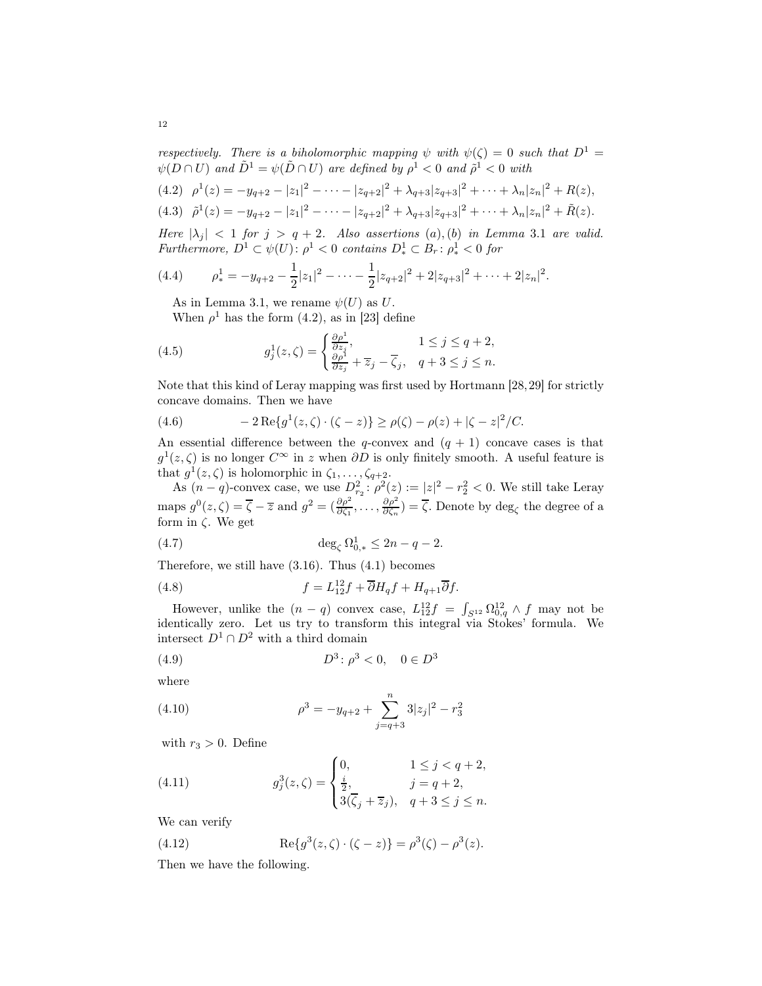respectively. There is a biholomorphic mapping  $\psi$  with  $\psi(\zeta) = 0$  such that  $D^1 =$  $\psi(D \cap U)$  and  $\tilde{D}^1 = \psi(\tilde{D} \cap U)$  are defined by  $\rho^1 < 0$  and  $\tilde{\rho}^1 < 0$  with

<span id="page-11-0"></span>
$$
(4.2) \quad \rho^{1}(z) = -y_{q+2} - |z_{1}|^{2} - \cdots - |z_{q+2}|^{2} + \lambda_{q+3}|z_{q+3}|^{2} + \cdots + \lambda_{n}|z_{n}|^{2} + R(z),
$$
  

$$
(4.3) \quad \tilde{\rho}^{1}(z) = -y_{q+2} - |z_{1}|^{2} - \cdots - |z_{q+2}|^{2} + \lambda_{q+3}|z_{q+3}|^{2} + \cdots + \lambda_{n}|z_{n}|^{2} + \tilde{R}(z).
$$

Here  $|\lambda_j|$  < 1 for  $j > q + 2$ . Also assertions (a), (b) in Lemma [3](#page-7-1).1 are valid. Furthermore,  $D^1 \subset \psi(U)$ :  $\rho^1 < 0$  contains  $D^1_* \subset B_r$ :  $\rho^1_* < 0$  for

(4.4) 
$$
\rho_*^1 = -y_{q+2} - \frac{1}{2}|z_1|^2 - \dots - \frac{1}{2}|z_{q+2}|^2 + 2|z_{q+3}|^2 + \dots + 2|z_n|^2.
$$

As in Lemma [3.1,](#page-7-1) we rename  $\psi(U)$  as U.

<span id="page-11-1"></span>When  $\rho^1$  has the form [\(4.2\)](#page-11-0), as in [\[23\]](#page-43-9) define

(4.5) 
$$
g_j^1(z,\zeta) = \begin{cases} \frac{\partial \rho^1}{\partial z_j}, & 1 \le j \le q+2, \\ \frac{\partial \rho^1}{\partial z_j} + \overline{z}_j - \overline{\zeta}_j, & q+3 \le j \le n. \end{cases}
$$

Note that this kind of Leray mapping was first used by Hortmann [\[28,](#page-43-12)[29\]](#page-43-13) for strictly concave domains. Then we have

<span id="page-11-4"></span>(4.6) 
$$
-2 \operatorname{Re} \{ g^{1}(z, \zeta) \cdot (\zeta - z) \} \ge \rho(\zeta) - \rho(z) + |\zeta - z|^{2} / C.
$$

An essential difference between the  $q$ -convex and  $(q + 1)$  concave cases is that  $g^1(z, \zeta)$  is no longer  $C^{\infty}$  in z when  $\partial D$  is only finitely smooth. A useful feature is that  $g^1(z,\zeta)$  is holomorphic in  $\zeta_1,\ldots,\zeta_{q+2}$ .

As  $(n-q)$ -convex case, we use  $D_{r_2}^2$ :  $\rho^2(z) := |z|^2 - r_2^2 < 0$ . We still take Leray maps  $g^0(z,\zeta) = \overline{\zeta} - \overline{z}$  and  $g^2 = (\frac{\partial \rho^2}{\partial \zeta_1}, \dots, \frac{\partial \rho^2}{\partial \zeta_n})$  $\frac{\partial \rho}{\partial \zeta_n}$ ) =  $\zeta$ . Denote by deg<sub> $\zeta$ </sub> the degree of a form in  $\zeta$ . We get

(4.7) 
$$
\deg_{\zeta} \Omega_{0,*}^1 \le 2n - q - 2.
$$

Therefore, we still have  $(3.16)$ . Thus  $(4.1)$  becomes

(4.8) 
$$
f = L_{12}^{12}f + \overline{\partial}H_qf + H_{q+1}\overline{\partial}f.
$$

However, unlike the  $(n - q)$  convex case,  $L_{12}^{12}f = \int_{S^{12}} \Omega_{0,q}^{12} \wedge f$  may not be identically zero. Let us try to transform this integral via Stokes' formula. We intersect  $D^1 \cap D^2$  with a third domain

(4.9) 
$$
D^3: \rho^3 < 0, \quad 0 \in D^3
$$

where

<span id="page-11-2"></span>(4.10) 
$$
\rho^3 = -y_{q+2} + \sum_{j=q+3}^n 3|z_j|^2 - r_3^2
$$

with  $r_3 > 0$ . Define

<span id="page-11-3"></span>(4.11) 
$$
g_j^3(z,\zeta) = \begin{cases} 0, & 1 \le j < q+2, \\ \frac{i}{2}, & j = q+2, \\ 3(\overline{\zeta}_j + \overline{z}_j), & q+3 \le j \le n. \end{cases}
$$

<span id="page-11-5"></span>We can verify

(4.12) 
$$
\operatorname{Re}\{g^3(z,\zeta)\cdot(\zeta-z)\} = \rho^3(\zeta) - \rho^3(z).
$$

Then we have the following.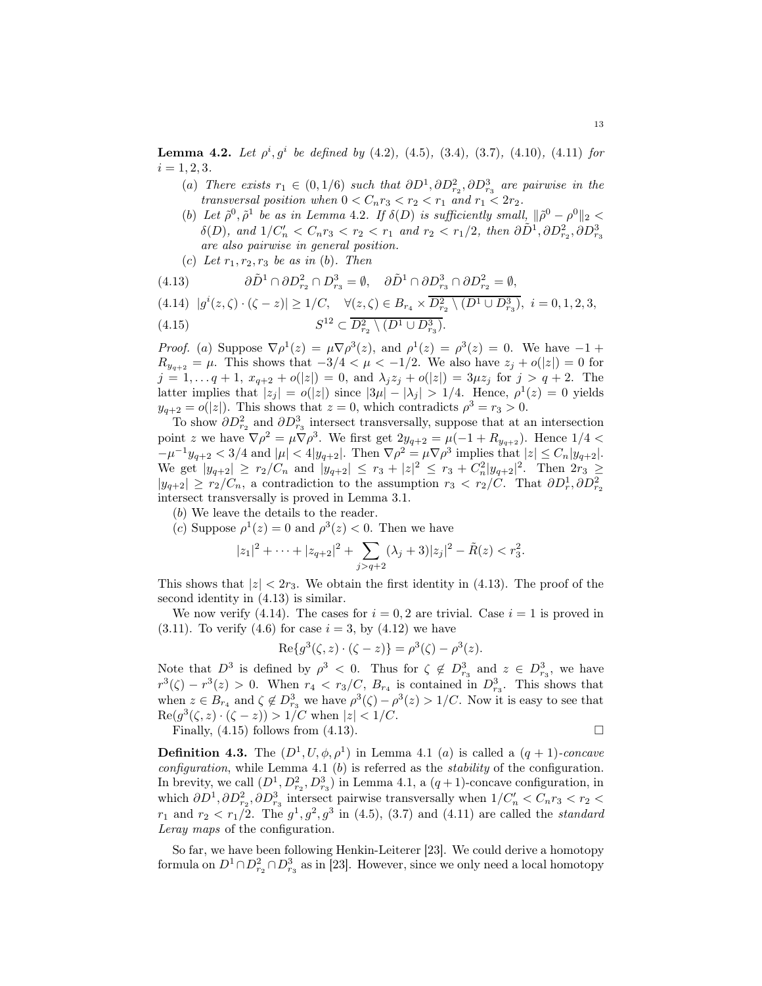<span id="page-12-0"></span>**Lemma 4.2.** Let  $\rho^i, g^i$  be defined by (4.[2\)](#page-11-0), [\(4](#page-11-1).5), [\(3](#page-8-0).4), (3.[7\)](#page-9-3), (4.[10\)](#page-11-2), (4.[11\)](#page-11-3) for  $i = 1, 2, 3.$ 

- (a) There exists  $r_1 \in (0, 1/6)$  such that  $\partial D^1, \partial D^2_{r_2}, \partial D^3_{r_3}$  are pairwise in the transversal position when  $0 < C_n r_3 < r_2 < r_1$  and  $r_1 < 2r_2$ .
- (b) Let  $\tilde{\rho}^0$ ,  $\tilde{\rho}^1$  be as in Lemma [4](#page-12-0).2. If  $\delta(D)$  is sufficiently small,  $\|\tilde{\rho}^0 \rho^0\|_2 <$  $\delta(D)$ , and  $1/C'_n < C_n r_3 < r_2 < r_1$  and  $r_2 < r_1/2$ , then  $\partial \tilde{D}^1, \partial D_{r_2}^2, \partial D_{r_3}^3$ are also pairwise in general position.
- (c) Let  $r_1, r_2, r_3$  be as in (b). Then

<span id="page-12-2"></span><span id="page-12-1"></span>
$$
(4.13) \qquad \partial \tilde{D}^1 \cap \partial D_{r_2}^2 \cap D_{r_3}^3 = \emptyset, \quad \partial \tilde{D}^1 \cap \partial D_{r_3}^3 \cap \partial D_{r_2}^2 = \emptyset,
$$
  

$$
(4.14) \quad |g^i(z,\zeta) \cdot (\zeta - z)| \ge 1/C, \quad \forall (z,\zeta) \in B_{r_4} \times \overline{D_{r_2}^2 \setminus (D^1 \cup D_{r_3}^3)}, \ i = 0,1,2,3,
$$

<span id="page-12-3"></span>(4.15) 
$$
S^{12} \subset \overline{D_{r_2}^2 \setminus (D^1 \cup D_{r_3}^3)}.
$$

*Proof.* (a) Suppose  $\nabla \rho^1(z) = \mu \nabla \rho^3(z)$ , and  $\rho^1(z) = \rho^3(z) = 0$ . We have  $-1 + \rho^3(z) = 0$ .  $R_{y_{q+2}} = \mu$ . This shows that  $-3/4 < \mu < -1/2$ . We also have  $z_j + o(|z|) = 0$  for  $j = 1, \ldots q + 1, x_{q+2} + o(|z|) = 0$ , and  $\lambda_j z_j + o(|z|) = 3\mu z_j$  for  $j > q + 2$ . The latter implies that  $|z_j| = o(|z|)$  since  $|3\mu| - |\lambda_j| > 1/4$ . Hence,  $\rho^1(z) = 0$  yields  $y_{q+2} = o(|z|)$ . This shows that  $z = 0$ , which contradicts  $\rho^3 = r_3 > 0$ .

To show  $\partial D_{r_2}^2$  and  $\partial D_{r_3}^3$  intersect transversally, suppose that at an intersection point z we have  $\nabla \rho^2 = \mu \nabla \rho^3$ . We first get  $2y_{q+2} = \mu(-1 + R_{y_{q+2}})$ . Hence  $1/4 <$  $-\mu^{-1}y_{q+2} < 3/4$  and  $|\mu| < 4|y_{q+2}|$ . Then  $\nabla \rho^2 = \mu \nabla \rho^3$  implies that  $|z| \leq C_n |y_{q+2}|$ . We get  $|y_{q+2}| \ge r_2/C_n$  and  $|y_{q+2}| \le r_3 + |z|^2 \le r_3 + C_n^2 |y_{q+2}|^2$ . Then  $2r_3 \ge$  $|y_{q+2}| \ge r_2/C_n$ , a contradiction to the assumption  $r_3 < r_2/C$ . That  $\partial D_r^1, \partial D_{r_2}^2$ intersect transversally is proved in Lemma [3.1.](#page-7-1)

(b) We leave the details to the reader.

(c) Suppose  $\rho^1(z) = 0$  and  $\rho^3(z) < 0$ . Then we have

$$
|z_1|^2 + \cdots + |z_{q+2}|^2 + \sum_{j>q+2} (\lambda_j + 3)|z_j|^2 - \tilde{R}(z) < r_3^2.
$$

This shows that  $|z| < 2r_3$ . We obtain the first identity in [\(4.13\)](#page-12-1). The proof of the second identity in [\(4.13\)](#page-12-1) is similar.

We now verify [\(4.14\)](#page-12-2). The cases for  $i = 0, 2$  are trivial. Case  $i = 1$  is proved in [\(3.11\)](#page-9-2). To verify [\(4.6\)](#page-11-4) for case  $i = 3$ , by [\(4.12\)](#page-11-5) we have

Re{
$$
g^3(\zeta, z) \cdot (\zeta - z)
$$
} =  $\rho^3(\zeta) - \rho^3(z)$ .

Note that  $D^3$  is defined by  $\rho^3 < 0$ . Thus for  $\zeta \notin D^3_{r_3}$  and  $z \in D^3_{r_3}$ , we have  $r^3(\zeta) - r^3(z) > 0$ . When  $r_4 < r_3/C$ ,  $B_{r_4}$  is contained in  $D_{r_3}^3$ . This shows that when  $z \in B_{r_4}$  and  $\zeta \notin D^3_{r_3}$  we have  $\rho^3(\zeta) - \rho^3(z) > 1/C$ . Now it is easy to see that  $\text{Re}(g^3(\zeta,z)\cdot(\zeta-z)) > 1/C$  when  $|z| < 1/C$ .

Finally,  $(4.15)$  follows from  $(4.13)$ .

**Definition 4.3.** The  $(D^1, U, \phi, \rho^1)$  $(D^1, U, \phi, \rho^1)$  $(D^1, U, \phi, \rho^1)$  in Lemma 4.1 (a) is called a  $(q + 1)$ -concave configuration, while Lemma [4.1](#page-10-2)  $(b)$  is referred as the *stability* of the configuration. In brevity, we call  $(D^1, D^2_{r_2}, D^3_{r_3})$  in Lemma [4](#page-10-2).1, a  $(q+1)$ -concave configuration, in which  $\partial D^1$ ,  $\partial D^2_{r_2}$ ,  $\partial D^3_{r_3}$  intersect pairwise transversally when  $1/C'_n < C_n r_3 < r_2 <$  $r_1$  and  $r_2 < r_1/2$ . The  $g^1, g^2, g^3$  in [\(4](#page-11-1).5), (3.[7\)](#page-9-3) and (4.[11\)](#page-11-3) are called the *standard* Leray maps of the configuration.

So far, we have been following Henkin-Leiterer [\[23\]](#page-43-9). We could derive a homotopy formula on  $D^1 \cap D_{r_2}^2 \cap D_{r_3}^3$  as in [\[23\]](#page-43-9). However, since we only need a local homotopy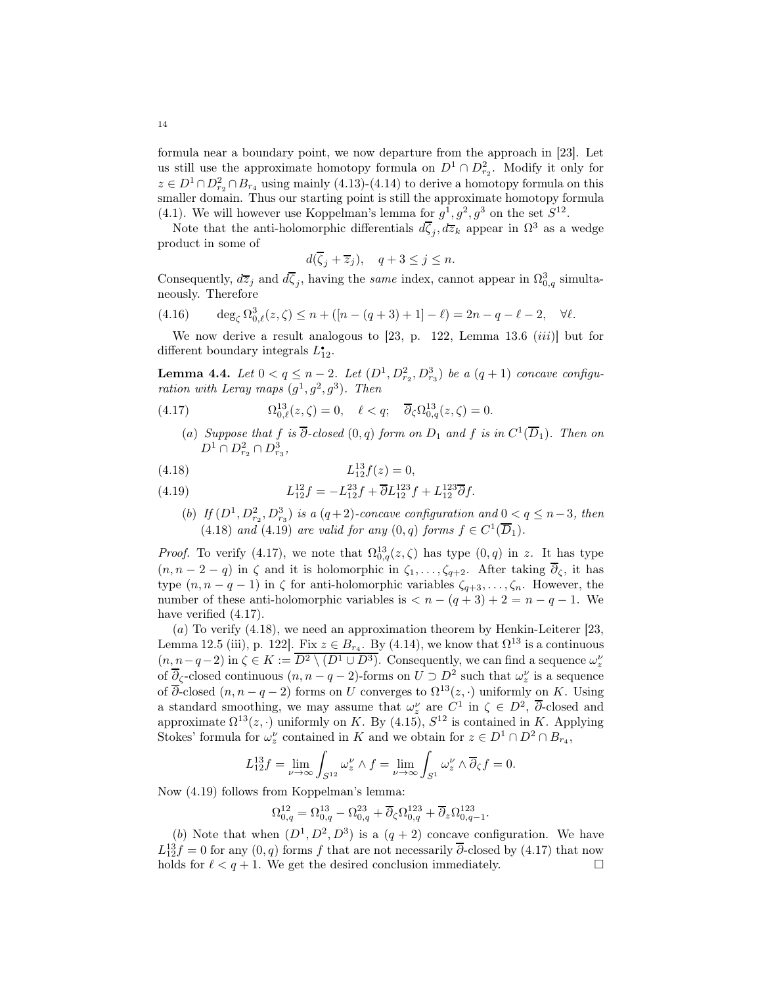formula near a boundary point, we now departure from the approach in [\[23\]](#page-43-9). Let us still use the approximate homotopy formula on  $D^1 \cap D^2_{r_2}$ . Modify it only for  $z \in D^1 \cap D_{r_2}^2 \cap B_{r_4}$  using mainly [\(4.13\)](#page-12-1)-[\(4.14\)](#page-12-2) to derive a homotopy formula on this smaller domain. Thus our starting point is still the approximate homotopy formula [\(4.1\)](#page-10-1). We will however use Koppelman's lemma for  $g^1, g^2, g^3$  on the set  $S^{12}$ .

Note that the anti-holomorphic differentials  $d\overline{\zeta}_j, d\overline{z}_k$  appear in  $\Omega^3$  as a wedge product in some of

$$
d(\overline{\zeta}_j + \overline{z}_j), \quad q+3 \le j \le n.
$$

Consequently,  $d\overline{z}_j$  and  $d\overline{\zeta}_j$ , having the *same* index, cannot appear in  $\Omega_{0,q}^3$  simultaneously. Therefore

<span id="page-13-3"></span>(4.16) 
$$
\deg_{\zeta} \Omega_{0,\ell}^3(z,\zeta) \le n + (n - (q+3) + 1) - \ell = 2n - q - \ell - 2, \quad \forall \ell.
$$

We now derive a result analogous to  $[23, p. 122,$  Lemma 13.6  $(iii)$  but for different boundary integrals  $L_{12}^{\bullet}$ .

**Lemma 4.4.** Let  $0 < q \leq n-2$ . Let  $(D^1, D^2_{r_2}, D^3_{r_3})$  be a  $(q+1)$  concave configuration with Leray maps  $(g^1, g^2, g^3)$ . Then

<span id="page-13-2"></span>(4.17) 
$$
\Omega^{13}_{0,\ell}(z,\zeta) = 0, \quad \ell < q; \quad \overline{\partial}_{\zeta} \Omega^{13}_{0,q}(z,\zeta) = 0.
$$

(a) Suppose that f is  $\overline{\partial}$ -closed  $(0, q)$  form on  $D_1$  and f is in  $C^1(\overline{D}_1)$ . Then on  $D^1 \cap D^2_{r_2} \cap D^3_{r_3}$ 

<span id="page-13-0"></span>
$$
(4.18) \t\t\t L_{12}^{13}f(z) = 0,
$$

<span id="page-13-1"></span>(4.19) 
$$
L_{12}^{12}f = -L_{12}^{23}f + \overline{\partial}L_{12}^{123}f + L_{12}^{123}\overline{\partial}f.
$$

(b) If  $(D^1, D_{r_2}^2, D_{r_3}^3)$  is a  $(q+2)$ -concave configuration and  $0 < q \leq n-3$ , then (4.[18\)](#page-13-0) and (4.[19\)](#page-13-1) are valid for any  $(0, q)$  forms  $f \in C^1(\overline{D}_1)$ .

*Proof.* To verify [\(4.17\)](#page-13-2), we note that  $\Omega_{0,q}^{13}(z,\zeta)$  has type  $(0,q)$  in z. It has type  $(n, n-2-q)$  in  $\zeta$  and it is holomorphic in  $\zeta_1, \ldots, \zeta_{q+2}$ . After taking  $\overline{\partial}_{\zeta}$ , it has type  $(n, n - q - 1)$  in  $\zeta$  for anti-holomorphic variables  $\zeta_{q+3}, \ldots, \zeta_n$ . However, the number of these anti-holomorphic variables is  $\langle n - (q + 3) + 2 = n - q - 1$ . We have verified  $(4.17)$ .

 $(a)$  To verify  $(4.18)$ , we need an approximation theorem by Henkin-Leiterer [\[23,](#page-43-9) Lemma 12.5 (iii), p. 122]. Fix  $z \in B_{r_4}$ . By [\(4.14\)](#page-12-2), we know that  $\Omega^{13}$  is a continuous  $(n, n-q-2)$  in  $\zeta \in K := \overline{D^2 \setminus (D^1 \cup D^3)}$ . Consequently, we can find a sequence  $\omega_z^{\nu}$ of  $\overline{\partial}_{\zeta}$ -closed continuous  $(n, n - q - 2)$ -forms on  $U \supset D^2$  such that  $\omega_z^{\nu}$  is a sequence of  $\overline{\partial}$ -closed  $(n, n - q - 2)$  forms on U converges to  $\Omega^{13}(z, \cdot)$  uniformly on K. Using a standard smoothing, we may assume that  $\omega_z^{\nu}$  are  $C^1$  in  $\zeta \in D^2$ ,  $\overline{\partial}$ -closed and approximate  $\Omega^{13}(z, \cdot)$  uniformly on K. By [\(4.15\)](#page-12-3),  $S^{12}$  is contained in K. Applying Stokes' formula for  $\omega_z^{\nu}$  contained in K and we obtain for  $z \in D^1 \cap D^2 \cap B_{r_4}$ ,

$$
L_{12}^{13}f = \lim_{\nu \to \infty} \int_{S^{12}} \omega_z^{\nu} \wedge f = \lim_{\nu \to \infty} \int_{S^1} \omega_z^{\nu} \wedge \overline{\partial}_{\zeta} f = 0.
$$

Now [\(4.19\)](#page-13-1) follows from Koppelman's lemma:

$$
\Omega_{0,q}^{12} = \Omega_{0,q}^{13} - \Omega_{0,q}^{23} + \overline{\partial}_{\zeta} \Omega_{0,q}^{123} + \overline{\partial}_{z} \Omega_{0,q-1}^{123}.
$$

(b) Note that when  $(D^1, D^2, D^3)$  is a  $(q + 2)$  concave configuration. We have  $L_{12}^{13}f = 0$  for any  $(0, q)$  forms f that are not necessarily  $\overline{\partial}$ -closed by  $(4.17)$  that now holds for  $\ell < q + 1$ . We get the desired conclusion immediately.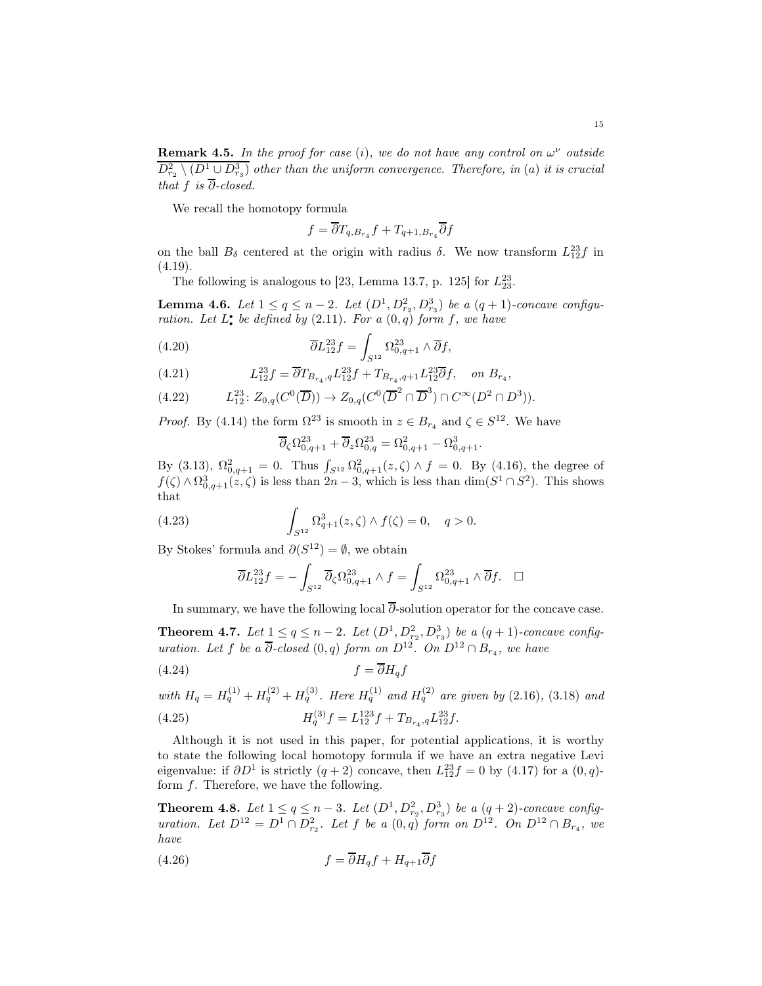**Remark 4.5.** In the proof for case (i), we do not have any control on  $\omega^{\nu}$  outside  $D_{r_2}^2 \setminus (D^1 \cup D_{r_3}^3)$  other than the uniform convergence. Therefore, in (a) it is crucial that f is  $\overline{\partial}$ -closed.

We recall the homotopy formula

$$
f = \overline{\partial} T_{q, B_{r_4}} f + T_{q+1, B_{r_4}} \overline{\partial} f
$$

on the ball  $B_{\delta}$  centered at the origin with radius  $\delta$ . We now transform  $L_{12}^{23}f$  in  $(4.19).$  $(4.19).$ 

The following is analogous to [\[23,](#page-43-9) Lemma 13.7, p. 125] for  $L_{23}^{23}$ .

**Lemma 4.6.** Let  $1 \le q \le n-2$ . Let  $(D^1, D^2_{r_2}, D^3_{r_3})$  be a  $(q+1)$ -concave configuration. Let  $L^{\bullet}$  be defined by  $(2.11)$  $(2.11)$ . For a  $(0,q)$  form f, we have

(4.20) 
$$
\overline{\partial} L_{12}^{23} f = \int_{S^{12}} \Omega_{0,q+1}^{23} \wedge \overline{\partial} f,
$$

(4.21) 
$$
L_{12}^{23}f = \overline{\partial} T_{B_{r_4},q} L_{12}^{23}f + T_{B_{r_4},q+1} L_{12}^{23} \overline{\partial} f, \text{ on } B_{r_4},
$$

$$
(4.22) \tL_{12}^{23} : Z_{0,q}(C^0(\overline{D})) \to Z_{0,q}(C^0(\overline{D}^2 \cap \overline{D}^3) \cap C^{\infty}(D^2 \cap D^3)).
$$

*Proof.* By [\(4.14\)](#page-12-2) the form  $\Omega^{23}$  is smooth in  $z \in B_{r_4}$  and  $\zeta \in S^{12}$ . We have

$$
\overline{\partial}_{\zeta}\Omega_{0,q+1}^{23} + \overline{\partial}_{z}\Omega_{0,q}^{23} = \Omega_{0,q+1}^{2} - \Omega_{0,q+1}^{3}.
$$

By [\(3.13\)](#page-9-5),  $\Omega_{0,q+1}^2 = 0$ . Thus  $\int_{S^{12}} \Omega_{0,q+1}^2(z,\zeta) \wedge f = 0$ . By [\(4.16\)](#page-13-3), the degree of  $f(\zeta) \wedge \Omega_{0,q+1}^3(z,\zeta)$  is less than  $2n-3$ , which is less than  $\dim(S^1 \cap S^2)$ . This shows that

(4.23) 
$$
\int_{S^{12}} \Omega_{q+1}^3(z,\zeta) \wedge f(\zeta) = 0, \quad q > 0.
$$

By Stokes' formula and  $\partial(S^{12}) = \emptyset$ , we obtain

$$
\overline{\partial}L_{12}^{23}f = -\int_{S^{12}} \overline{\partial}_{\zeta} \Omega_{0,q+1}^{23} \wedge f = \int_{S^{12}} \Omega_{0,q+1}^{23} \wedge \overline{\partial}f. \quad \Box
$$

In summary, we have the following local  $\overline{\partial}$ -solution operator for the concave case.

<span id="page-14-0"></span>**Theorem 4.7.** Let  $1 \le q \le n-2$ . Let  $(D^1, D^2_{r_2}, D^3_{r_3})$  be a  $(q + 1)$ -concave configuration. Let f be a  $\overline{\partial}$ -closed  $(0, q)$  form on  $D^{12}$ . On  $D^{12} \cap B_{r_4}$ , we have

$$
(4.24)\t\t\t f = \overline{\partial} H_q f
$$

with 
$$
H_q = H_q^{(1)} + H_q^{(2)} + H_q^{(3)}
$$
. Here  $H_q^{(1)}$  and  $H_q^{(2)}$  are given by (2.16), (3.18) and  
(4.25) 
$$
H_q^{(3)}f = L_{12}^{123}f + T_{B_{r_4},q}L_{12}^{23}f.
$$

Although it is not used in this paper, for potential applications, it is worthy to state the following local homotopy formula if we have an extra negative Levi eigenvalue: if  $\partial D^1$  is strictly  $(q+2)$  concave, then  $L_{12}^{23}f = 0$  by  $(4.17)$  for a  $(0, q)$ form f. Therefore, we have the following.

<span id="page-14-1"></span>**Theorem 4.8.** Let  $1 \le q \le n-3$ . Let  $(D^1, D^2_{r_2}, D^3_{r_3})$  be a  $(q+2)$ -concave configuration. Let  $D^{12} = D^1 \cap D_{r_2}^2$ . Let f be a  $(0,q)$  form on  $D^{12}$ . On  $D^{12} \cap B_{r_4}$ , we have

$$
(4.26)\t\t\t f = \partial H_q f + H_{q+1}\partial f
$$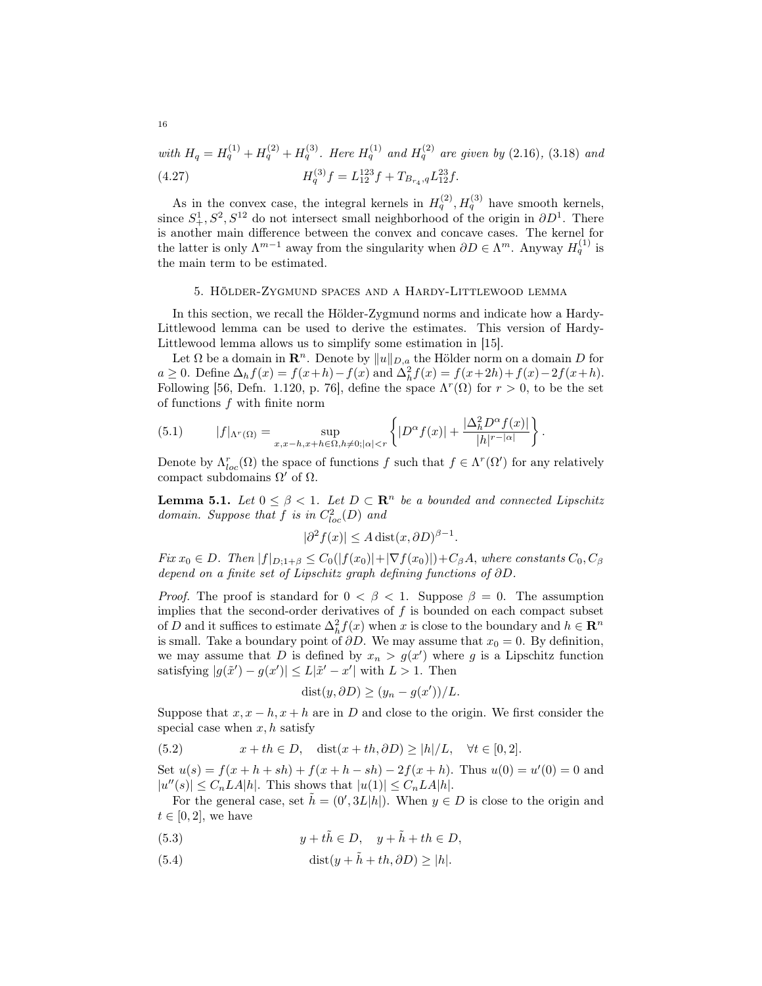with  $H_q = H_q^{(1)} + H_q^{(2)} + H_q^{(3)}$ . Here  $H_q^{(1)}$  and  $H_q^{(2)}$  are given by (2.[16\)](#page-5-4), (3.[18\)](#page-10-3) and (4.27)  $H_q^{(3)}f = L_{12}^{123}f + T_{B_{r_4},q}L_{12}^{23}f.$ 

As in the convex case, the integral kernels in  $H_q^{(2)}$ ,  $H_q^{(3)}$  have smooth kernels, since  $S_+^1, S^2, S^{12}$  do not intersect small neighborhood of the origin in  $\partial D^1$ . There is another main difference between the convex and concave cases. The kernel for the latter is only  $\Lambda^{m-1}$  away from the singularity when  $\partial D \in \Lambda^m$ . Anyway  $H_q^{(1)}$  is the main term to be estimated.

#### 5. Hölder-Zygmund spaces and a Hardy-Littlewood lemma

<span id="page-15-0"></span>In this section, we recall the Hölder-Zygmund norms and indicate how a Hardy-Littlewood lemma can be used to derive the estimates. This version of Hardy-Littlewood lemma allows us to simplify some estimation in [\[15\]](#page-43-11).

Let  $\Omega$  be a domain in  $\mathbb{R}^n$ . Denote by  $||u||_{D,a}$  the Hölder norm on a domain D for  $a \ge 0$ . Define  $\Delta_h f(x) = f(x+h) - f(x)$  and  $\Delta_h^2 f(x) = f(x+2h) + f(x) - 2f(x+h)$ . Following [\[56,](#page-44-10) Defn. 1.120, p. 76], define the space  $\Lambda^r(\Omega)$  for  $r > 0$ , to be the set of functions  $f$  with finite norm

<span id="page-15-4"></span>(5.1) 
$$
|f|_{\Lambda^r(\Omega)} = \sup_{x,x-h,x+h\in\Omega, h\neq 0; |\alpha|< r} \left\{|D^{\alpha}f(x)| + \frac{|\Delta_h^2 D^{\alpha}f(x)|}{|h|^{r-|\alpha|}}\right\}.
$$

Denote by  $\Lambda_{loc}^r(\Omega)$  the space of functions f such that  $f \in \Lambda^r(\Omega')$  for any relatively compact subdomains  $\Omega'$  of  $\Omega$ .

<span id="page-15-5"></span>**Lemma 5.1.** Let  $0 \leq \beta < 1$ . Let  $D \subset \mathbb{R}^n$  be a bounded and connected Lipschitz domain. Suppose that f is in  $C^2_{loc}(D)$  and

$$
|\partial^2 f(x)| \le A \operatorname{dist}(x, \partial D)^{\beta - 1}.
$$

 $Fix x_0 \in D$ . Then  $|f|_{D;1+\beta} \leq C_0(|f(x_0)|+|\nabla f(x_0)|)+C_\beta A$ , where constants  $C_0, C_\beta$ depend on a finite set of Lipschitz graph defining functions of ∂D.

*Proof.* The proof is standard for  $0 < \beta < 1$ . Suppose  $\beta = 0$ . The assumption implies that the second-order derivatives of  $f$  is bounded on each compact subset of D and it suffices to estimate  $\Delta_h^2 f(x)$  when x is close to the boundary and  $h \in \mathbb{R}^n$ is small. Take a boundary point of  $\partial D$ . We may assume that  $x_0 = 0$ . By definition, we may assume that D is defined by  $x_n > g(x')$  where g is a Lipschitz function satisfying  $|g(\tilde{x}') - g(x')| \le L|\tilde{x}' - x'|$  with  $L > 1$ . Then

$$
dist(y, \partial D) \ge (y_n - g(x'))/L.
$$

Suppose that  $x, x - h, x + h$  are in D and close to the origin. We first consider the special case when  $x, h$  satisfy

<span id="page-15-3"></span>(5.2) 
$$
x + th \in D, \quad \text{dist}(x + th, \partial D) \ge |h|/L, \quad \forall t \in [0, 2].
$$

Set  $u(s) = f(x + h + sh) + f(x + h - sh) - 2f(x + h)$ . Thus  $u(0) = u'(0) = 0$  and  $|u''(s)| \leq C_n L A|h|$ . This shows that  $|u(1)| \leq C_n L A|h|$ .

For the general case, set  $\tilde{h} = (0', 3L|h|)$ . When  $y \in D$  is close to the origin and  $t \in [0, 2]$ , we have

- <span id="page-15-1"></span>(5.3)  $y + t\tilde{h} \in D, \quad y + \tilde{h} + th \in D,$
- <span id="page-15-2"></span>(5.4) dist $(y + \tilde{h} + th, \partial D) \ge |h|$ .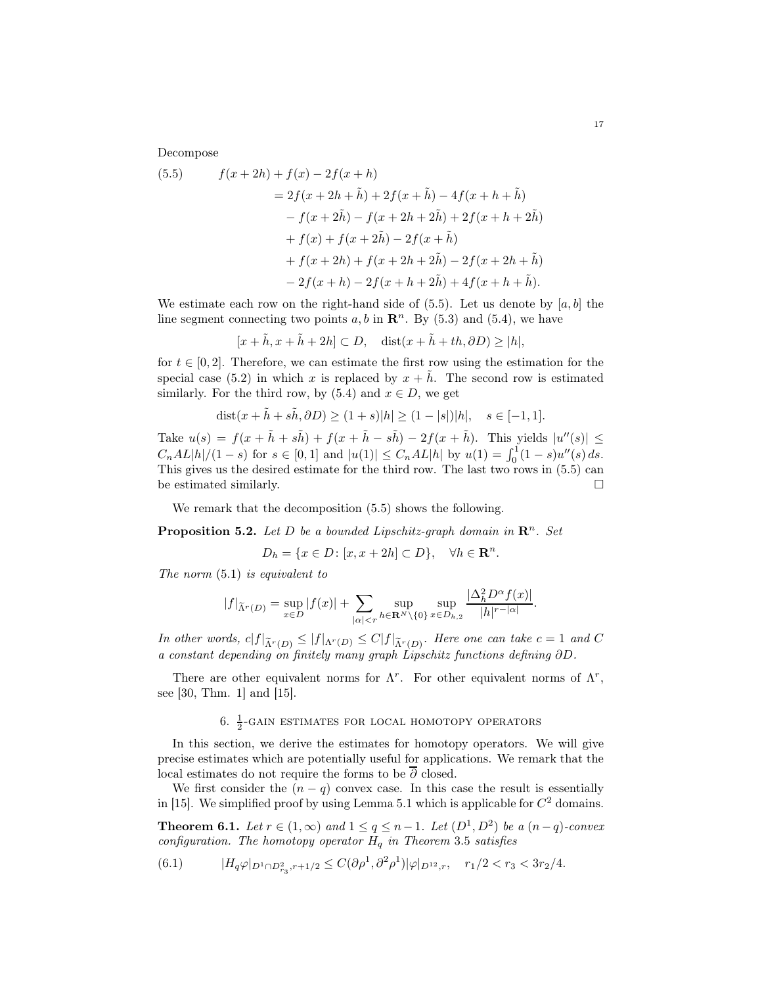Decompose

<span id="page-16-1"></span>(5.5) 
$$
f(x+2h) + f(x) - 2f(x+h) = 2f(x+h) + 2f(x+\tilde{h}) - 4f(x+h+\tilde{h}) - f(x+2\tilde{h}) - f(x+2h+2\tilde{h}) + 2f(x+h+2\tilde{h}) + f(x) + f(x+2\tilde{h}) - 2f(x+\tilde{h}) + f(x+2h) + f(x+2h+2\tilde{h}) - 2f(x+2h+\tilde{h}) - 2f(x+h) - 2f(x+h+2\tilde{h}) + 4f(x+h+\tilde{h}).
$$

We estimate each row on the right-hand side of  $(5.5)$ . Let us denote by  $[a, b]$  the line segment connecting two points  $a, b$  in  $\mathbb{R}^n$ . By [\(5.3\)](#page-15-1) and [\(5.4\)](#page-15-2), we have

$$
[x+\tilde{h}, x+\tilde{h}+2h] \subset D, \quad \text{dist}(x+\tilde{h}+th, \partial D) \ge |h|,
$$

for  $t \in [0, 2]$ . Therefore, we can estimate the first row using the estimation for the special case [\(5.2\)](#page-15-3) in which x is replaced by  $x + \tilde{h}$ . The second row is estimated similarly. For the third row, by [\(5.4\)](#page-15-2) and  $x \in D$ , we get

$$
dist(x + \tilde{h} + s\tilde{h}, \partial D) \ge (1 + s)|h| \ge (1 - |s|)|h|, \quad s \in [-1, 1].
$$

Take  $u(s) = f(x + \tilde{h} + s\tilde{h}) + f(x + \tilde{h} - s\tilde{h}) - 2f(x + \tilde{h}).$  This yields  $|u''(s)| \le$  $C_nAL|h|/(1-s)$  for  $s \in [0,1]$  and  $|u(1)| \le C_nAL|h|$  by  $u(1) = \int_0^1 (1-s)u''(s) ds$ . This gives us the desired estimate for the third row. The last two rows in [\(5.5\)](#page-16-1) can be estimated similarly.  $\Box$ 

We remark that the decomposition [\(5.5\)](#page-16-1) shows the following.

**Proposition 5.2.** Let D be a bounded Lipschitz-graph domain in  $\mathbb{R}^n$ . Set

$$
D_h = \{x \in D \colon [x, x + 2h] \subset D\}, \quad \forall h \in \mathbf{R}^n.
$$

The norm  $(5.1)$  $(5.1)$  is equivalent to

$$
|f|_{\tilde{\Lambda}^r(D)} = \sup_{x \in D} |f(x)| + \sum_{|\alpha| < r} \sup_{h \in \mathbf{R}^N \setminus \{0\}} \sup_{x \in D_{h,2}} \frac{|\Delta_h^2 D^\alpha f(x)|}{|h|^{r-|\alpha|}}.
$$

In other words,  $c|f|_{\tilde{\Lambda}^r(D)} \leq |f|_{\Lambda^r(D)} \leq C|f|_{\tilde{\Lambda}^r(D)}$ . Here one can take  $c=1$  and  $C$ a constant depending on finitely many graph Lipschitz functions defining ∂D.

There are other equivalent norms for  $\Lambda^r$ . For other equivalent norms of  $\Lambda^r$ , see [\[30,](#page-43-14) Thm. 1] and [\[15\]](#page-43-11).

# 6.  $\frac{1}{2}$ -GAIN ESTIMATES FOR LOCAL HOMOTOPY OPERATORS

In this section, we derive the estimates for homotopy operators. We will give precise estimates which are potentially useful for applications. We remark that the local estimates do not require the forms to be  $\overline{\partial}$  closed.

We first consider the  $(n - q)$  convex case. In this case the result is essentially in [\[15\]](#page-43-11). We simplified proof by using Lemma [5.1](#page-15-5) which is applicable for  $C^2$  domains.

<span id="page-16-2"></span>**Theorem 6.1.** Let  $r \in (1,\infty)$  and  $1 \leq q \leq n-1$ . Let  $(D^1, D^2)$  be a  $(n-q)$ -convex configuration. The homotopy operator  $H_q$  in Theorem [3](#page-10-4).5 satisfies

<span id="page-16-0"></span>
$$
(6.1) \t\t |H_q\varphi|_{D^1 \cap D^2_{r_3}, r+1/2} \leq C(\partial \rho^1, \partial^2 \rho^1)|\varphi|_{D^{12},r}, \quad r_1/2 < r_3 < 3r_2/4.
$$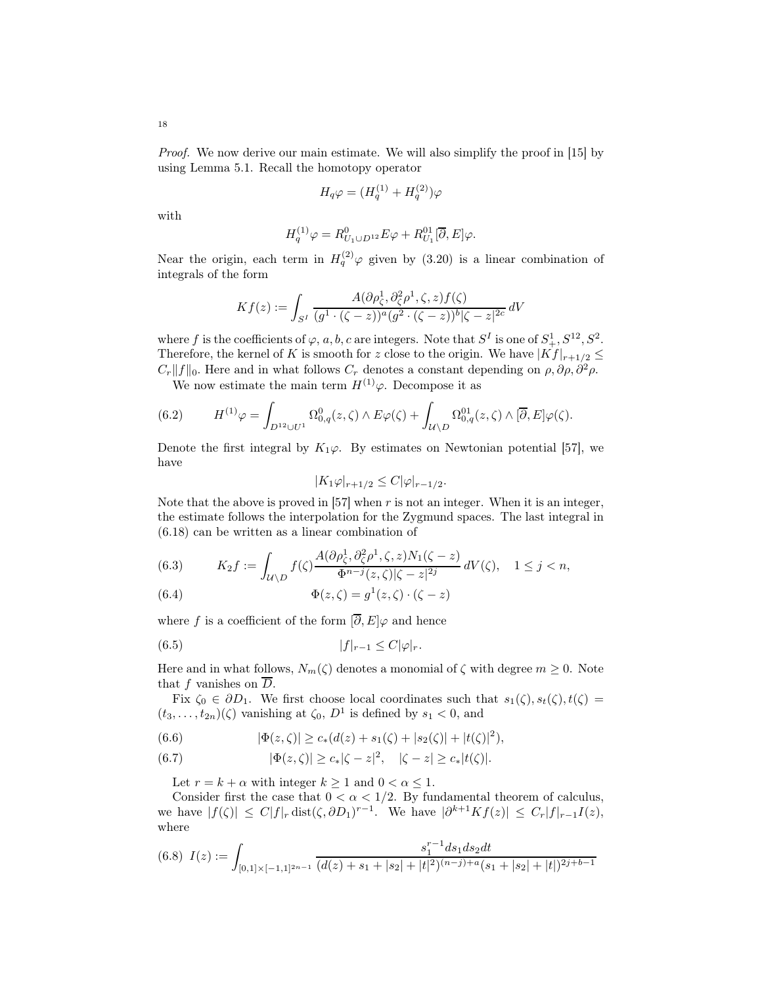Proof. We now derive our main estimate. We will also simplify the proof in [\[15\]](#page-43-11) by using Lemma [5.1.](#page-15-5) Recall the homotopy operator

$$
H_q\varphi=(H_q^{(1)}+H_q^{(2)})\varphi
$$

with

$$
H_q^{(1)}\varphi = R_{U_1\cup D^{12}}^0 E\varphi + R_{U_1}^{01} [\overline{\partial}, E]\varphi.
$$

Near the origin, each term in  $H_q^{(2)}\varphi$  given by [\(3.20\)](#page-10-5) is a linear combination of integrals of the form

$$
Kf(z) := \int_{S^I} \frac{A(\partial \rho_\zeta^1, \partial_\zeta^2 \rho^1, \zeta, z) f(\zeta)}{(g^1 \cdot (\zeta - z))^a (g^2 \cdot (\zeta - z))^b |\zeta - z|^{2c}} dV
$$

where f is the coefficients of  $\varphi$ , a, b, c are integers. Note that  $S^I$  is one of  $S^1_+, S^{12}, S^2$ . Therefore, the kernel of K is smooth for z close to the origin. We have  $|Kf|_{r+1/2} \leq$  $C_r||f||_0$ . Here and in what follows  $C_r$  denotes a constant depending on  $\rho$ ,  $\partial \rho$ ,  $\partial^2 \rho$ .

We now estimate the main term  $H^{(1)}\varphi$ . Decompose it as

(6.2) 
$$
H^{(1)}\varphi = \int_{D^{12} \cup U^{1}} \Omega_{0,q}^{0}(z,\zeta) \wedge E\varphi(\zeta) + \int_{\mathcal{U} \backslash D} \Omega_{0,q}^{01}(z,\zeta) \wedge [\overline{\partial},E] \varphi(\zeta).
$$

Denote the first integral by  $K_1\varphi$ . By estimates on Newtonian potential [\[57\]](#page-44-11), we have

$$
|K_1\varphi|_{r+1/2} \leq C|\varphi|_{r-1/2}.
$$

Note that the above is proved in  $[57]$  when r is not an integer. When it is an integer, the estimate follows the interpolation for the Zygmund spaces. The last integral in [\(6.18\)](#page-19-1) can be written as a linear combination of

(6.3) 
$$
K_2 f := \int_{\mathcal{U} \backslash D} f(\zeta) \frac{A(\partial \rho_{\zeta}^1, \partial_{\zeta}^2 \rho^1, \zeta, z) N_1(\zeta - z)}{\Phi^{n-j}(z, \zeta) | \zeta - z|^{2j}} dV(\zeta), \quad 1 \le j < n,
$$

(6.4) 
$$
\Phi(z,\zeta) = g^1(z,\zeta) \cdot (\zeta - z)
$$

where f is a coefficient of the form  $[\overline{\partial}, E] \varphi$  and hence

$$
(6.5) \t\t |f|_{r-1} \le C|\varphi|_r.
$$

Here and in what follows,  $N_m(\zeta)$  denotes a monomial of  $\zeta$  with degree  $m \geq 0$ . Note that f vanishes on  $\overline{D}$ .

Fix  $\zeta_0 \in \partial D_1$ . We first choose local coordinates such that  $s_1(\zeta), s_t(\zeta), t(\zeta) =$  $(t_3,\ldots,t_{2n})(\zeta)$  vanishing at  $\zeta_0$ ,  $D^1$  is defined by  $s_1 < 0$ , and

(6.6) 
$$
|\Phi(z,\zeta)| \geq c_*(d(z) + s_1(\zeta) + |s_2(\zeta)| + |t(\zeta)|^2),
$$

(6.7) 
$$
|\Phi(z,\zeta)| \geq c_* |\zeta - z|^2, \quad |\zeta - z| \geq c_* |t(\zeta)|.
$$

Let  $r = k + \alpha$  with integer  $k \ge 1$  and  $0 < \alpha \le 1$ .

Consider first the case that  $0 < \alpha < 1/2$ . By fundamental theorem of calculus, we have  $|f(\zeta)| \leq C|f|_r \operatorname{dist}(\zeta, \partial D_1)^{r-1}$ . We have  $|\partial^{k+1} Kf(z)| \leq C_r |f|_{r-1} I(z)$ , where

<span id="page-17-0"></span>
$$
(6.8) \ I(z) := \int_{[0,1] \times [-1,1]^{2n-1}} \frac{s_1^{r-1} ds_1 ds_2 dt}{(d(z) + s_1 + |s_2| + |t|^2)^{(n-j)+a} (s_1 + |s_2| + |t|)^{2j+b-1}}
$$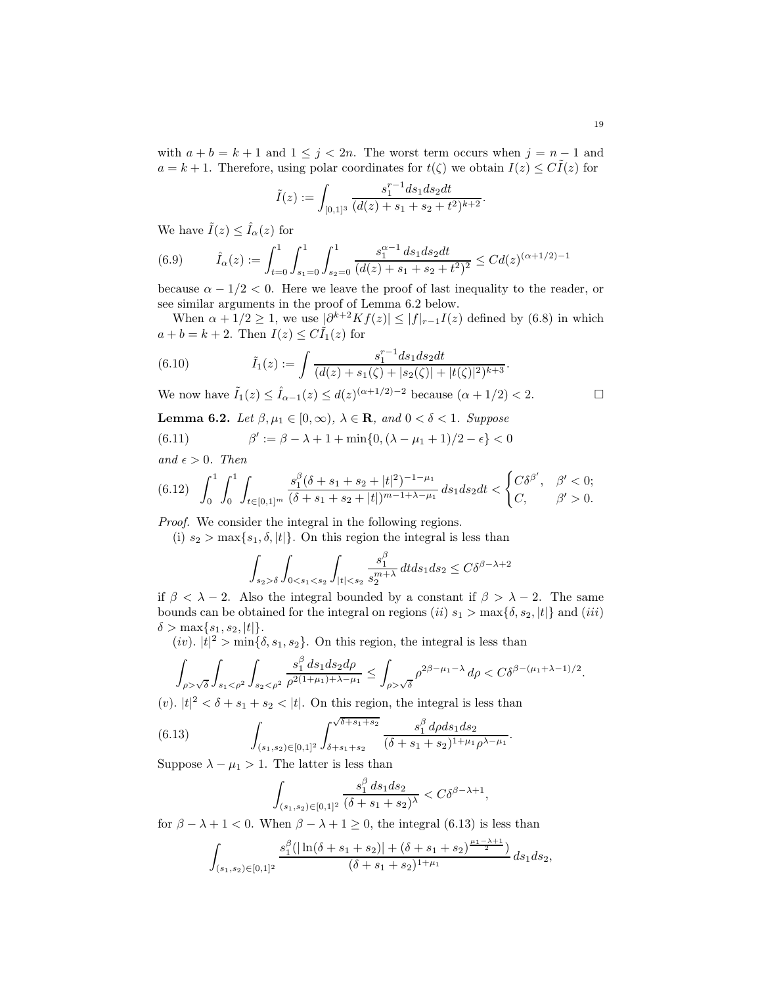with  $a + b = k + 1$  and  $1 \leq j < 2n$ . The worst term occurs when  $j = n - 1$  and  $a = k + 1$ . Therefore, using polar coordinates for  $t(\zeta)$  we obtain  $I(z) \leq C I(z)$  for

$$
\tilde{I}(z) := \int_{[0,1]^3} \frac{s_1^{r-1} ds_1 ds_2 dt}{(d(z) + s_1 + s_2 + t^2)^{k+2}}.
$$

We have  $\tilde{I}(z) \leq \hat{I}_{\alpha}(z)$  for

(6.9) 
$$
\hat{I}_{\alpha}(z) := \int_{t=0}^{1} \int_{s_1=0}^{1} \int_{s_2=0}^{1} \frac{s_1^{\alpha-1} ds_1 ds_2 dt}{(d(z) + s_1 + s_2 + t^2)^2} \leq C d(z)^{(\alpha+1/2)-1}
$$

because  $\alpha - 1/2 < 0$ . Here we leave the proof of last inequality to the reader, or see similar arguments in the proof of Lemma [6.2](#page-18-0) below.

When  $\alpha + 1/2 \geq 1$ , we use  $\lfloor \partial^{k+2} K f(z) \rfloor \leq |f|_{r-1} I(z)$  defined by [\(6.8\)](#page-17-0) in which  $a + b = k + 2$ . Then  $I(z) \leq C \tilde{I}_1(z)$  for

(6.10) 
$$
\tilde{I}_1(z) := \int \frac{s_1^{r-1} ds_1 ds_2 dt}{(d(z) + s_1(\zeta) + |s_2(\zeta)| + |t(\zeta)|^2)^{k+3}}.
$$

We now have  $\tilde{I}_1(z) \leq \hat{I}_{\alpha-1}(z) \leq d(z)^{(\alpha+1/2)-2}$  because  $(\alpha+1/2) < 2$ .

<span id="page-18-2"></span><span id="page-18-0"></span>**Lemma 6.2.** Let  $\beta, \mu_1 \in [0, \infty)$ ,  $\lambda \in \mathbb{R}$ , and  $0 < \delta < 1$ . Suppose  $(6.11)$  $\gamma' := \beta - \lambda + 1 + \min\{0, (\lambda - \mu_1 + 1)/2 - \epsilon\} < 0$ 

and  $\epsilon > 0$ . Then

<span id="page-18-3"></span>
$$
(6.12)\quad \int_0^1 \int_0^1 \int_{t \in [0,1]^m} \frac{s_1^{\beta}(\delta + s_1 + s_2 + |t|^2)^{-1 - \mu_1}}{(\delta + s_1 + s_2 + |t|)^{m - 1 + \lambda - \mu_1}} ds_1 ds_2 dt < \begin{cases} C\delta^{\beta'}, & \beta' < 0; \\ C, & \beta' > 0. \end{cases}
$$

Proof. We consider the integral in the following regions.

(i)  $s_2 > \max\{s_1, \delta, |t|\}.$  On this region the integral is less than

$$
\int_{s_2 > \delta} \int_{0 < s_1 < s_2} \int_{|t| < s_2} \frac{s_1^{\beta}}{s_2^{m+\lambda}} dt ds_1 ds_2 \leq C \delta^{\beta - \lambda + 2}
$$

if  $\beta < \lambda - 2$ . Also the integral bounded by a constant if  $\beta > \lambda - 2$ . The same bounds can be obtained for the integral on regions (ii)  $s_1 > \max\{\delta, s_2, |t|\}$  and (iii)  $\delta > \max\{s_1, s_2, |t|\}.$ 

(*iv*).  $|t|^2 > \min\{\delta, s_1, s_2\}$ . On this region, the integral is less than

$$
\int_{\rho>\sqrt{\delta}}\int_{s_1<\rho^2}\int_{s_2<\rho^2}\frac{s_1^\beta\,ds_1ds_2d\rho}{\rho^{2(1+\mu_1)+\lambda-\mu_1}}\leq \int_{\rho>\sqrt{\delta}}\rho^{2\beta-\mu_1-\lambda}\,d\rho
$$

(v).  $|t|^2 < \delta + s_1 + s_2 < |t|$ . On this region, the integral is less than

(6.13) 
$$
\int_{(s_1, s_2) \in [0,1]^2} \int_{\delta+s_1+s_2}^{\sqrt{\delta+s_1+s_2}} \frac{s_1^{\beta} d\rho ds_1 ds_2}{(\delta+s_1+s_2)^{1+\mu_1} \rho^{\lambda-\mu_1}}
$$

Suppose  $\lambda - \mu_1 > 1$ . The latter is less than

<span id="page-18-1"></span>
$$
\int_{(s_1, s_2) \in [0, 1]^2} \frac{s_1^{\beta} ds_1 ds_2}{(\delta + s_1 + s_2)^{\lambda}} < C \delta^{\beta - \lambda + 1},
$$

.

for  $\beta - \lambda + 1 < 0$ . When  $\beta - \lambda + 1 \ge 0$ , the integral [\(6.13\)](#page-18-1) is less than

$$
\int_{(s_1,s_2)\in[0,1]^2}\frac{s_1^{\beta}(|\ln(\delta+s_1+s_2)|+(\delta+s_1+s_2)^{\frac{\mu_1-\lambda+1}{2}})}{(\delta+s_1+s_2)^{1+\mu_1}}\,ds_1ds_2,
$$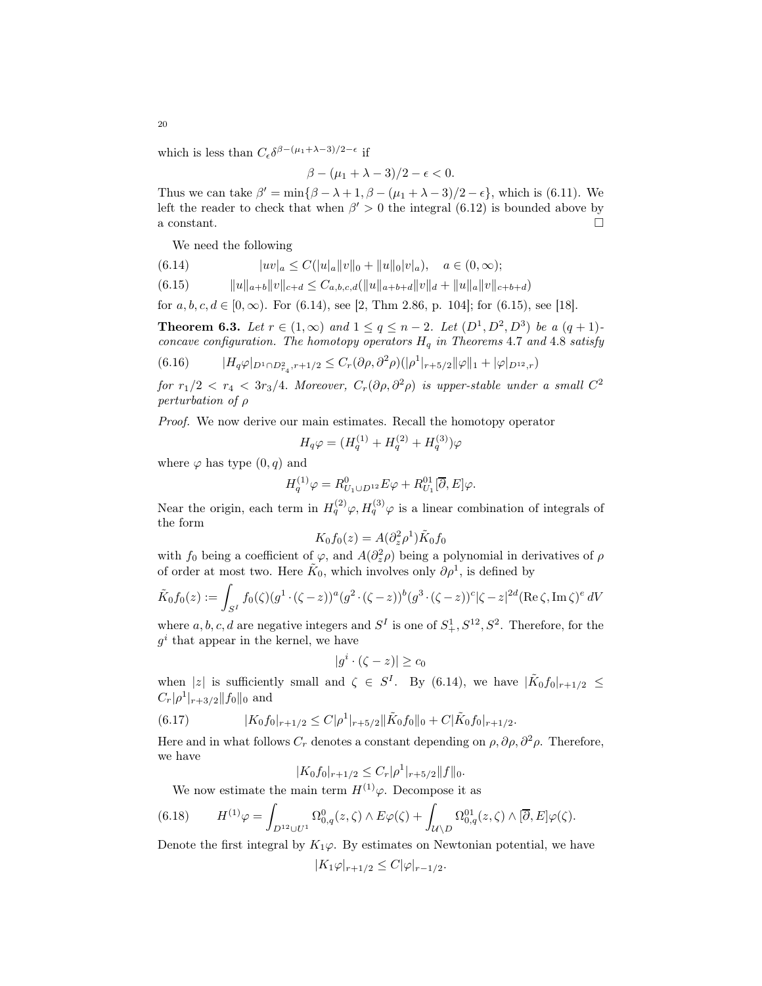which is less than  $C_{\epsilon} \delta^{\beta - (\mu_1 + \lambda - 3)/2 - \epsilon}$  if

$$
\beta-(\mu_1+\lambda-3)/2-\epsilon<0.
$$

Thus we can take  $\beta' = \min\{\beta - \lambda + 1, \beta - (\mu_1 + \lambda - 3)/2 - \epsilon\}$ , which is [\(6.11\)](#page-18-2). We left the reader to check that when  $\beta' > 0$  the integral [\(6.12\)](#page-18-3) is bounded above by a constant.  $\square$ 

We need the following

<span id="page-19-2"></span>
$$
(6.14) \t\t |uv|_a \leq C(|u|_a||v||_0 + ||u||_0|v|_a), \quad a \in (0, \infty);
$$

<span id="page-19-3"></span>
$$
(6.15) \t\t ||u||_{a+b}||v||_{c+d} \leq C_{a,b,c,d}(||u||_{a+b+d}||v||_d + ||u||_a||v||_{c+b+d})
$$

for  $a, b, c, d \in [0, \infty)$ . For  $(6.14)$ , see [\[2,](#page-42-5) Thm 2.86, p. 104]; for  $(6.15)$ , see [\[18\]](#page-43-15).

**Theorem 6.3.** Let  $r \in (1,\infty)$  and  $1 \le q \le n-2$ . Let  $(D^1, D^2, D^3)$  be a  $(q+1)$ concave configuration. The homotopy operators  $H_q$  in Theorems [4](#page-14-1).7 and 4.8 satisfy

<span id="page-19-0"></span>
$$
(6.16) \t\t |H_q\varphi|_{D^1 \cap D^2_{r_4}, r+1/2} \leq C_r(\partial \rho, \partial^2 \rho)(|\rho^1|_{r+5/2} ||\varphi||_1 + |\varphi|_{D^{12},r})
$$

for  $r_1/2 < r_4 < 3r_3/4$ . Moreover,  $C_r(\partial \rho, \partial^2 \rho)$  is upper-stable under a small  $C^2$ perturbation of ρ

Proof. We now derive our main estimates. Recall the homotopy operator

$$
H_q\varphi = (H_q^{(1)} + H_q^{(2)} + H_q^{(3)})\varphi
$$

where  $\varphi$  has type  $(0, q)$  and

$$
H_q^{(1)}\varphi = R_{U_1 \cup D^{12}}^0 E \varphi + R_{U_1}^{01} [\overline{\partial}, E] \varphi.
$$

Near the origin, each term in  $H_q^{(2)}\varphi$ ,  $H_q^{(3)}\varphi$  is a linear combination of integrals of the form

$$
K_0 f_0(z) = A(\partial_z^2 \rho^1) \tilde{K}_0 f_0
$$

with  $f_0$  being a coefficient of  $\varphi$ , and  $A(\partial_z^2 \rho)$  being a polynomial in derivatives of  $\rho$ of order at most two. Here  $\tilde{K}_0$ , which involves only  $\partial \rho^1$ , is defined by

$$
\tilde{K}_0 f_0(z) := \int_{S^I} f_0(\zeta) (g^1 \cdot (\zeta - z))^a (g^2 \cdot (\zeta - z))^b (g^3 \cdot (\zeta - z))^c |\zeta - z|^{2d} (\text{Re}\,\zeta, \text{Im}\,\zeta)^e dV
$$

where  $a, b, c, d$  are negative integers and  $S<sup>I</sup>$  is one of  $S<sup>1</sup>, S<sup>12</sup>, S<sup>2</sup>$ . Therefore, for the  $g^i$  that appear in the kernel, we have

$$
|g^i \cdot (\zeta - z)| \ge c_0
$$

when |z| is sufficiently small and  $\zeta \in S^I$ . By [\(6.14\)](#page-19-2), we have  $|\tilde{K}_0 f_0|_{r+1/2} \leq$  $C_r|\rho^1|_{r+3/2}||f_0||_0$  and

(6.17) 
$$
|K_0f_0|_{r+1/2} \leq C|\rho^1|_{r+5/2} ||\tilde{K}_0f_0||_0 + C|\tilde{K}_0f_0|_{r+1/2}.
$$

Here and in what follows  $C_r$  denotes a constant depending on  $\rho$ ,  $\partial \rho$ ,  $\partial^2 \rho$ . Therefore, we have

$$
|K_0 f_0|_{r+1/2} \le C_r |\rho^1|_{r+5/2} ||f||_0.
$$

<span id="page-19-1"></span>We now estimate the main term  $H^{(1)}\varphi$ . Decompose it as

$$
(6.18) \tH^{(1)}\varphi = \int_{D^{12} \cup U^1} \Omega^0_{0,q}(z,\zeta) \wedge E\varphi(\zeta) + \int_{\mathcal{U} \backslash D} \Omega^{01}_{0,q}(z,\zeta) \wedge [\overline{\partial},E] \varphi(\zeta).
$$

Denote the first integral by  $K_1\varphi$ . By estimates on Newtonian potential, we have

$$
|K_1\varphi|_{r+1/2} \leq C|\varphi|_{r-1/2}.
$$

20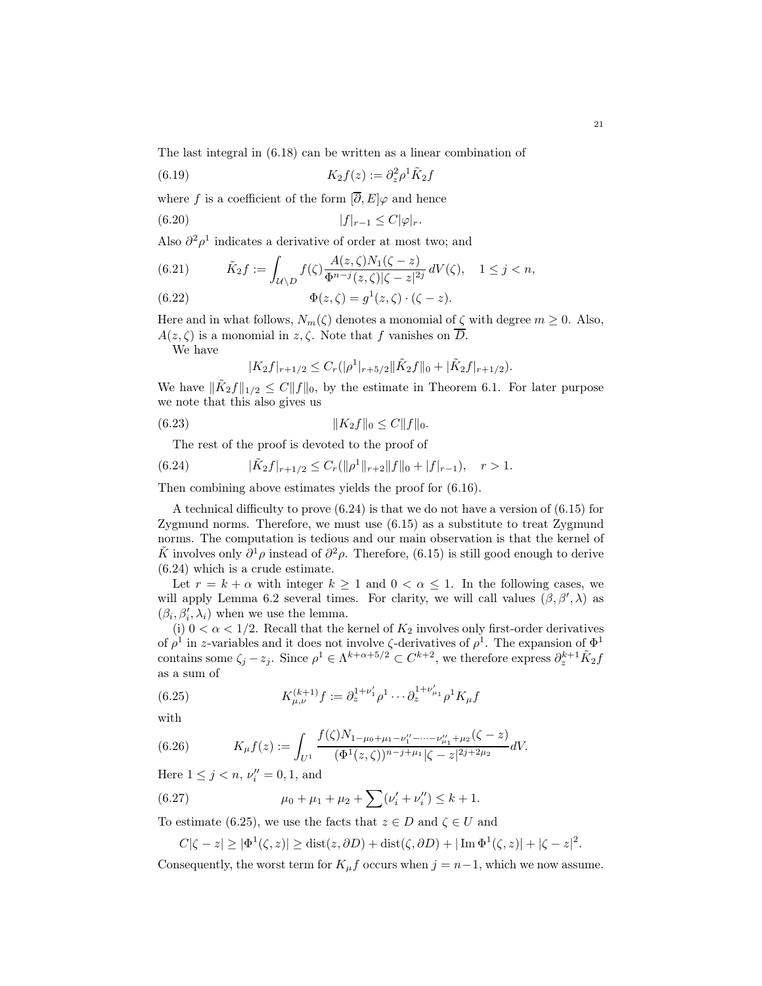The last integral in [\(6.18\)](#page-19-1) can be written as a linear combination of

(6.19) 
$$
K_2 f(z) := \partial_z^2 \rho^1 \tilde{K}_2 f
$$

where f is a coefficient of the form  $[\overline{\partial}, E]\varphi$  and hence

$$
(6.20) \t\t |f|_{r-1} \le C|\varphi|_r.
$$

Also  $\partial^2 \rho^1$  indicates a derivative of order at most two; and

(6.21) 
$$
\tilde{K}_2 f := \int_{\mathcal{U} \setminus D} f(\zeta) \frac{A(z, \zeta) N_1(\zeta - z)}{\Phi^{n-j}(z, \zeta) |\zeta - z|^{2j}} dV(\zeta), \quad 1 \le j < n,
$$

(6.22) 
$$
\Phi(z,\zeta) = g^1(z,\zeta) \cdot (\zeta - z).
$$

Here and in what follows,  $N_m(\zeta)$  denotes a monomial of  $\zeta$  with degree  $m \geq 0$ . Also,  $A(z,\zeta)$  is a monomial in  $z,\zeta$ . Note that f vanishes on  $\overline{D}$ .

We have

<span id="page-20-2"></span>
$$
|K_2f|_{r+1/2} \leq C_r(|\rho^1|_{r+5/2} ||\tilde{K}_2f||_0 + |\tilde{K}_2f|_{r+1/2}).
$$

We have  $\|\tilde{K}_2 f\|_{1/2} \leq C \|f\|_0$ , by the estimate in Theorem [6.1.](#page-16-2) For later purpose we note that this also gives us

$$
(6.23) \t\t\t\t ||K_2f||_0 \le C||f||_0.
$$

The rest of the proof is devoted to the proof of

<span id="page-20-0"></span>(6.24) 
$$
|\tilde{K}_2 f|_{r+1/2} \leq C_r(||\rho^1||_{r+2}||f||_0 + |f|_{r-1}), \quad r > 1.
$$

Then combining above estimates yields the proof for [\(6.16\)](#page-19-0).

A technical difficulty to prove [\(6.24\)](#page-20-0) is that we do not have a version of [\(6.15\)](#page-19-3) for Zygmund norms. Therefore, we must use [\(6.15\)](#page-19-3) as a substitute to treat Zygmund norms. The computation is tedious and our main observation is that the kernel of  $\tilde{K}$  involves only  $\partial^1 \rho$  instead of  $\partial^2 \rho$ . Therefore, [\(6.15\)](#page-19-3) is still good enough to derive [\(6.24\)](#page-20-0) which is a crude estimate.

Let  $r = k + \alpha$  with integer  $k \ge 1$  and  $0 < \alpha \le 1$ . In the following cases, we will apply Lemma [6.2](#page-18-0) several times. For clarity, we will call values  $(\beta, \beta', \lambda)$  as  $(\beta_i, \beta'_i, \lambda_i)$  when we use the lemma.

(i)  $0 < \alpha < 1/2$ . Recall that the kernel of  $K_2$  involves only first-order derivatives of  $\rho^1$  in z-variables and it does not involve  $\zeta$ -derivatives of  $\rho^1$ . The expansion of  $\Phi^1$ contains some  $\zeta_j - z_j$ . Since  $\rho^1 \in \Lambda^{k+\alpha+5/2} \subset C^{k+2}$ , we therefore express  $\partial_z^{k+1} \tilde{K}_2 f$ as a sum of

<span id="page-20-1"></span>(6.25) 
$$
K_{\mu,\nu}^{(k+1)}f := \partial_z^{1+\nu'_1} \rho^1 \cdots \partial_z^{1+\nu'_{\mu_1}} \rho^1 K_{\mu}f
$$

with

(6.26) 
$$
K_{\mu}f(z) := \int_{U^1} \frac{f(\zeta)N_{1-\mu_0+\mu_1-\nu_1^{\prime\prime}-\cdots-\nu_{\mu_1}^{\prime\prime}+\mu_2}(\zeta-z)}{(\Phi^1(z,\zeta))^{n-j+\mu_1}|\zeta-z|^{2j+2\mu_2}}dV.
$$

Here  $1 \le j < n, \nu''_i = 0, 1$ , and

(6.27) 
$$
\mu_0 + \mu_1 + \mu_2 + \sum (\nu'_i + \nu''_i) \leq k + 1.
$$

To estimate [\(6.25\)](#page-20-1), we use the facts that  $z \in D$  and  $\zeta \in U$  and

$$
C|\zeta - z| \ge |\Phi^1(\zeta, z)| \ge \text{dist}(z, \partial D) + \text{dist}(\zeta, \partial D) + |\operatorname{Im} \Phi^1(\zeta, z)| + |\zeta - z|^2.
$$

Consequently, the worst term for  $K_{\mu}f$  occurs when  $j = n-1$ , which we now assume.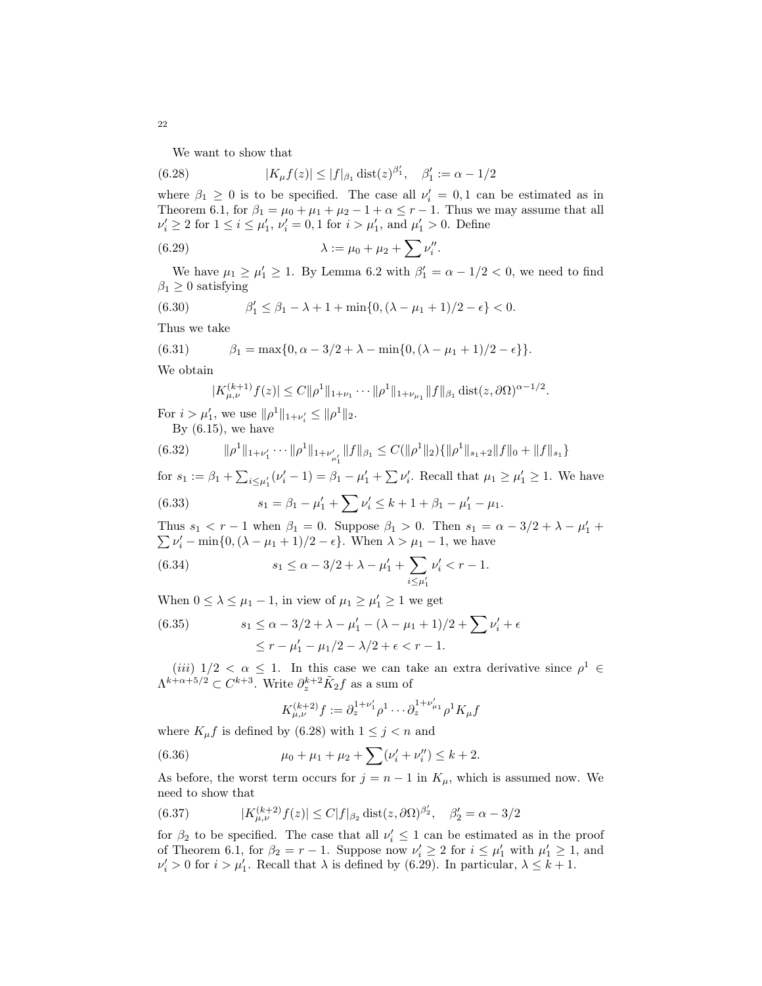<span id="page-21-0"></span>We want to show that

(6.28) 
$$
|K_{\mu}f(z)| \le |f|_{\beta_1} \operatorname{dist}(z)^{\beta'_1}, \quad \beta'_1 := \alpha - 1/2
$$

where  $\beta_1 \geq 0$  is to be specified. The case all  $\nu'_i = 0, 1$  can be estimated as in Theorem [6.1,](#page-16-2) for  $\beta_1 = \mu_0 + \mu_1 + \mu_2 - 1 + \alpha \le r - 1$ . Thus we may assume that all  $\nu'_i \ge 2$  for  $1 \le i \le \mu'_1$ ,  $\nu'_i = 0, 1$  for  $i > \mu'_1$ , and  $\mu'_1 > 0$ . Define

<span id="page-21-1"></span>(6.29) 
$$
\lambda := \mu_0 + \mu_2 + \sum \nu_i''.
$$

We have  $\mu_1 \ge \mu'_1 \ge 1$ . By Lemma [6.2](#page-18-0) with  $\beta'_1 = \alpha - 1/2 < 0$ , we need to find  $\beta_1 \geq 0$  satisfying

(6.30) 
$$
\beta'_1 \leq \beta_1 - \lambda + 1 + \min\{0, (\lambda - \mu_1 + 1)/2 - \epsilon\} < 0.
$$

Thus we take

(6.31) 
$$
\beta_1 = \max\{0, \alpha - 3/2 + \lambda - \min\{0, (\lambda - \mu_1 + 1)/2 - \epsilon\}\}.
$$

We obtain

<span id="page-21-3"></span>
$$
|K_{\mu,\nu}^{(k+1)}f(z)| \leq C \|\rho^1\|_{1+\nu_1} \cdots \|\rho^1\|_{1+\nu_{\mu_1}} \|f\|_{\beta_1} \operatorname{dist}(z,\partial \Omega)^{\alpha-1/2}.
$$

For  $i > \mu'_1$ , we use  $\|\rho^1\|_{1+\nu'_i} \le \|\rho^1\|_2$ .

By  $(6.15)$ , we have

(6.32) 
$$
\|\rho^1\|_{1+\nu'_1}\cdots\|\rho^1\|_{1+\nu'_{\mu'_1}}\|f\|_{\beta_1}\leq C(\|\rho^1\|_2)\{\|\rho^1\|_{s_1+2}\|f\|_0+\|f\|_{s_1}\}\
$$

for  $s_1 := \beta_1 + \sum_{i \leq \mu'_1} (\nu'_i - 1) = \beta_1 - \mu'_1 + \sum \nu'_i$ . Recall that  $\mu_1 \geq \mu'_1 \geq 1$ . We have

<span id="page-21-2"></span>(6.33) 
$$
s_1 = \beta_1 - \mu'_1 + \sum \nu'_i \leq k + 1 + \beta_1 - \mu'_1 - \mu_1.
$$

Thus  $s_1 < r - 1$  when  $\beta_1 = 0$ . Suppose  $\beta_1 > 0$ . Then  $s_1 = \alpha - 3/2 + \lambda - \mu'_1 + \mu'_2$  $\sum \nu'_i - \min\{0, (\lambda - \mu_1 + 1)/2 - \epsilon\}.$  When  $\lambda > \mu_1 - 1$ , we have

<span id="page-21-4"></span>(6.34) 
$$
s_1 \leq \alpha - 3/2 + \lambda - \mu'_1 + \sum_{i \leq \mu'_1} \nu'_i < r - 1.
$$

When  $0 \leq \lambda \leq \mu_1 - 1$ , in view of  $\mu_1 \geq \mu'_1 \geq 1$  we get

<span id="page-21-5"></span>(6.35) 
$$
s_1 \leq \alpha - 3/2 + \lambda - \mu'_1 - (\lambda - \mu_1 + 1)/2 + \sum \nu'_i + \epsilon
$$

$$
\leq r - \mu'_1 - \mu_1/2 - \lambda/2 + \epsilon < r - 1.
$$

 $(iii)$   $1/2 < \alpha \leq 1$ . In this case we can take an extra derivative since  $\rho^1 \in$  $\Lambda^{k+\alpha+5/2} \subset C^{k+3}$ . Write  $\partial_z^{k+2} \tilde{K}_2 f$  as a sum of

$$
K_{\mu,\nu}^{(k+2)}f := \partial_z^{1+\nu'_1} \rho^1 \cdots \partial_z^{1+\nu'_{\mu_1}} \rho^1 K_{\mu}f
$$

where  $K_{\mu} f$  is defined by [\(6.28\)](#page-21-0) with  $1 \leq j < n$  and

(6.36) 
$$
\mu_0 + \mu_1 + \mu_2 + \sum (\nu'_i + \nu''_i) \leq k + 2.
$$

As before, the worst term occurs for  $j = n - 1$  in  $K_{\mu}$ , which is assumed now. We need to show that

(6.37) 
$$
|K_{\mu,\nu}^{(k+2)}f(z)| \le C|f|_{\beta_2} \operatorname{dist}(z,\partial \Omega)^{\beta'_2}, \quad \beta'_2 = \alpha - 3/2
$$

for  $\beta_2$  to be specified. The case that all  $\nu'_i \leq 1$  can be estimated as in the proof of Theorem [6.1,](#page-16-2) for  $\beta_2 = r - 1$ . Suppose now  $\nu'_i \geq 2$  for  $i \leq \mu'_1$  with  $\mu'_1 \geq 1$ , and  $\nu'_i > 0$  for  $i > \mu'_1$ . Recall that  $\lambda$  is defined by [\(6.29\)](#page-21-1). In particular,  $\lambda \leq k+1$ .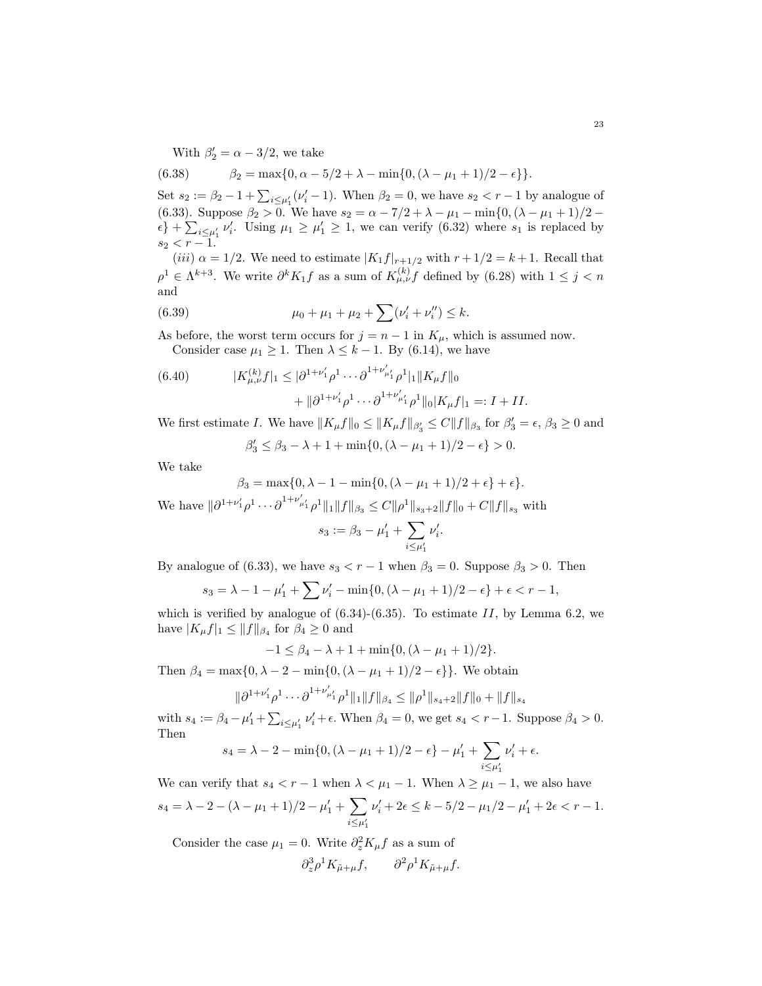With  $\beta'_2 = \alpha - 3/2$ , we take

(6.38) 
$$
\beta_2 = \max\{0, \alpha - 5/2 + \lambda - \min\{0, (\lambda - \mu_1 + 1)/2 - \epsilon\}\}.
$$

Set  $s_2 := \beta_2 - 1 + \sum_{i \leq \mu'_1} (\nu'_i - 1)$ . When  $\beta_2 = 0$ , we have  $s_2 < r - 1$  by analogue of [\(6.33\)](#page-21-2). Suppose  $\beta_2 > 0$ . We have  $s_2 = \alpha - 7/2 + \lambda - \mu_1 - \min\{0, (\lambda - \mu_1 + 1)/2 - \mu_1\}$  $\{\epsilon\} + \sum_{i \leq \mu'_1} \nu'_i$ . Using  $\mu_1 \geq \mu'_1 \geq 1$ , we can verify [\(6.32\)](#page-21-3) where  $s_1$  is replaced by  $s_2 < r - 1.$ 

(iii)  $\alpha = 1/2$ . We need to estimate  $|K_1f|_{r+1/2}$  with  $r + 1/2 = k + 1$ . Recall that  $\rho^1 \in \Lambda^{k+3}$ . We write  $\partial^k K_1 f$  as a sum of  $K_{\mu,\nu}^{(k)} f$  defined by [\(6.28\)](#page-21-0) with  $1 \leq j < n$ and

(6.39) 
$$
\mu_0 + \mu_1 + \mu_2 + \sum (\nu'_i + \nu''_i) \leq k.
$$

As before, the worst term occurs for  $j = n - 1$  in  $K_{\mu}$ , which is assumed now. Consider case  $\mu_1 \geq 1$ . Then  $\lambda \leq k-1$ . By [\(6.14\)](#page-19-2), we have

(6.40) 
$$
|K_{\mu,\nu}^{(k)}f|_1 \leq |\partial^{1+\nu'_1}\rho^1\cdots\partial^{1+\nu'_{\mu'_1}}\rho^1|_1||K_{\mu}f||_0 + ||\partial^{1+\nu'_1}\rho^1\cdots\partial^{1+\nu'_{\mu'_1}}\rho^1||_0|K_{\mu}f|_1 =: I + II.
$$

We first estimate I. We have  $||K_{\mu}f||_0 \le ||K_{\mu}f||_{\beta_3} \le C||f||_{\beta_3}$  for  $\beta_3' = \epsilon$ ,  $\beta_3 \ge 0$  and

$$
\beta'_3 \le \beta_3 - \lambda + 1 + \min\{0, (\lambda - \mu_1 + 1)/2 - \epsilon\} > 0.
$$

We take

$$
\beta_3 = \max\{0, \lambda - 1 - \min\{0, (\lambda - \mu_1 + 1)/2 + \epsilon\} + \epsilon\}.
$$

We have  $\|\partial^{1+\nu'_1}\rho^1\cdots\partial^{1+\nu'_{\mu'_1}}\rho^1\|_1\|f\|_{\beta_3}\leq C\|\rho^1\|_{s_3+2}\|f\|_0+C\|f\|_{s_3}$  with

$$
s_3 := \beta_3 - \mu'_1 + \sum_{i \le \mu'_1} \nu'_i
$$

.

By analogue of [\(6.33\)](#page-21-2), we have  $s_3 < r - 1$  when  $\beta_3 = 0$ . Suppose  $\beta_3 > 0$ . Then

$$
s_3 = \lambda - 1 - \mu'_1 + \sum \nu'_i - \min\{0, (\lambda - \mu_1 + 1)/2 - \epsilon\} + \epsilon < r - 1,
$$

which is verified by analogue of  $(6.34)-(6.35)$  $(6.34)-(6.35)$ . To estimate II, by Lemma [6.2,](#page-18-0) we have  $|K_{\mu}f|_1 \leq ||f||_{\beta_4}$  for  $\beta_4 \geq 0$  and

$$
-1 \leq \beta_4 - \lambda + 1 + \min\{0, (\lambda - \mu_1 + 1)/2\}.
$$

Then  $\beta_4 = \max\{0, \lambda - 2 - \min\{0, (\lambda - \mu_1 + 1)/2 - \epsilon\}\}\.$  We obtain

$$
\|\partial^{1+\nu_1'}\rho^1\cdots\partial^{1+\nu_{\mu_1}'}\rho^1\|_1\|f\|_{\beta_4}\leq \|\rho^1\|_{s_4+2}\|f\|_0+\|f\|_{s_4}
$$

with  $s_4 := \beta_4 - \mu'_1 + \sum_{i \leq \mu'_1} \nu'_i + \epsilon$ . When  $\beta_4 = 0$ , we get  $s_4 < r - 1$ . Suppose  $\beta_4 > 0$ . Then

$$
s_4 = \lambda - 2 - \min\{0, (\lambda - \mu_1 + 1)/2 - \epsilon\} - \mu'_1 + \sum_{i \le \mu'_1} \nu'_i + \epsilon.
$$

We can verify that  $s_4 < r - 1$  when  $\lambda < \mu_1 - 1$ . When  $\lambda \geq \mu_1 - 1$ , we also have  $s_4 = \lambda - 2 - (\lambda - \mu_1 + 1)/2 - \mu'_1 + \sum$  $i \leq \mu'_1$  $\nu'_i + 2\epsilon \leq k - 5/2 - \mu_1/2 - \mu'_1 + 2\epsilon < r - 1.$ 

Consider the case  $\mu_1 = 0$ . Write  $\partial_z^2 K_\mu f$  as a sum of

$$
\partial_z^3 \rho^1 K_{\tilde{\mu} + \mu} f, \qquad \partial^2 \rho^1 K_{\tilde{\mu} + \mu} f.
$$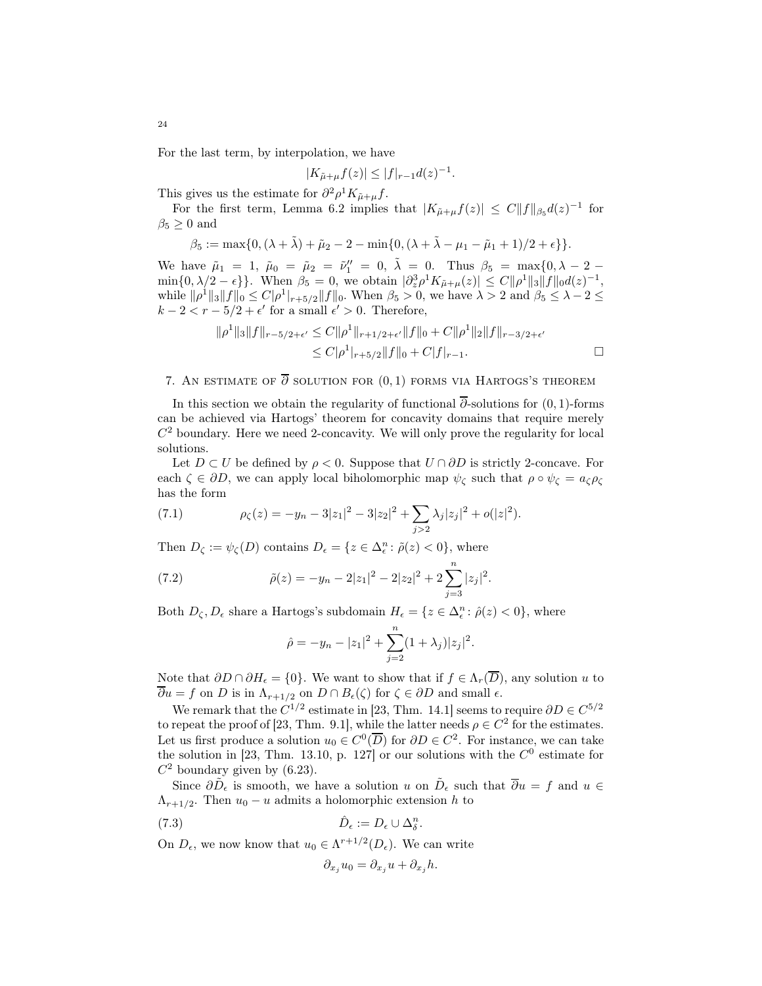For the last term, by interpolation, we have

$$
|K_{\tilde{\mu}+\mu}f(z)| \le |f|_{r-1}d(z)^{-1}.
$$

This gives us the estimate for  $\partial^2 \rho^1 K_{\tilde{\mu}+\mu} f$ .

For the first term, Lemma [6.2](#page-18-0) implies that  $|K_{\tilde{\mu}+\mu}f(z)| \leq C||f||_{\beta_5}d(z)^{-1}$  for  $\beta_5 \geq 0$  and

$$
\beta_5 := \max\{0, (\lambda + \tilde{\lambda}) + \tilde{\mu}_2 - 2 - \min\{0, (\lambda + \tilde{\lambda} - \mu_1 - \tilde{\mu}_1 + 1)/2 + \epsilon\}\}.
$$

We have  $\tilde{\mu}_1 = 1$ ,  $\tilde{\mu}_0 = \tilde{\mu}_2 = \tilde{\nu}_1'' = 0$ ,  $\tilde{\lambda} = 0$ . Thus  $\beta_5 = \max\{0, \lambda - 2 - 1\}$  $\min\{0, \lambda/2 - \epsilon\}$ . When  $\beta_5 = 0$ , we obtain  $|\partial_z^3 \rho^1 K_{\mu+\mu}(z)| \leq C \|\rho^1\|_3 \|f\|_0 d(z)^{-1}$ , while  $\|\rho^1\|_3 \|f\|_0 \leq C|\rho^1|_{r+5/2} \|f\|_0$ . When  $\beta_5 > 0$ , we have  $\lambda > 2$  and  $\beta_5 \leq \lambda - 2 \leq$  $k - 2 < r - 5/2 + \epsilon'$  for a small  $\epsilon' > 0$ . Therefore,

$$
\|\rho^1\|_3 \|f\|_{r-5/2+\epsilon'} \le C \|\rho^1\|_{r+1/2+\epsilon'} \|f\|_0 + C \|\rho^1\|_2 \|f\|_{r-3/2+\epsilon'}
$$
  

$$
\le C |\rho^1|_{r+5/2} \|f\|_0 + C |f|_{r-1}.
$$

## <span id="page-23-0"></span>7. AN ESTIMATE OF  $\overline{\partial}$  SOLUTION FOR  $(0,1)$  forms via Hartogs's theorem

In this section we obtain the regularity of functional  $\overline{\partial}$ -solutions for (0, 1)-forms can be achieved via Hartogs' theorem for concavity domains that require merely  $C<sup>2</sup>$  boundary. Here we need 2-concavity. We will only prove the regularity for local solutions.

Let  $D \subset U$  be defined by  $\rho < 0$ . Suppose that  $U \cap \partial D$  is strictly 2-concave. For each  $\zeta \in \partial D$ , we can apply local biholomorphic map  $\psi_{\zeta}$  such that  $\rho \circ \psi_{\zeta} = a_{\zeta} \rho_{\zeta}$ has the form

(7.1) 
$$
\rho_{\zeta}(z) = -y_n - 3|z_1|^2 - 3|z_2|^2 + \sum_{j>2} \lambda_j |z_j|^2 + o(|z|^2).
$$

Then  $D_{\zeta} := \psi_{\zeta}(D)$  contains  $D_{\epsilon} = \{z \in \Delta_{\epsilon}^n : \tilde{\rho}(z) < 0\}$ , where

(7.2) 
$$
\tilde{\rho}(z) = -y_n - 2|z_1|^2 - 2|z_2|^2 + 2\sum_{j=3}^n |z_j|^2.
$$

Both  $D_{\zeta}, D_{\epsilon}$  share a Hartogs's subdomain  $H_{\epsilon} = \{z \in \Delta_{\epsilon}^n : \hat{\rho}(z) < 0\}$ , where

$$
\hat{\rho} = -y_n - |z_1|^2 + \sum_{j=2}^n (1 + \lambda_j) |z_j|^2.
$$

Note that  $\partial D \cap \partial H_{\epsilon} = \{0\}$ . We want to show that if  $f \in \Lambda_r(\overline{D})$ , any solution u to  $\overline{\partial}u = f$  on D is in  $\Lambda_{r+1/2}$  on  $D \cap B_{\epsilon}(\zeta)$  for  $\zeta \in \partial D$  and small  $\epsilon$ .

We remark that the  $C^{1/2}$  estimate in [\[23,](#page-43-9) Thm. 14.1] seems to require  $\partial D \in C^{5/2}$ to repeat the proof of [\[23,](#page-43-9) Thm. 9.1], while the latter needs  $\rho \in C^2$  for the estimates. Let us first produce a solution  $u_0 \in C^0(\overline{D})$  for  $\partial D \in C^2$ . For instance, we can take the solution in [\[23,](#page-43-9) Thm. 13.10, p. 127] or our solutions with the  $C^0$  estimate for  $C^2$  boundary given by [\(6.23\)](#page-20-2).

Since  $\partial \tilde{D}_{\epsilon}$  is smooth, we have a solution u on  $\tilde{D}_{\epsilon}$  such that  $\overline{\partial}u = f$  and  $u \in$  $\Lambda_{r+1/2}$ . Then  $u_0 - u$  admits a holomorphic extension h to

(7.3) 
$$
\hat{D}_{\epsilon} := D_{\epsilon} \cup \Delta_{\delta}^{n}.
$$

On  $D_{\epsilon}$ , we now know that  $u_0 \in \Lambda^{r+1/2}(D_{\epsilon})$ . We can write

$$
\partial_{x_j} u_0 = \partial_{x_j} u + \partial_{x_j} h.
$$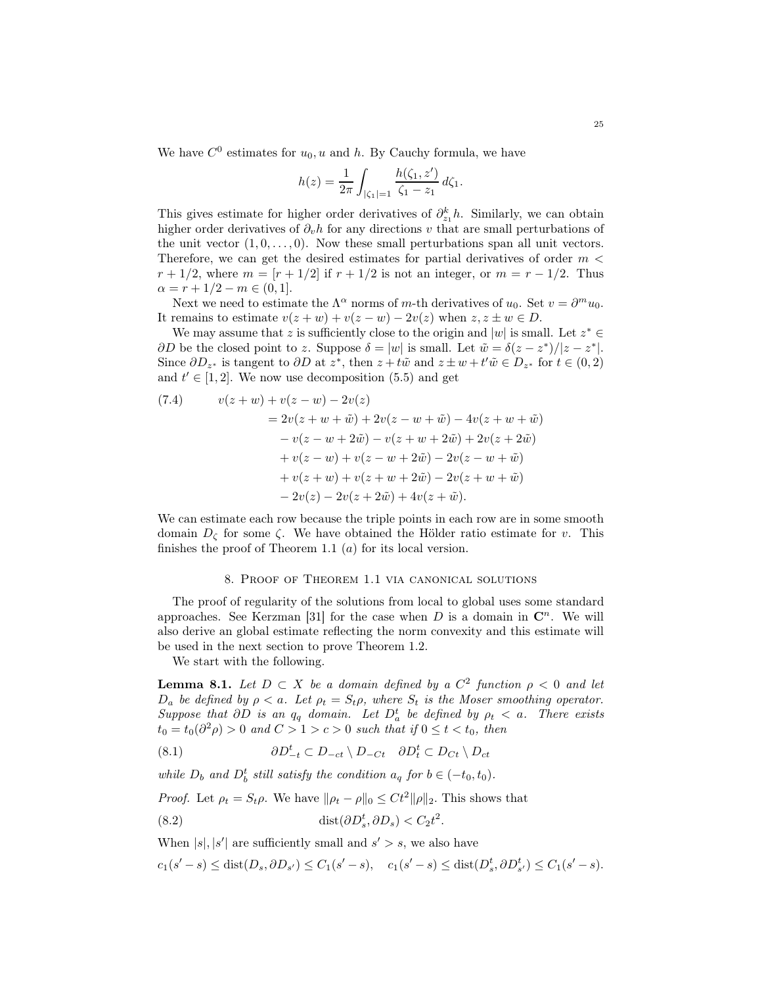We have  $C^0$  estimates for  $u_0, u$  and h. By Cauchy formula, we have

$$
h(z) = \frac{1}{2\pi} \int_{|\zeta_1| = 1} \frac{h(\zeta_1, z')}{\zeta_1 - z_1} d\zeta_1.
$$

This gives estimate for higher order derivatives of  $\partial_{z_1}^k h$ . Similarly, we can obtain higher order derivatives of  $\partial_v h$  for any directions v that are small perturbations of the unit vector  $(1, 0, \ldots, 0)$ . Now these small perturbations span all unit vectors. Therefore, we can get the desired estimates for partial derivatives of order  $m <$  $r + 1/2$ , where  $m = [r + 1/2]$  if  $r + 1/2$  is not an integer, or  $m = r - 1/2$ . Thus  $\alpha = r + 1/2 - m \in (0, 1].$ 

Next we need to estimate the  $\Lambda^{\alpha}$  norms of m-th derivatives of  $u_0$ . Set  $v = \partial^m u_0$ . It remains to estimate  $v(z + w) + v(z - w) - 2v(z)$  when  $z, z \pm w \in D$ .

We may assume that z is sufficiently close to the origin and  $|w|$  is small. Let  $z^* \in$  $\partial D$  be the closed point to z. Suppose  $\delta = |w|$  is small. Let  $\tilde{w} = \delta(z - z^*)/|z - z^*|$ . Since  $\partial D_{z^*}$  is tangent to  $\partial D$  at  $z^*$ , then  $z + t\tilde{w}$  and  $z \pm w + t'\tilde{w} \in D_{z^*}$  for  $t \in (0, 2)$ and  $t' \in [1, 2]$ . We now use decomposition [\(5.5\)](#page-16-1) and get

(7.4) 
$$
v(z+w) + v(z-w) - 2v(z)
$$

$$
= 2v(z+w+\tilde{w}) + 2v(z-w+\tilde{w}) - 4v(z+w+\tilde{w})
$$

$$
- v(z-w+2\tilde{w}) - v(z+w+2\tilde{w}) + 2v(z+2\tilde{w})
$$

$$
+ v(z-w) + v(z-w+2\tilde{w}) - 2v(z-w+\tilde{w})
$$

$$
+ v(z+w) + v(z+w+2\tilde{w}) - 2v(z+w+\tilde{w})
$$

$$
- 2v(z) - 2v(z+2\tilde{w}) + 4v(z+\tilde{w}).
$$

We can estimate each row because the triple points in each row are in some smooth domain  $D_{\zeta}$  for some  $\zeta$ . We have obtained the Hölder ratio estimate for v. This finishes the proof of Theorem [1.1](#page-0-0)  $(a)$  for its local version.

## 8. Proof of Theorem [1.1](#page-0-0) via canonical solutions

The proof of regularity of the solutions from local to global uses some standard approaches. See Kerzman [\[31\]](#page-43-1) for the case when  $D$  is a domain in  $\mathbb{C}^n$ . We will also derive an global estimate reflecting the norm convexity and this estimate will be used in the next section to prove Theorem [1.2.](#page-0-1)

We start with the following.

**Lemma 8.1.** Let  $D \subset X$  be a domain defined by a  $C^2$  function  $\rho < 0$  and let  $D_a$  be defined by  $\rho < a$ . Let  $\rho_t = S_t \rho$ , where  $S_t$  is the Moser smoothing operator. Suppose that  $\partial D$  is an  $q_q$  domain. Let  $D_a^t$  be defined by  $\rho_t < a$ . There exists  $t_0 = t_0(\partial^2 \rho) > 0$  and  $C > 1 > c > 0$  such that if  $0 \le t < t_0$ , then

(8.1) 
$$
\partial D_{-t}^t \subset D_{-ct} \setminus D_{-Ct} \quad \partial D_t^t \subset D_{Ct} \setminus D_{ct}
$$

while  $D_b$  and  $D_b^t$  still satisfy the condition  $a_q$  for  $b \in (-t_0, t_0)$ .

*Proof.* Let  $\rho_t = S_t \rho$ . We have  $\|\rho_t - \rho\|_0 \leq C t^2 \|\rho\|_2$ . This shows that

<span id="page-24-0"></span>(8.2) 
$$
\text{dist}(\partial D_s^t, \partial D_s) < C_2 t^2.
$$

When  $|s|, |s'|$  are sufficiently small and  $s' > s$ , we also have

 $c_1(s'-s) \leq \text{dist}(D_s, \partial D_{s'}) \leq C_1(s'-s), \quad c_1(s'-s) \leq \text{dist}(D_s^t, \partial D_{s'}^t) \leq C_1(s'-s).$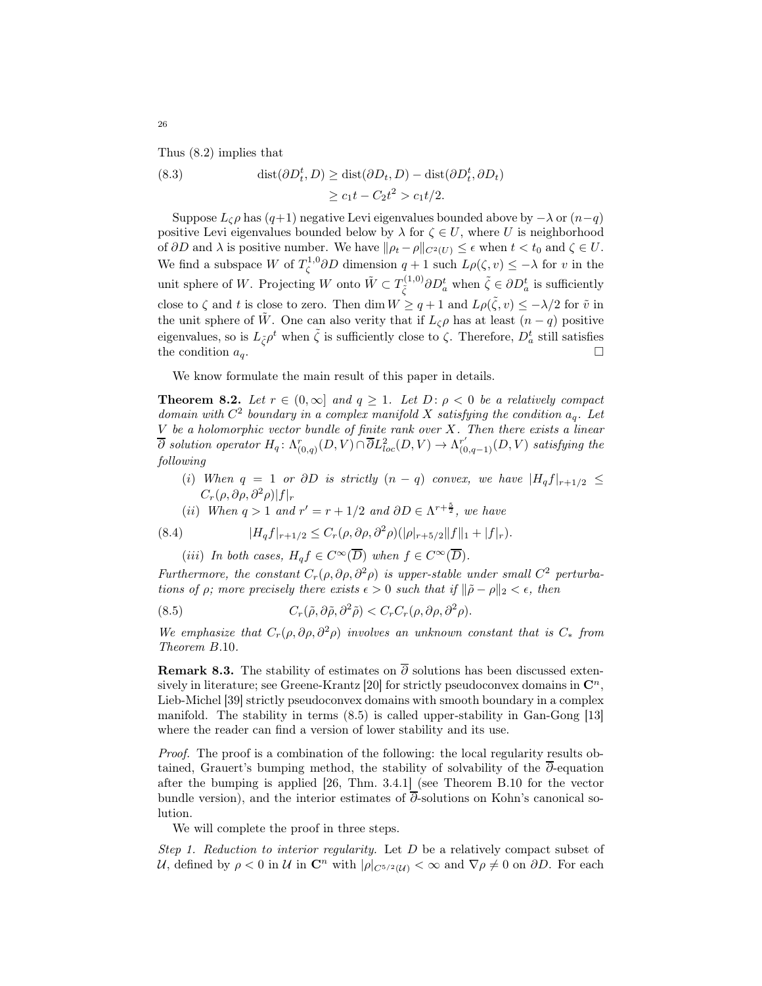Thus [\(8.2\)](#page-24-0) implies that

(8.3) 
$$
\text{dist}(\partial D_t^t, D) \ge \text{dist}(\partial D_t, D) - \text{dist}(\partial D_t^t, \partial D_t) \ge c_1 t - C_2 t^2 > c_1 t/2.
$$

Suppose  $L_{\zeta} \rho$  has  $(q+1)$  negative Levi eigenvalues bounded above by  $-\lambda$  or  $(n-q)$ positive Levi eigenvalues bounded below by  $\lambda$  for  $\zeta \in U$ , where U is neighborhood of  $\partial D$  and  $\lambda$  is positive number. We have  $\|\rho_t - \rho\|_{C^2(U)} \leq \epsilon$  when  $t < t_0$  and  $\zeta \in U$ . We find a subspace W of  $T_{\zeta}^{1,0}\partial D$  dimension  $q+1$  such  $L\rho(\zeta,v)\leq -\lambda$  for v in the unit sphere of W. Projecting W onto  $\tilde{W} \subset T^{(1,0)}_{\tilde{\zeta}}$  $\tilde{\zeta}^{(1,0)} \partial D_a^t$  when  $\tilde{\zeta} \in \partial D_a^t$  is sufficiently close to  $\zeta$  and t is close to zero. Then  $\dim W \ge q+1$  and  $L\rho(\tilde{\zeta}, v) \le -\lambda/2$  for  $\tilde{v}$  in the unit sphere of W. One can also verity that if  $L_{\zeta} \rho$  has at least  $(n - q)$  positive eigenvalues, so is  $L_{\tilde{\zeta}}\rho^t$  when  $\tilde{\zeta}$  is sufficiently close to  $\zeta$ . Therefore,  $D_a^t$  still satisfies the condition  $a_q$ .

We know formulate the main result of this paper in details.

**Theorem 8.2.** Let  $r \in (0,\infty]$  and  $q \ge 1$ . Let  $D: \rho < 0$  be a relatively compact domain with  $C^2$  boundary in a complex manifold X satisfying the condition  $a_q$ . Let  $V$  be a holomorphic vector bundle of finite rank over  $X$ . Then there exists a linear  $\overline{\partial}$  solution operator  $H_q: \Lambda_{(0,q)}^r(D, V) \cap \overline{\partial} L_{loc}^2(D, V) \to \Lambda_{(0,q-1)}^{r'}(D, V)$  satisfying the following

- (i) When  $q = 1$  or  $\partial D$  is strictly  $(n q)$  convex, we have  $|H_q f|_{r+1/2} \leq$  $C_r(\rho, \partial \rho, \partial^2 \rho)|f|_r$
- (ii) When  $q > 1$  and  $r' = r + 1/2$  and  $\partial D \in \Lambda^{r + \frac{5}{2}}$ , we have

(8.4) 
$$
|H_q f|_{r+1/2} \leq C_r(\rho, \partial \rho, \partial^2 \rho)(|\rho|_{r+5/2} ||f||_1 + |f|_r).
$$

<span id="page-25-0"></span>(iii) In both cases,  $H_q f \in C^{\infty}(\overline{D})$  when  $f \in C^{\infty}(\overline{D})$ .

Furthermore, the constant  $C_r(\rho, \partial \rho, \partial^2 \rho)$  is upper-stable under small  $C^2$  perturbations of  $\rho$ ; more precisely there exists  $\epsilon > 0$  such that if  $\|\tilde{\rho} - \rho\|_2 < \epsilon$ , then

(8.5) 
$$
C_r(\tilde{\rho}, \partial \tilde{\rho}, \partial^2 \tilde{\rho}) < C_r C_r(\rho, \partial \rho, \partial^2 \rho).
$$

We emphasize that  $C_r(\rho, \partial \rho, \partial^2 \rho)$  involves an unknown constant that is  $C_*$  from Theorem [B.](#page-41-0)10.

**Remark 8.3.** The stability of estimates on  $\overline{\partial}$  solutions has been discussed exten-sively in literature; see Greene-Krantz [\[20\]](#page-43-16) for strictly pseudoconvex domains in  $\mathbb{C}^n$ , Lieb-Michel [\[39\]](#page-43-17) strictly pseudoconvex domains with smooth boundary in a complex manifold. The stability in terms [\(8.5\)](#page-25-0) is called upper-stability in Gan-Gong [\[13\]](#page-42-4) where the reader can find a version of lower stability and its use.

Proof. The proof is a combination of the following: the local regularity results obtained, Grauert's bumping method, the stability of solvability of the  $\overline{\partial}$ -equation after the bumping is applied [\[26,](#page-43-10) Thm. 3.4.1] (see Theorem [B.10](#page-41-0) for the vector bundle version), and the interior estimates of ∂-solutions on Kohn's canonical solution.

We will complete the proof in three steps.

Step 1. Reduction to interior regularity. Let  $D$  be a relatively compact subset of U, defined by  $\rho < 0$  in U in  $\mathbb{C}^n$  with  $|\rho|_{C^{5/2}(\mathcal{U})} < \infty$  and  $\nabla \rho \neq 0$  on  $\partial D$ . For each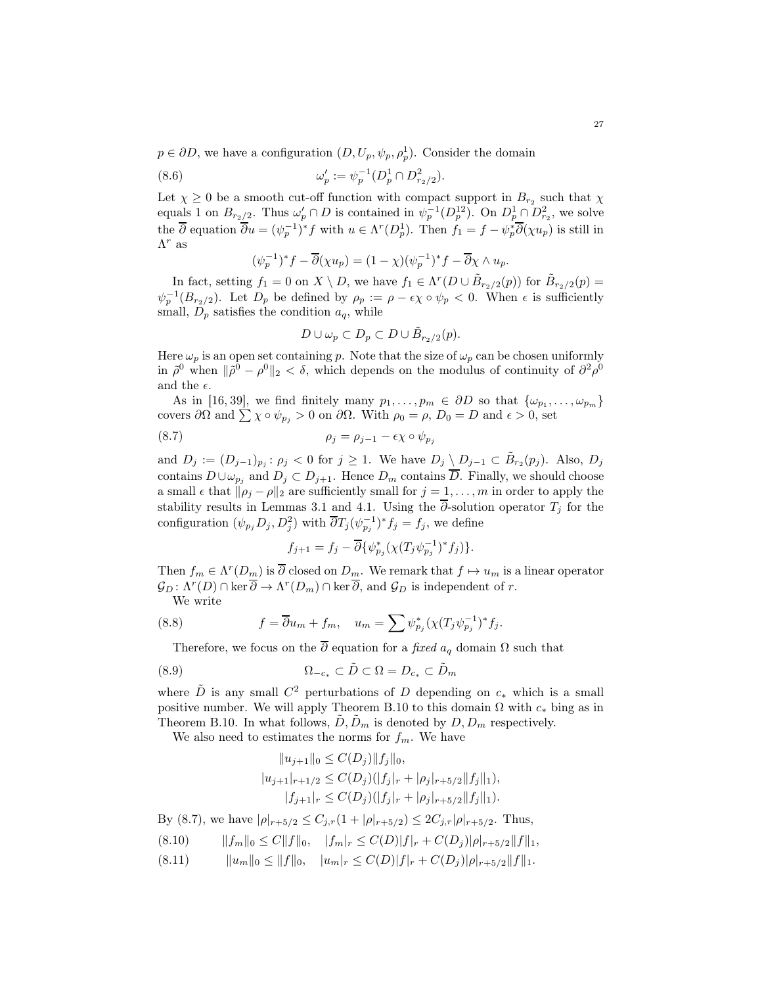$p \in \partial D$ , we have a configuration  $(D, U_p, \psi_p, \rho_p^1)$ . Consider the domain

(8.6) 
$$
\omega'_p := \psi_p^{-1}(D_p^1 \cap D_{r_2/2}^2).
$$

Let  $\chi \geq 0$  be a smooth cut-off function with compact support in  $B_{r_2}$  such that  $\chi$ equals 1 on  $B_{r_2/2}$ . Thus  $\omega'_p \cap D$  is contained in  $\psi_p^{-1}(D_p^{12})$ . On  $D_p^{1} \cap D_{r_2}^{2}$ , we solve the  $\overline{\partial}$  equation  $\overline{\partial}u = (\psi_p^{-1})^* f$  with  $u \in \Lambda^r(D_p^1)$ . Then  $f_1 = f - \psi_p^* \overline{\partial}(\chi u_p)$  is still in  $\Lambda^r$  as

$$
(\psi_p^{-1})^* f - \overline{\partial}(\chi u_p) = (1 - \chi)(\psi_p^{-1})^* f - \overline{\partial}\chi \wedge u_p.
$$

In fact, setting  $f_1 = 0$  on  $X \setminus D$ , we have  $f_1 \in \Lambda^r(D \cup \tilde{B}_{r_2/2}(p))$  for  $\tilde{B}_{r_2/2}(p) =$  $\psi_p^{-1}(B_{r_2/2})$ . Let  $D_p$  be defined by  $\rho_p := \rho - \epsilon \chi \circ \psi_p < 0$ . When  $\epsilon$  is sufficiently small,  $D_p$  satisfies the condition  $a_q$ , while

<span id="page-26-0"></span>
$$
D \cup \omega_p \subset D_p \subset D \cup \tilde{B}_{r_2/2}(p).
$$

Here  $\omega_p$  is an open set containing p. Note that the size of  $\omega_p$  can be chosen uniformly in  $\tilde{\rho}^0$  when  $\|\tilde{\rho}^0 - \rho^0\|_2 < \delta$ , which depends on the modulus of continuity of  $\partial^2 \rho^0$ and the  $\epsilon$ .

As in [\[16,](#page-43-18) [39\]](#page-43-17), we find finitely many  $p_1, \ldots, p_m \in \partial D$  so that  $\{\omega_{p_1}, \ldots, \omega_{p_m}\}$ covers  $\partial\Omega$  and  $\sum \chi \circ \psi_{p_j} > 0$  on  $\partial\Omega$ . With  $\rho_0 = \rho$ ,  $D_0 = D$  and  $\epsilon > 0$ , set

$$
\rho_j = \rho_{j-1} - \epsilon \chi \circ \psi_{p_j}
$$

and  $D_j := (D_{j-1})_{p_j}$ :  $\rho_j < 0$  for  $j \ge 1$ . We have  $D_j \setminus D_{j-1} \subset \tilde{B}_{r_2}(p_j)$ . Also,  $D_j$ contains  $D \cup \omega_{p_j}$  and  $D_j \subset D_{j+1}$ . Hence  $D_m$  contains  $\overline{D}$ . Finally, we should choose a small  $\epsilon$  that  $\|\rho_j - \rho\|_2$  are sufficiently small for  $j = 1, \ldots, m$  in order to apply the stability results in Lemmas [3.1](#page-7-1) and [4.1.](#page-10-2) Using the  $\overline{\partial}$ -solution operator  $T_j$  for the configuration  $(\psi_{p_j} D_j, D_j^2)$  with  $\overline{\partial} T_j(\psi_{p_j}^{-1})^* f_j = f_j$ , we define

$$
f_{j+1} = f_j - \overline{\partial} \{ \psi_{p_j}^* (\chi(T_j \psi_{p_j}^{-1})^* f_j) \}.
$$

Then  $f_m \in \Lambda^r(D_{\underline{m}})$  is  $\overline{\partial}$  closed on  $D_{\underline{m}}$ . We remark that  $f \mapsto u_m$  is a linear operator  $\mathcal{G}_D: \Lambda^r(D) \cap \ker \overline{\partial} \to \Lambda^r(D_m) \cap \ker \overline{\partial}$ , and  $\mathcal{G}_D$  is independent of r.

We write

(8.8) 
$$
f = \overline{\partial} u_m + f_m, \quad u_m = \sum \psi_{p_j}^* (\chi(T_j \psi_{p_j}^{-1})^* f_j).
$$

Therefore, we focus on the  $\overline{\partial}$  equation for a *fixed*  $a_q$  domain  $\Omega$  such that

(8.9) 
$$
\Omega_{-c_*} \subset \tilde{D} \subset \Omega = D_{c_*} \subset \tilde{D}_m
$$

where  $\tilde{D}$  is any small  $C^2$  perturbations of D depending on  $c_*$  which is a small positive number. We will apply Theorem [B.10](#page-41-0) to this domain  $\Omega$  with  $c_*$  bing as in Theorem [B.10.](#page-41-0) In what follows,  $D, D_m$  is denoted by  $D, D_m$  respectively.

We also need to estimates the norms for  $f_m$ . We have

$$
||u_{j+1}||_0 \le C(D_j)||f_j||_0,
$$
  
\n
$$
|u_{j+1}|_{r+1/2} \le C(D_j)(|f_j|_r + |\rho_j|_{r+5/2}||f_j||_1),
$$
  
\n
$$
|f_{j+1}|_r \le C(D_j)(|f_j|_r + |\rho_j|_{r+5/2}||f_j||_1).
$$

By [\(8.7\)](#page-26-0), we have  $|\rho|_{r+5/2} \leq C_{j,r}(1+|\rho|_{r+5/2}) \leq 2C_{j,r}|\rho|_{r+5/2}$ . Thus,

- (8.10)  $||f_m||_0 \leq C||f||_0, \quad |f_m|_r \leq C(D)|f|_r + C(D_j)|\rho|_{r+5/2}||f||_1,$
- (8.11)  $||u_m||_0 \le ||f||_0, \quad |u_m|_r \le C(D)|f|_r + C(D_i)|\rho|_{r+5/2}||f||_1.$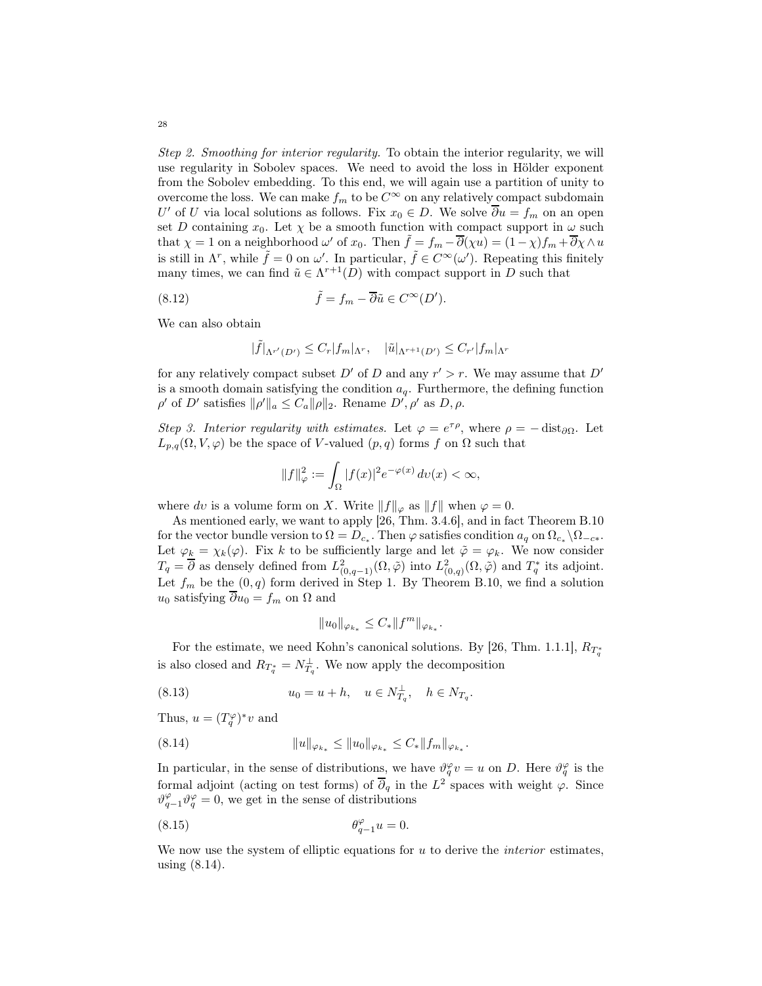Step 2. Smoothing for interior regularity. To obtain the interior regularity, we will use regularity in Sobolev spaces. We need to avoid the loss in Hölder exponent from the Sobolev embedding. To this end, we will again use a partition of unity to overcome the loss. We can make  $f_m$  to be  $C^{\infty}$  on any relatively compact subdomain U' of U via local solutions as follows. Fix  $x_0 \in D$ . We solve  $\partial u = f_m$  on an open set D containing  $x_0$ . Let  $\chi$  be a smooth function with compact support in  $\omega$  such that  $\chi = 1$  on a neighborhood  $\omega'$  of  $x_0$ . Then  $\tilde{f} = f_m - \overline{\partial}(\chi u) = (1 - \chi)f_m + \overline{\partial}\chi \wedge u$ is still in  $\Lambda^r$ , while  $\tilde{f} = 0$  on  $\omega'$ . In particular,  $\tilde{f} \in C^{\infty}(\omega')$ . Repeating this finitely many times, we can find  $\tilde{u} \in \Lambda^{r+1}(D)$  with compact support in D such that

(8.12) 
$$
\tilde{f} = f_m - \overline{\partial} \tilde{u} \in C^{\infty}(D').
$$

We can also obtain

$$
|\tilde{f}|_{\Lambda^{r'}(D')} \leq C_r |f_m|_{\Lambda^r}, \quad |\tilde{u}|_{\Lambda^{r+1}(D')} \leq C_{r'} |f_m|_{\Lambda^r}
$$

for any relatively compact subset D' of D and any  $r' > r$ . We may assume that D' is a smooth domain satisfying the condition  $a_q$ . Furthermore, the defining function  $\rho'$  of D' satisfies  $\|\rho'\|_a \leq C_a \|\rho\|_2$ . Rename D',  $\rho'$  as D,  $\rho$ .

Step 3. Interior regularity with estimates. Let  $\varphi = e^{\tau \rho}$ , where  $\rho = -\text{dist}_{\partial \Omega}$ . Let  $L_{p,q}(\Omega, V, \varphi)$  be the space of V-valued  $(p, q)$  forms f on  $\Omega$  such that

$$
||f||_{\varphi}^2 := \int_{\Omega} |f(x)|^2 e^{-\varphi(x)} \, dv(x) < \infty,
$$

where dv is a volume form on X. Write  $||f||_{\varphi}$  as  $||f||$  when  $\varphi = 0$ .

As mentioned early, we want to apply [\[26,](#page-43-10) Thm. 3.4.6], and in fact Theorem [B.10](#page-41-0) for the vector bundle version to  $\Omega = D_{c_*}$ . Then  $\varphi$  satisfies condition  $a_q$  on  $\Omega_{c_*} \backslash \Omega_{-c_*}$ . Let  $\varphi_k = \chi_k(\varphi)$ . Fix k to be sufficiently large and let  $\tilde{\varphi} = \varphi_k$ . We now consider  $T_q = \overline{\partial}$  as densely defined from  $L^2_{(0,q-1)}(\Omega, \tilde{\varphi})$  into  $L^2_{(0,q)}(\Omega, \tilde{\varphi})$  and  $T_q^*$  its adjoint. Let  $f_m$  be the  $(0, q)$  form derived in Step 1. By Theorem [B.10,](#page-41-0) we find a solution u<sub>0</sub> satisfying  $\overline{\partial} u_0 = f_m$  on  $\Omega$  and

<span id="page-27-0"></span>
$$
\|u_0\|_{\varphi_{k_*}}\leq C_* \|f^m\|_{\varphi_{k_*}}.
$$

For the estimate, we need Kohn's canonical solutions. By [\[26,](#page-43-10) Thm. 1.1.1],  $R_{T_q^*}$ is also closed and  $R_{T_q^*} = N_{T_q}^{\perp}$ . We now apply the decomposition

(8.13) 
$$
u_0 = u + h, \quad u \in N_{T_q}^{\perp}, \quad h \in N_{T_q}.
$$

Thus,  $u = (T_q^{\varphi})^* v$  and

(8.14) 
$$
||u||_{\varphi_{k_*}} \le ||u_0||_{\varphi_{k_*}} \le C_* ||f_m||_{\varphi_{k_*}}.
$$

In particular, in the sense of distributions, we have  $\vartheta_q^{\varphi} v = u$  on D. Here  $\vartheta_q^{\varphi}$  is the formal adjoint (acting on test forms) of  $\overline{\partial}_q$  in the  $L^2$  spaces with weight  $\varphi$ . Since  $\vartheta_{q-1}^{\varphi}\vartheta_q^{\varphi}=0$ , we get in the sense of distributions

$$
\theta_{q-1}^{\varphi}u = 0.
$$

We now use the system of elliptic equations for  $u$  to derive the *interior* estimates, using [\(8.14\)](#page-27-0).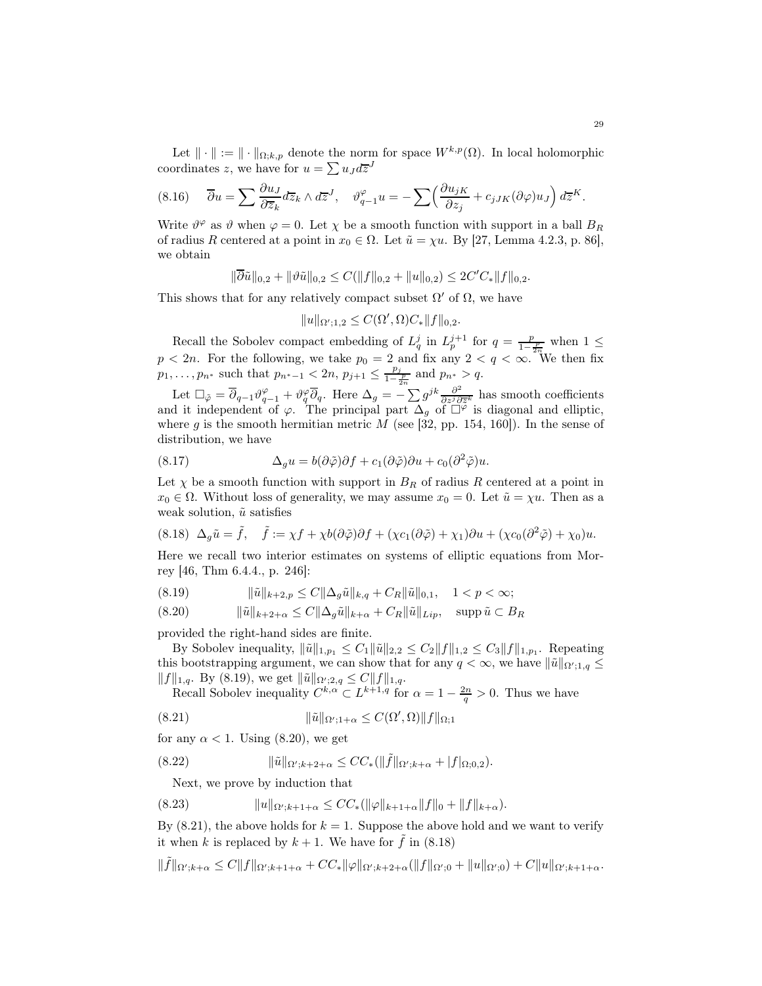Let  $\|\cdot\| := \|\cdot\|_{\Omega;k,p}$  denote the norm for space  $W^{k,p}(\Omega)$ . In local holomorphic coordinates z, we have for  $u = \sum u_J d\overline{z}^J$ 

$$
(8.16) \quad \overline{\partial} u = \sum \frac{\partial u_J}{\partial \overline{z}_k} d\overline{z}_k \wedge d\overline{z}^J, \quad \vartheta_{q-1}^{\varphi} u = -\sum \left(\frac{\partial u_{jK}}{\partial z_j} + c_{jJK} (\partial \varphi) u_J\right) d\overline{z}^K.
$$

Write  $\vartheta^{\varphi}$  as  $\vartheta$  when  $\varphi = 0$ . Let  $\chi$  be a smooth function with support in a ball  $B_R$ of radius R centered at a point in  $x_0 \in \Omega$ . Let  $\tilde{u} = \chi u$ . By [\[27,](#page-43-19) Lemma 4.2.3, p. 86], we obtain

$$
\|\overline{\partial}\tilde{u}\|_{0,2} + \|\vartheta\tilde{u}\|_{0,2} \leq C(\|f\|_{0,2} + \|u\|_{0,2}) \leq 2C'C_*\|f\|_{0,2}.
$$

This shows that for any relatively compact subset  $\Omega'$  of  $\Omega$ , we have

 $||u||_{\Omega';1,2} \leq C(\Omega', \Omega)C_*||f||_{0,2}.$ 

Recall the Sobolev compact embedding of  $L_q^j$  in  $L_p^{j+1}$  for  $q = \frac{p}{1-\frac{p}{2n}}$  when  $1 \leq$  $p < 2n$ . For the following, we take  $p_0 = 2$  and fix any  $2 < q < \infty$ . We then fix  $p_1, \ldots, p_{n^*}$  such that  $p_{n^*-1} < 2n$ ,  $p_{j+1} \leq \frac{p_j}{1-\frac{1}{2}}$  $\frac{p_j}{1-\frac{p}{2n}}$  and  $p_{n^*} > q$ .

Let  $\Box_{\tilde{\varphi}} = \overline{\partial}_{q-1} \vartheta_{q-1}^{\varphi} + \vartheta_{q}^{\varphi} \overline{\partial}_{q}$ . Here  $\Delta_{g} = -\sum g^{jk} \frac{\partial^{2}}{\partial z^{j} \partial z^{k}}$  $\frac{\partial^2}{\partial z^j \partial \overline{z}^k}$  has smooth coefficients and it independent of  $\varphi$ . The principal part  $\Delta_g$  of  $\Box^{\varphi}$  is diagonal and elliptic, where  $g$  is the smooth hermitian metric  $M$  (see [\[32,](#page-43-20) pp. 154, 160]). In the sense of distribution, we have

(8.17) 
$$
\Delta_g u = b(\partial \tilde{\varphi})\partial f + c_1(\partial \tilde{\varphi})\partial u + c_0(\partial^2 \tilde{\varphi})u.
$$

Let  $\chi$  be a smooth function with support in  $B_R$  of radius R centered at a point in  $x_0 \in \Omega$ . Without loss of generality, we may assume  $x_0 = 0$ . Let  $\tilde{u} = \chi u$ . Then as a weak solution,  $\tilde{u}$  satisfies

<span id="page-28-3"></span>
$$
(8.18)\ \ \Delta_g \tilde{u} = \tilde{f},\quad \tilde{f} := \chi f + \chi b (\partial \tilde{\varphi}) \partial f + (\chi c_1 (\partial \tilde{\varphi}) + \chi_1) \partial u + (\chi c_0 (\partial^2 \tilde{\varphi}) + \chi_0) u.
$$

Here we recall two interior estimates on systems of elliptic equations from Morrey [\[46,](#page-44-12) Thm 6.4.4., p. 246]:

<span id="page-28-0"></span>
$$
(8.19) \t\t ||\tilde{u}||_{k+2,p} \le C \|\Delta_g \tilde{u}\|_{k,q} + C_R \|\tilde{u}\|_{0,1}, \quad 1 < p < \infty;
$$

<span id="page-28-1"></span>(8.20) 
$$
\|\tilde{u}\|_{k+2+\alpha} \leq C\|\Delta_g \tilde{u}\|_{k+\alpha} + C_R \|\tilde{u}\|_{Lip}, \quad \text{supp}\,\tilde{u} \subset B_R
$$

provided the right-hand sides are finite.

By Sobolev inequality,  $\|\tilde{u}\|_{1,p_1} \leq C_1 \|\tilde{u}\|_{2,2} \leq C_2 \|f\|_{1,2} \leq C_3 \|f\|_{1,p_1}$ . Repeating this bootstrapping argument, we can show that for any  $q < \infty$ , we have  $\|\tilde{u}\|_{\Omega';1,q} \le$  $||f||_{1,q}$ . By [\(8.19\)](#page-28-0), we get  $||\tilde{u}||_{\Omega';2,q} \leq C||f||_{1,q}$ .

Recall Sobolev inequality  $C^{k,\alpha} \subset L^{k+1,q}$  for  $\alpha = 1 - \frac{2n}{q} > 0$ . Thus we have

<span id="page-28-2"></span>(8.21) 
$$
\|\tilde{u}\|_{\Omega';1+\alpha} \leq C(\Omega',\Omega)\|f\|_{\Omega;1}
$$

for any  $\alpha < 1$ . Using [\(8.20\)](#page-28-1), we get

(8.22) 
$$
\|\tilde{u}\|_{\Omega'; k+2+\alpha} \leq CC_* (\|\tilde{f}\|_{\Omega'; k+\alpha} + |f|_{\Omega; 0,2}).
$$

<span id="page-28-4"></span>Next, we prove by induction that

$$
(8.23) \t\t\t ||u||_{\Omega';k+1+\alpha} \le CC_*(||\varphi||_{k+1+\alpha}||f||_0 + ||f||_{k+\alpha}).
$$

By  $(8.21)$ , the above holds for  $k = 1$ . Suppose the above hold and we want to verify it when k is replaced by  $k + 1$ . We have for  $\tilde{f}$  in [\(8.18\)](#page-28-3)

 $\|\tilde{f}\|_{\Omega';k+\alpha}\leq C\|f\|_{\Omega';k+1+\alpha}+CC_*\|\varphi\|_{\Omega';k+2+\alpha}(\|f\|_{\Omega';0}+\|u\|_{\Omega';0})+C\|u\|_{\Omega';k+1+\alpha}.$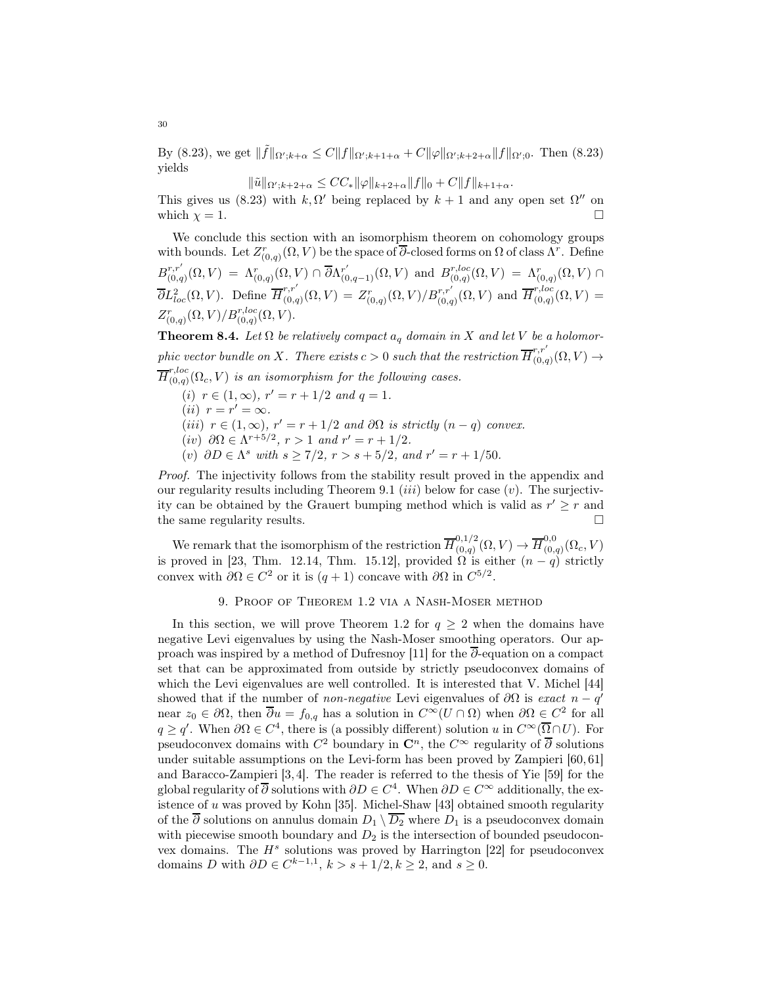By [\(8.23\)](#page-28-4), we get  $\|\tilde{f}\|_{\Omega';k+\alpha} \leq C \|f\|_{\Omega';k+1+\alpha} + C \|\varphi\|_{\Omega';k+2+\alpha} \|f\|_{\Omega';0}$ . Then (8.23) yields

$$
\|\tilde{u}\|_{\Omega';k+2+\alpha} \leq CC_{*}\|\varphi\|_{k+2+\alpha} \|f\|_{0} + C \|f\|_{k+1+\alpha}.
$$

This gives us [\(8.23\)](#page-28-4) with  $k, \Omega'$  being replaced by  $k + 1$  and any open set  $\Omega''$  on which  $\chi = 1$ .

We conclude this section with an isomorphism theorem on cohomology groups with bounds. Let  $Z_{(0,q)}^r(\Omega,V)$  be the space of  $\overline{\partial}$ -closed forms on  $\Omega$  of class  $\Lambda^r$ . Define  $B^{r,r'}_{(0,a)}$  $r,r'_{(0,q)}(\Omega,V) = \Lambda_{(0,q)}^r(\Omega,V) \cap \overline{\partial} \Lambda_{(0,q-1)}^{r'}(\Omega,V)$  and  $B_{(0,q)}^{r,loc}$  $\Lambda^{r,loc}_{(0,q)}(\Omega,V) \;=\; \Lambda^{r}_{(0,q)}(\Omega,V)\,\cap\,$  $\overline{\partial}L^2_{loc}(\Omega,V)$ . Define  $\overline{H}^{r,r'}_{(0,\sigma)}$  $F^{r,r'}_{(0,q)}(\Omega,V) = Z^r_{(0,q)}(\Omega,V)/B^{r,r'}_{(0,q)}(\Omega,V)$  and  $\overline{H}^{r,loc}_{(0,q)}$  $C_{(0,q)}^{(0,0)}(\Omega,V) =$  $Z^r_{(0,q)}(\Omega,V)/B^{r,loc}_{(0,q)}(\Omega,V).$ 

**Theorem 8.4.** Let  $\Omega$  be relatively compact  $a_q$  domain in X and let V be a holomorphic vector bundle on X. There exists  $c > 0$  such that the restriction  $\overline{H}_{0,c}^{r,r'}$  $C_{(0,q)}^{\prime\,\prime}(\Omega,V)\rightarrow$  $\overline{H}^{r,loc}_{(0,q)}$  $\mathcal{O}_{(0,q)}(\Omega_c, V)$  is an isomorphism for the following cases.

$$
(i) r \in (1, \infty), r' = r + 1/2 \text{ and } q = 1.
$$

- $(ii)$   $r = r' = \infty$ .
- (iii)  $r \in (1,\infty)$ ,  $r' = r + 1/2$  and  $\partial\Omega$  is strictly  $(n-q)$  convex.
- $(iv)$  ∂ $\Omega \in \Lambda^{r+5/2}$ ,  $r > 1$  and  $r' = r + 1/2$ .
- (v)  $\partial D \in \Lambda^s$  with  $s \ge 7/2$ ,  $r > s + 5/2$ , and  $r' = r + 1/50$ .

Proof. The injectivity follows from the stability result proved in the appendix and our regularity results including Theorem [9.1](#page-30-0) *(iii)* below for case  $(v)$ . The surjectivity can be obtained by the Grauert bumping method which is valid as  $r' \geq r$  and the same regularity results.

We remark that the isomorphism of the restriction  $\overline{H}_{(0,a)}^{0,1/2}$  ${}_{(0,q)}^{0,1/2}(\Omega,V) \to \overline{H}_{(0,\cdot)}^{0,0}$  $_{(0,q)}^{0,0}(\Omega_c,V)$ is proved in [\[23,](#page-43-9) Thm. 12.14, Thm. 15.12], provided  $\Omega$  is either  $(n-q)$  strictly convex with  $\partial \Omega \in C^2$  or it is  $(q + 1)$  concave with  $\partial \Omega$  in  $C^{5/2}$ .

## 9. Proof of Theorem [1.2](#page-0-1) via a Nash-Moser method

In this section, we will prove Theorem [1.2](#page-0-1) for  $q \geq 2$  when the domains have negative Levi eigenvalues by using the Nash-Moser smoothing operators. Our approach was inspired by a method of Dufresnoy [\[11\]](#page-42-6) for the ∂-equation on a compact set that can be approximated from outside by strictly pseudoconvex domains of which the Levi eigenvalues are well controlled. It is interested that V. Michel [\[44\]](#page-44-13) showed that if the number of *non-negative* Levi eigenvalues of  $\partial\Omega$  is exact  $n - q'$ near  $z_0 \in \partial\Omega$ , then  $\overline{\partial} u = f_{0,q}$  has a solution in  $C^{\infty}(U \cap \Omega)$  when  $\partial\Omega \in C^2$  for all  $q \ge q'$ . When  $\partial \Omega \in C^4$ , there is (a possibly different) solution u in  $C^{\infty}(\overline{\Omega} \cap U)$ . For pseudoconvex domains with  $C^2$  boundary in  $\mathbb{C}^n$ , the  $C^{\infty}$  regularity of  $\overline{\partial}$  solutions under suitable assumptions on the Levi-form has been proved by Zampieri [\[60,](#page-44-14) [61\]](#page-44-15) and Baracco-Zampieri [\[3,](#page-42-7) [4\]](#page-42-8). The reader is referred to the thesis of Yie [\[59\]](#page-44-16) for the global regularity of  $\overline{\partial}$  solutions with  $\partial D \in C^4$ . When  $\partial D \in C^{\infty}$  additionally, the existence of u was proved by Kohn [\[35\]](#page-43-21). Michel-Shaw [\[43\]](#page-44-17) obtained smooth regularity of the  $\overline{\partial}$  solutions on annulus domain  $D_1 \setminus \overline{D_2}$  where  $D_1$  is a pseudoconvex domain with piecewise smooth boundary and  $D_2$  is the intersection of bounded pseudoconvex domains. The  $H^s$  solutions was proved by Harrington [\[22\]](#page-43-22) for pseudoconvex domains D with  $\partial D \in C^{k-1,1}, k > s + 1/2, k \geq 2$ , and  $s \geq 0$ .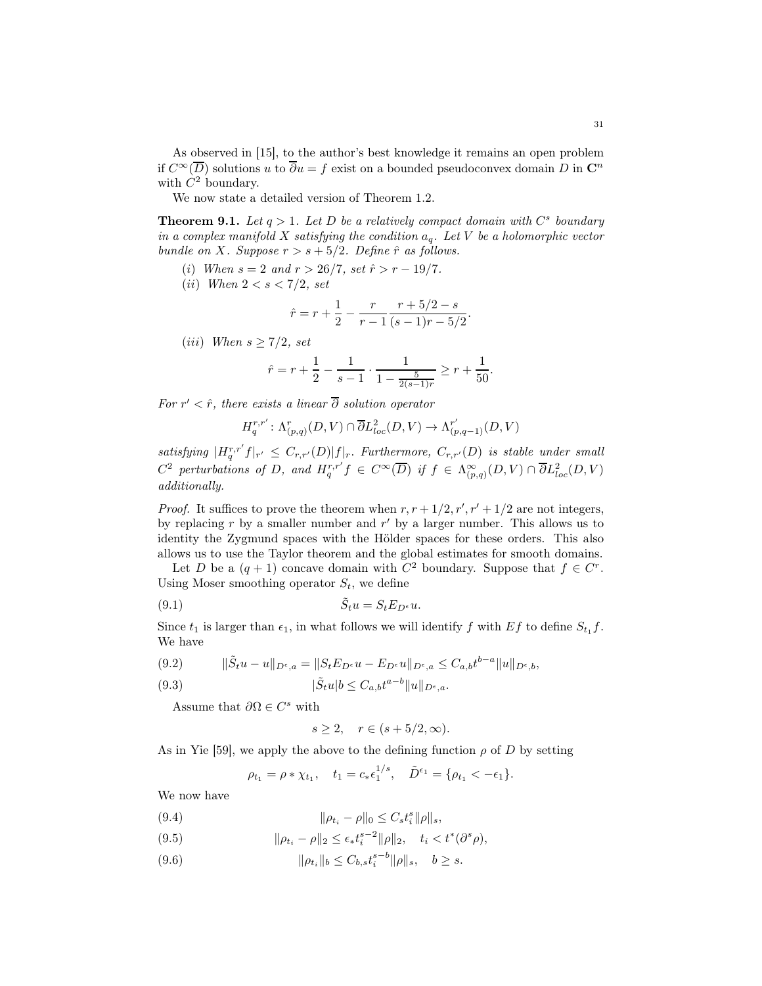As observed in [\[15\]](#page-43-11), to the author's best knowledge it remains an open problem if  $C^{\infty}(\overline{D})$  solutions u to  $\overline{\partial}u = f$  exist on a bounded pseudoconvex domain D in  $\mathbb{C}^n$ with  $C^2$  boundary.

We now state a detailed version of Theorem [1.2.](#page-0-1)

<span id="page-30-0"></span>**Theorem 9.1.** Let  $q > 1$ . Let D be a relatively compact domain with  $C^s$  boundary in a complex manifold X satisfying the condition  $a_q$ . Let V be a holomorphic vector bundle on X. Suppose  $r > s + 5/2$ . Define  $\hat{r}$  as follows.

- (i) When  $s = 2$  and  $r > 26/7$ , set  $\hat{r} > r 19/7$ .
- (*ii*) When  $2 < s < 7/2$ , set

$$
\hat{r} = r + \frac{1}{2} - \frac{r}{r - 1} \frac{r + 5/2 - s}{(s - 1)r - 5/2}.
$$

(iii) When  $s \geq 7/2$ , set

$$
\hat{r} = r + \frac{1}{2} - \frac{1}{s - 1} \cdot \frac{1}{1 - \frac{5}{2(s - 1)r}} \ge r + \frac{1}{50}.
$$

For  $r' < \hat{r}$ , there exists a linear  $\partial$  solution operator

$$
H^{r,r'}_q: \Lambda^r_{(p,q)}(D,V) \cap \overline{\partial} L^2_{loc}(D,V) \to \Lambda^{r'}_{(p,q-1)}(D,V)
$$

satisfying  $|H_q^{r,r'}f|_{r'} \leq C_{r,r'}(D)|f|_r$ . Furthermore,  $C_{r,r'}(D)$  is stable under small  $C^2$  perturbations of D, and  $H_q^{r,r'}f \in C^{\infty}(\overline{D})$  if  $f \in \Lambda_{(p,q)}^{\infty}(D, V) \cap \overline{\partial}L_{loc}^2(D, V)$ additionally.

*Proof.* It suffices to prove the theorem when  $r, r + 1/2, r', r' + 1/2$  are not integers, by replacing  $r$  by a smaller number and  $r'$  by a larger number. This allows us to identity the Zygmund spaces with the Hölder spaces for these orders. This also allows us to use the Taylor theorem and the global estimates for smooth domains.

Let D be a  $(q + 1)$  concave domain with  $C^2$  boundary. Suppose that  $f \in C^r$ . Using Moser smoothing operator  $S_t$ , we define

$$
(9.1) \t\t\t \tilde{S}_t u = S_t E_{D^{\epsilon}} u.
$$

Since  $t_1$  is larger than  $\epsilon_1$ , in what follows we will identify f with Ef to define  $S_{t_1} f$ . We have

$$
(9.2) \t\t ||\tilde{S}_t u - u||_{D^{\epsilon},a} = ||S_t E_{D^{\epsilon}} u - E_{D^{\epsilon}} u||_{D^{\epsilon},a} \leq C_{a,b} t^{b-a} ||u||_{D^{\epsilon},b},
$$

(9.3) 
$$
|\tilde{S}_t u|b \leq C_{a,b} t^{a-b} ||u||_{D^{\epsilon},a}.
$$

Assume that  $\partial\Omega \in C^s$  with

$$
s \ge 2, \quad r \in (s+5/2, \infty).
$$

As in Yie [\[59\]](#page-44-16), we apply the above to the defining function  $\rho$  of D by setting

$$
\rho_{t_1} = \rho * \chi_{t_1}, \quad t_1 = c_* \epsilon_1^{1/s}, \quad \tilde{D}^{\epsilon_1} = \{\rho_{t_1} < -\epsilon_1\}.
$$

We now have

<span id="page-30-1"></span>(9.4) 
$$
\|\rho_{t_i} - \rho\|_0 \leq C_s t_i^s \|\rho\|_s,
$$

<span id="page-30-2"></span>(9.5) 
$$
\|\rho_{t_i} - \rho\|_2 \le \epsilon_* t_i^{s-2} \|\rho\|_2, \quad t_i < t^*(\partial^s \rho),
$$

<span id="page-30-3"></span>(9.6)  $\|\rho_{t_i}\|_b \le C_{b,s} t_i^{s-b} \|\rho\|_s, \quad b \ge s.$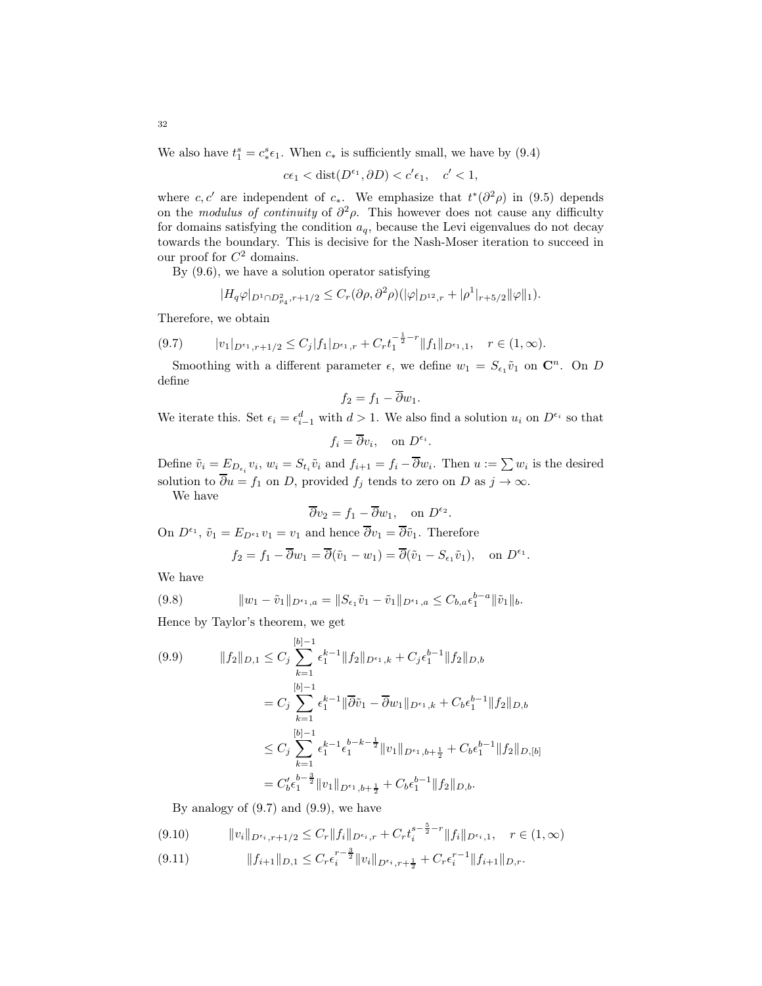We also have  $t_1^s = c_*^s$  $*_{\epsilon_1}$ . When  $c_*$  is sufficiently small, we have by [\(9.4\)](#page-30-1)

$$
c\epsilon_1 < \text{dist}(D^{\epsilon_1}, \partial D) < c'\epsilon_1, \quad c' < 1,
$$

where c, c' are independent of c<sub>∗</sub>. We emphasize that  $t^*(\partial^2 \rho)$  in [\(9.5\)](#page-30-2) depends on the modulus of continuity of  $\partial^2 \rho$ . This however does not cause any difficulty for domains satisfying the condition  $a<sub>q</sub>$ , because the Levi eigenvalues do not decay towards the boundary. This is decisive for the Nash-Moser iteration to succeed in our proof for  $C^2$  domains.

By [\(9.6\)](#page-30-3), we have a solution operator satisfying

$$
|H_q \varphi|_{D^1 \cap D^2_{\rho_4}, r+1/2} \leq C_r (\partial \rho, \partial^2 \rho)(|\varphi|_{D^{12},r} + |\rho^1|_{r+5/2} ||\varphi||_1).
$$

Therefore, we obtain

<span id="page-31-0"></span>
$$
(9.7) \t\t |v_1|_{D^{\epsilon_1}, r+1/2} \leq C_j |f_1|_{D^{\epsilon_1}, r} + C_r t_1^{-\frac{1}{2}-r} ||f_1||_{D^{\epsilon_1}, 1}, \quad r \in (1, \infty).
$$

Smoothing with a different parameter  $\epsilon$ , we define  $w_1 = S_{\epsilon_1} \tilde{v}_1$  on  $\mathbb{C}^n$ . On D define

$$
f_2 = f_1 - \overline{\partial} w_1.
$$

We iterate this. Set  $\epsilon_i = \epsilon_{i-1}^d$  with  $d > 1$ . We also find a solution  $u_i$  on  $D^{\epsilon_i}$  so that

$$
f_i = \overline{\partial} v_i, \quad \text{on } D^{\epsilon_i}.
$$

Define  $\tilde{v}_i = E_{D_{\epsilon_i}} v_i$ ,  $w_i = S_{t_i} \tilde{v}_i$  and  $f_{i+1} = f_i - \partial w_i$ . Then  $u := \sum w_i$  is the desired solution to  $\overline{\partial} u = f_1$  on D, provided  $f_j$  tends to zero on D as  $j \to \infty$ .

We have

$$
\overline{\partial}v_2 = f_1 - \overline{\partial}w_1
$$
, on  $D^{\epsilon_2}$ .

On  $D^{\epsilon_1}$ ,  $\tilde{v}_1 = E_{D^{\epsilon_1}} v_1 = v_1$  and hence  $\overline{\partial} v_1 = \overline{\partial} \tilde{v}_1$ . Therefore

$$
f_2 = f_1 - \overline{\partial} w_1 = \overline{\partial} (\tilde{v}_1 - w_1) = \overline{\partial} (\tilde{v}_1 - S_{\epsilon_1} \tilde{v}_1),
$$
 on  $D^{\epsilon_1}$ .

We have

(9.8) 
$$
||w_1 - \tilde{v}_1||_{D^{\epsilon_1},a} = ||S_{\epsilon_1}\tilde{v}_1 - \tilde{v}_1||_{D^{\epsilon_1},a} \leq C_{b,a}\epsilon_1^{b-a}||\tilde{v}_1||_b.
$$

Hence by Taylor's theorem, we get

<span id="page-31-1"></span>
$$
(9.9) \qquad ||f_2||_{D,1} \leq C_j \sum_{k=1}^{[b]-1} \epsilon_1^{k-1} ||f_2||_{D^{\epsilon_1},k} + C_j \epsilon_1^{b-1} ||f_2||_{D,b}
$$
  

$$
= C_j \sum_{k=1}^{[b]-1} \epsilon_1^{k-1} ||\overline{\partial} \tilde{v}_1 - \overline{\partial} w_1||_{D^{\epsilon_1},k} + C_b \epsilon_1^{b-1} ||f_2||_{D,b}
$$
  

$$
\leq C_j \sum_{k=1}^{[b]-1} \epsilon_1^{k-1} \epsilon_1^{b-k-\frac{1}{2}} ||v_1||_{D^{\epsilon_1},b+\frac{1}{2}} + C_b \epsilon_1^{b-1} ||f_2||_{D,[b]}
$$
  

$$
= C'_b \epsilon_1^{b-\frac{3}{2}} ||v_1||_{D^{\epsilon_1},b+\frac{1}{2}} + C_b \epsilon_1^{b-1} ||f_2||_{D,b}.
$$

By analogy of  $(9.7)$  and  $(9.9)$ , we have

<span id="page-31-2"></span>
$$
(9.10) \t\t ||v_i||_{D^{\epsilon_i}, r+1/2} \le C_r ||f_i||_{D^{\epsilon_i}, r} + C_r t_i^{s-\frac{5}{2}-r} ||f_i||_{D^{\epsilon_i}, 1}, \quad r \in (1, \infty)
$$

<span id="page-31-3"></span>
$$
(9.11) \t\t\t ||f_{i+1}||_{D,1} \leq C_r \epsilon_i^{r-\frac{3}{2}} ||v_i||_{D^{\epsilon_i}, r+\frac{1}{2}} + C_r \epsilon_i^{r-1} ||f_{i+1}||_{D,r}.
$$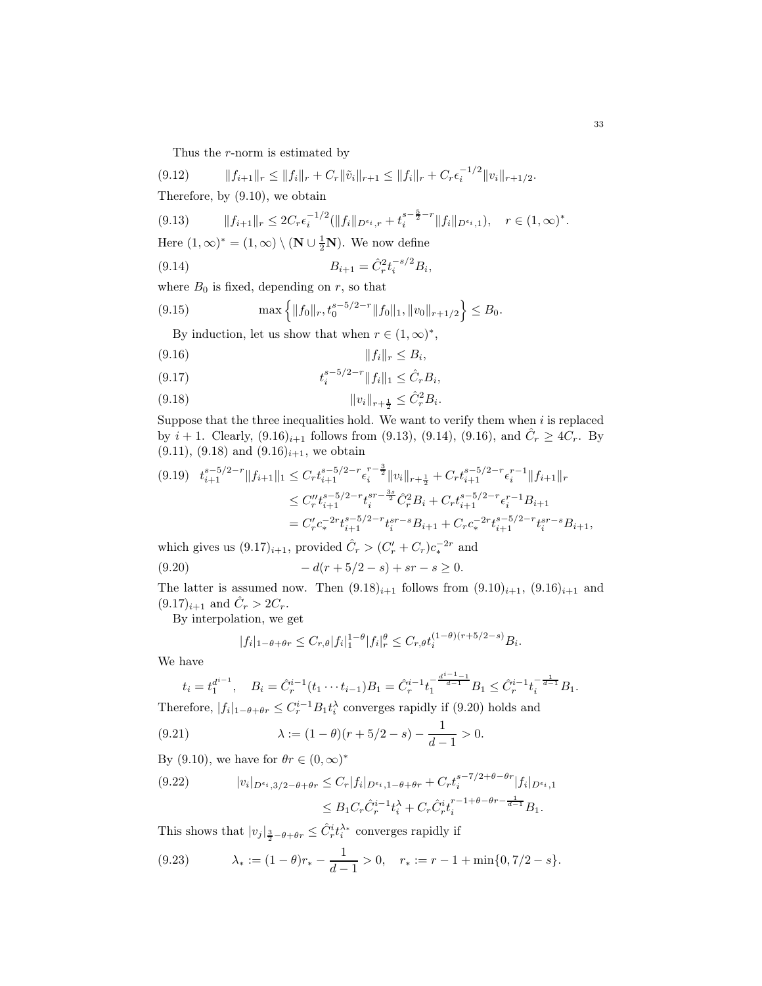Thus the r-norm is estimated by

$$
(9.12) \t\t\t ||f_{i+1}||_r \leq ||f_i||_r + C_r ||\tilde{v}_i||_{r+1} \leq ||f_i||_r + C_r \epsilon_i^{-1/2} ||v_i||_{r+1/2}.
$$

Therefore, by [\(9.10\)](#page-31-2), we obtain

<span id="page-32-1"></span>
$$
(9.13) \t\t ||f_{i+1}||_r \leq 2C_r\epsilon_i^{-1/2}(\|f_i\|_{D^{\epsilon_i},r} + t_i^{s-\frac{5}{2}-r}\|f_i\|_{D^{\epsilon_i},1}), \quad r \in (1,\infty)^*.
$$

<span id="page-32-2"></span>,

Here  $(1, \infty)^* = (1, \infty) \setminus (\mathbf{N} \cup \frac{1}{2}\mathbf{N})$ . We now define

$$
(9.14) \t\t B_{i+1} = \hat{C}_r^2 t_i^{-s/2} B_i
$$

where  $B_0$  is fixed, depending on r, so that

(9.15) 
$$
\max \left\{ \|f_0\|_r, t_0^{s-5/2-r} \|f_0\|_1, \|v_0\|_{r+1/2} \right\} \leq B_0.
$$

By induction, let us show that when  $r \in (1, \infty)^*$ ,

<span id="page-32-0"></span>
$$
(9.16) \t\t\t\t ||f_i||_r \leq B_i,
$$

<span id="page-32-4"></span>(9.17) 
$$
t_i^{s-5/2-r} \|f_i\|_1 \leq \hat{C}_r B_i,
$$

<span id="page-32-3"></span>
$$
(9.18) \t\t\t ||v_i||_{r+\frac{1}{2}} \leq \hat{C}_r^2 B_i.
$$

Suppose that the three inequalities hold. We want to verify them when  $i$  is replaced by  $i + 1$ . Clearly,  $(9.16)_{i+1}$  $(9.16)_{i+1}$  $(9.16)_{i+1}$  follows from  $(9.13)$ ,  $(9.14)$ ,  $(9.16)$ , and  $\hat{C}_r \geq 4C_r$ . By  $(9.11)$ ,  $(9.18)$  and  $(9.16)_{i+1}$  $(9.16)_{i+1}$  $(9.16)_{i+1}$ , we obtain

$$
(9.19) \quad t_{i+1}^{s-5/2-r} \|f_{i+1}\|_{1} \leq C_r t_{i+1}^{s-5/2-r} \epsilon_i^{r-\frac{3}{2}} \|v_i\|_{r+\frac{1}{2}} + C_r t_{i+1}^{s-5/2-r} \epsilon_i^{r-1} \|f_{i+1}\|_{r}
$$
  
\n
$$
\leq C_r'' t_{i+1}^{s-5/2-r} t_i^{sr-\frac{3s}{2}} \hat{C}_r^2 B_i + C_r t_{i+1}^{s-5/2-r} \epsilon_i^{r-1} B_{i+1}
$$
  
\n
$$
= C_r' c_*^{-2r} t_{i+1}^{s-5/2-r} t_i^{sr-s} B_{i+1} + C_r c_*^{-2r} t_{i+1}^{s-5/2-r} t_i^{sr-s} B_{i+1},
$$

which gives us  $(9.17)_{i+1}$  $(9.17)_{i+1}$  $(9.17)_{i+1}$ , provided  $\hat{C}_r > (C'_r + C_r)c_*^{-2r}$  and

(9.20) 
$$
-d(r+5/2-s)+sr-s\geq 0.
$$

The latter is assumed now. Then  $(9.18)_{i+1}$  $(9.18)_{i+1}$  $(9.18)_{i+1}$  follows from  $(9.10)_{i+1}$  $(9.10)_{i+1}$  $(9.10)_{i+1}$ ,  $(9.16)_{i+1}$  $(9.16)_{i+1}$  $(9.16)_{i+1}$  and  $(9.17)_{i+1}$  $(9.17)_{i+1}$  $(9.17)_{i+1}$  and  $\hat{C}_r > 2C_r$ .

By interpolation, we get

<span id="page-32-5"></span>
$$
|f_i|_{1-\theta+\theta r} \leq C_{r,\theta} |f_i|_1^{1-\theta} |f_i|_r^{\theta} \leq C_{r,\theta} t_i^{(1-\theta)(r+5/2-s)} B_i.
$$

We have

$$
t_i = t_1^{d^{i-1}}, \quad B_i = \hat{C}_r^{i-1}(t_1 \cdots t_{i-1})B_1 = \hat{C}_r^{i-1}t_1^{-\frac{d^{i-1}-1}{d-1}}B_1 \le \hat{C}_r^{i-1}t_i^{-\frac{1}{d-1}}B_1.
$$

Therefore,  $|f_i|_{1-\theta+\theta r} \leq C_r^{i-1} B_1 t_i^{\lambda}$  converges rapidly if [\(9.20\)](#page-32-5) holds and

(9.21) 
$$
\lambda := (1 - \theta)(r + 5/2 - s) - \frac{1}{d - 1} > 0.
$$

By [\(9.10\)](#page-31-2), we have for  $\theta r \in (0, \infty)^*$ 

$$
(9.22) \t|v_i|_{D^{\epsilon_i},3/2-\theta+\theta r} \leq C_r |f_i|_{D^{\epsilon_i},1-\theta+\theta r} + C_r t_i^{s-7/2+\theta-\theta r} |f_i|_{D^{\epsilon_i},1}
$$
  

$$
\leq B_1 C_r \hat{C}_r^{i-1} t_i^{\lambda} + C_r \hat{C}_r^{i} t_i^{r-1+\theta-\theta r - \frac{1}{d-1}} B_1.
$$

This shows that  $|v_j|_{\frac{3}{2}-\theta+\theta r} \leq \hat{C}_r^i t_i^{\lambda_*}$  converges rapidly if

<span id="page-32-6"></span>(9.23) 
$$
\lambda_* := (1 - \theta)r_* - \frac{1}{d - 1} > 0, \quad r_* := r - 1 + \min\{0, 7/2 - s\}.
$$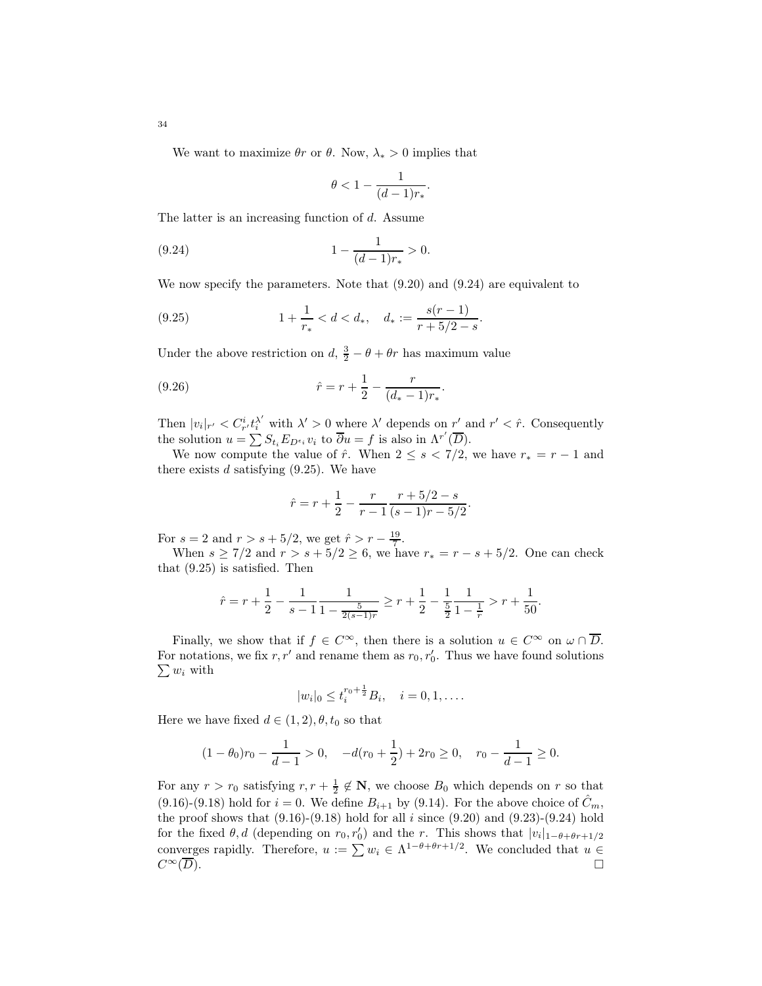We want to maximize  $\theta r$  or  $\theta$ . Now,  $\lambda_* > 0$  implies that

<span id="page-33-0"></span>
$$
\theta < 1 - \frac{1}{(d-1)r_*}.
$$

The latter is an increasing function of d. Assume

(9.24) 
$$
1 - \frac{1}{(d-1)r_*} > 0.
$$

We now specify the parameters. Note that [\(9.20\)](#page-32-5) and [\(9.24\)](#page-33-0) are equivalent to

<span id="page-33-1"></span>(9.25) 
$$
1 + \frac{1}{r_*} < d < d_*, \quad d_* := \frac{s(r-1)}{r+5/2-s}.
$$

Under the above restriction on  $d, \frac{3}{2} - \theta + \theta r$  has maximum value

(9.26) 
$$
\hat{r} = r + \frac{1}{2} - \frac{r}{(d_* - 1)r_*}.
$$

Then  $|v_i|_{r'} < C_{r'}^i t_i^{\lambda'}$  with  $\lambda' > 0$  where  $\lambda'$  depends on  $r'$  and  $r' < \hat{r}$ . Consequently the solution  $u = \sum S_{t_i} E_{D^{\epsilon_i}} v_i$  to  $\overline{\partial} u = f$  is also in  $\Lambda^{r'}(\overline{D})$ .

We now compute the value of  $\hat{r}$ . When  $2 \leq s < 7/2$ , we have  $r_* = r - 1$  and there exists  $d$  satisfying  $(9.25)$ . We have

$$
\hat{r} = r + \frac{1}{2} - \frac{r}{r - 1} \frac{r + 5/2 - s}{(s - 1)r - 5/2}.
$$

For  $s = 2$  and  $r > s + 5/2$ , we get  $\hat{r} > r - \frac{19}{7}$ .

When  $s \geq 7/2$  and  $r > s + 5/2 \geq 6$ , we have  $r_* = r - s + 5/2$ . One can check that [\(9.25\)](#page-33-1) is satisfied. Then

$$
\hat{r} = r + \frac{1}{2} - \frac{1}{s - 1} \frac{1}{1 - \frac{5}{2(s - 1)r}} \ge r + \frac{1}{2} - \frac{1}{\frac{5}{2}} \frac{1}{1 - \frac{1}{r}} > r + \frac{1}{50}.
$$

Finally, we show that if  $f \in C^{\infty}$ , then there is a solution  $u \in C^{\infty}$  on  $\omega \cap \overline{D}$ . For notations, we fix  $r, r'$  and rename them as  $r_0, r'_0$ . Thus we have found solutions  $\sum w_i$  with

$$
|w_i|_0 \leq t_i^{r_0 + \frac{1}{2}} B_i, \quad i = 0, 1, \dots.
$$

Here we have fixed  $d \in (1, 2), \theta, t_0$  so that

$$
(1 - \theta_0)r_0 - \frac{1}{d - 1} > 0, \quad -d(r_0 + \frac{1}{2}) + 2r_0 \ge 0, \quad r_0 - \frac{1}{d - 1} \ge 0.
$$

For any  $r > r_0$  satisfying  $r, r + \frac{1}{2} \notin \mathbb{N}$ , we choose  $B_0$  which depends on r so that [\(9.16\)](#page-32-0)-[\(9.18\)](#page-32-3) hold for  $i = 0$ . We define  $B_{i+1}$  by [\(9.14\)](#page-32-2). For the above choice of  $\hat{C}_m$ , the proof shows that  $(9.16)-(9.18)$  $(9.16)-(9.18)$  hold for all i since  $(9.20)$  and  $(9.23)-(9.24)$  $(9.23)-(9.24)$  hold for the fixed  $\theta$ , d (depending on  $r_0$ ,  $r'_0$ ) and the r. This shows that  $|v_i|_{1-\theta+\theta r+1/2}$ converges rapidly. Therefore,  $u := \sum w_i \in \Lambda^{1-\theta+\theta r+1/2}$ . We concluded that  $u \in$  $C^{\infty}(\overline{D}).$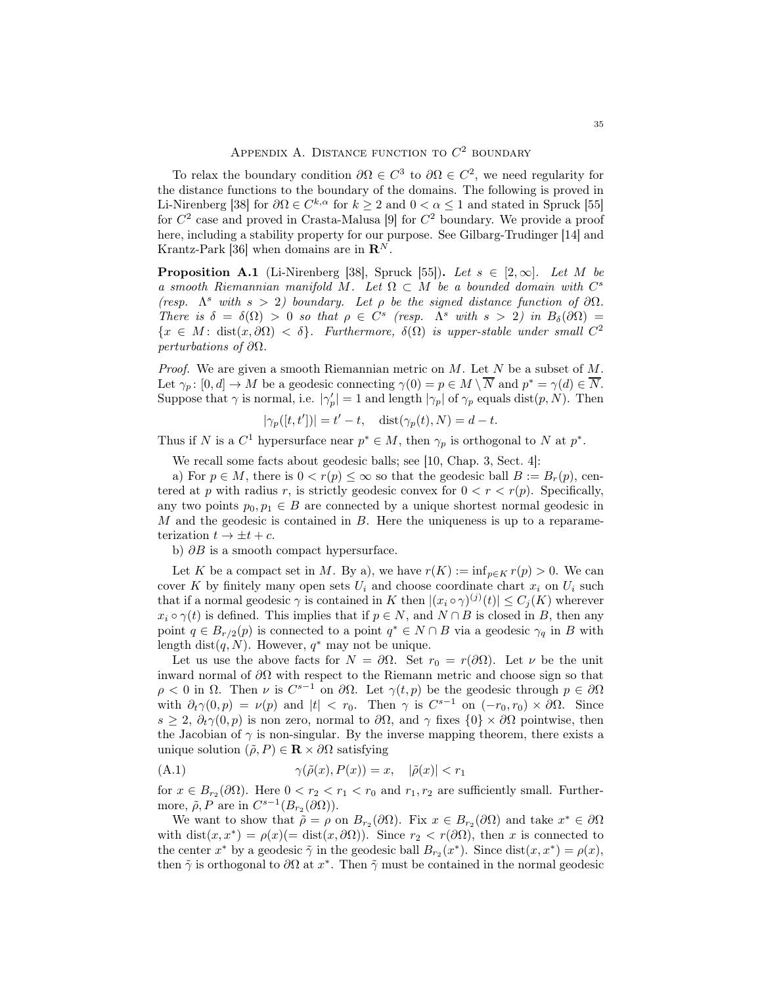To relax the boundary condition  $\partial \Omega \in C^3$  to  $\partial \Omega \in C^2$ , we need regularity for the distance functions to the boundary of the domains. The following is proved in Li-Nirenberg [\[38\]](#page-43-23) for  $\partial\Omega \in C^{k,\alpha}$  for  $k \geq 2$  and  $0 < \alpha \leq 1$  and stated in Spruck [\[55\]](#page-44-18) for  $C^2$  case and proved in Crasta-Malusa [\[9\]](#page-42-9) for  $C^2$  boundary. We provide a proof here, including a stability property for our purpose. See Gilbarg-Trudinger [\[14\]](#page-42-10) and Krantz-Park [\[36\]](#page-43-24) when domains are in  $\mathbb{R}^N$ .

<span id="page-34-1"></span>**Proposition A.1** (Li-Nirenberg [\[38\]](#page-43-23), Spruck [\[55\]](#page-44-18)). Let  $s \in [2,\infty]$ . Let M be a smooth Riemannian manifold M. Let  $\Omega \subset M$  be a bounded domain with  $C^s$ (resp.  $\Lambda^s$  with  $s > 2$ ) boundary. Let  $\rho$  be the signed distance function of  $\partial\Omega$ . There is  $\delta = \delta(\Omega) > 0$  so that  $\rho \in C^s$  (resp.  $\Lambda^s$  with  $s > 2$ ) in  $B_\delta(\partial \Omega) =$  ${x \in M : dist(x, \partial \Omega) < \delta}$ . Furthermore,  $\delta(\Omega)$  is upper-stable under small  $C^2$ perturbations of  $\partial\Omega$ .

*Proof.* We are given a smooth Riemannian metric on  $M$ . Let  $N$  be a subset of  $M$ . Let  $\gamma_p: [0, d] \to M$  be a geodesic connecting  $\gamma(0) = p \in M \setminus N$  and  $p^* = \gamma(d) \in N$ . Suppose that  $\gamma$  is normal, i.e.  $|\gamma_p'| = 1$  and length  $|\gamma_p|$  of  $\gamma_p$  equals dist $(p, N)$ . Then

$$
|\gamma_p([t, t'])| = t' - t, \quad \text{dist}(\gamma_p(t), N) = d - t.
$$

Thus if N is a  $C^1$  hypersurface near  $p^* \in M$ , then  $\gamma_p$  is orthogonal to N at  $p^*$ .

We recall some facts about geodesic balls; see [\[10,](#page-42-11) Chap. 3, Sect. 4]:

a) For  $p \in M$ , there is  $0 < r(p) \leq \infty$  so that the geodesic ball  $B := B_r(p)$ , centered at p with radius r, is strictly geodesic convex for  $0 < r < r(p)$ . Specifically, any two points  $p_0, p_1 \in B$  are connected by a unique shortest normal geodesic in M and the geodesic is contained in B. Here the uniqueness is up to a reparameterization  $t \to \pm t + c$ .

b)  $\partial B$  is a smooth compact hypersurface.

Let K be a compact set in M. By a), we have  $r(K) := \inf_{p \in K} r(p) > 0$ . We can cover K by finitely many open sets  $U_i$  and choose coordinate chart  $x_i$  on  $U_i$  such that if a normal geodesic  $\gamma$  is contained in K then  $|(x_i \circ \gamma)^{(j)}(t)| \leq C_j(K)$  wherever  $x_i \circ \gamma(t)$  is defined. This implies that if  $p \in N$ , and  $N \cap B$  is closed in B, then any point  $q \in B_{r/2}(p)$  is connected to a point  $q^* \in N \cap B$  via a geodesic  $\gamma_q$  in B with length dist $(q, N)$ . However,  $q^*$  may not be unique.

Let us use the above facts for  $N = \partial \Omega$ . Set  $r_0 = r(\partial \Omega)$ . Let  $\nu$  be the unit inward normal of ∂Ω with respect to the Riemann metric and choose sign so that  $\rho < 0$  in  $\Omega$ . Then  $\nu$  is  $C^{s-1}$  on  $\partial\Omega$ . Let  $\gamma(t, p)$  be the geodesic through  $p \in \partial\Omega$ with  $\partial_t \gamma(0, p) = \nu(p)$  and  $|t| < r_0$ . Then  $\gamma$  is  $C^{s-1}$  on  $(-r_0, r_0) \times \partial \Omega$ . Since  $s \geq 2$ ,  $\partial_t \gamma(0, p)$  is non zero, normal to  $\partial \Omega$ , and  $\gamma$  fixes  $\{0\} \times \partial \Omega$  pointwise, then the Jacobian of  $\gamma$  is non-singular. By the inverse mapping theorem, there exists a unique solution  $(\tilde{\rho}, P) \in \mathbf{R} \times \partial \Omega$  satisfying

<span id="page-34-0"></span>
$$
(A.1) \qquad \qquad \gamma(\tilde{\rho}(x), P(x)) = x, \quad |\tilde{\rho}(x)| < r_1
$$

for  $x \in B_{r_2}(\partial\Omega)$ . Here  $0 < r_2 < r_1 < r_0$  and  $r_1, r_2$  are sufficiently small. Furthermore,  $\tilde{\rho}, P$  are in  $C^{s-1}(B_{r_2}(\partial \Omega)).$ 

We want to show that  $\tilde{\rho} = \rho$  on  $B_{r_2}(\partial \Omega)$ . Fix  $x \in B_{r_2}(\partial \Omega)$  and take  $x^* \in \partial \Omega$ with  $dist(x, x^*) = \rho(x) (= dist(x, \partial \Omega))$ . Since  $r_2 < r(\partial \Omega)$ , then x is connected to the center  $x^*$  by a geodesic  $\tilde{\gamma}$  in the geodesic ball  $B_{r_2}(x^*)$ . Since  $dist(x, x^*) = \rho(x)$ , then  $\tilde{\gamma}$  is orthogonal to  $\partial\Omega$  at  $x^*$ . Then  $\tilde{\gamma}$  must be contained in the normal geodesic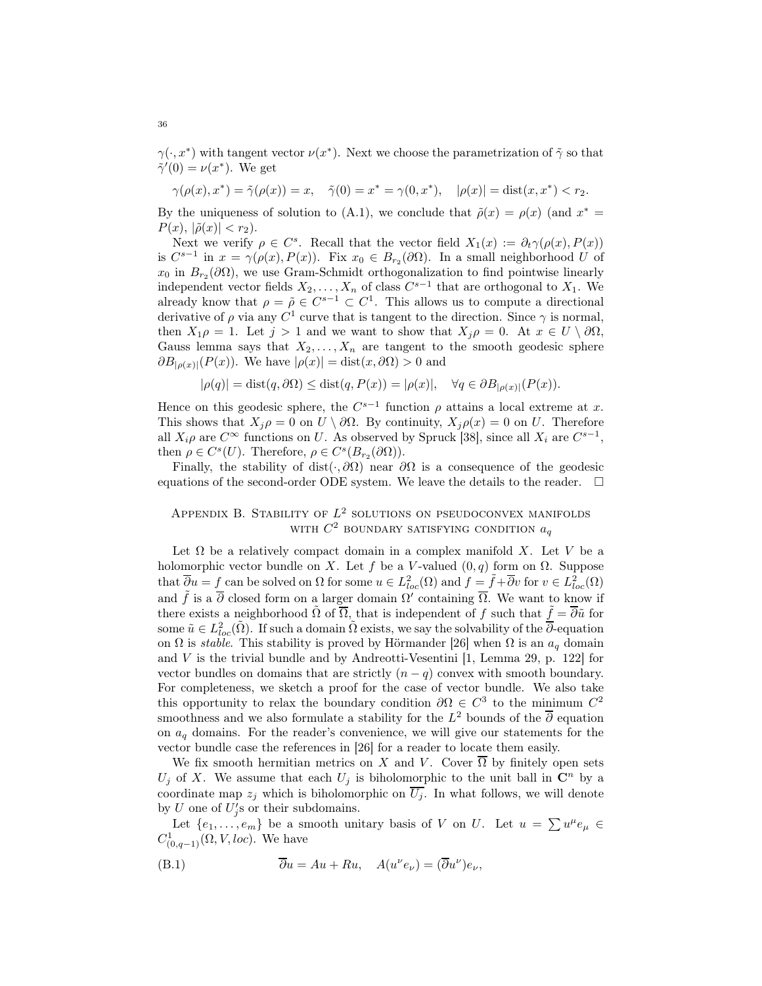$\gamma(\cdot, x^*)$  with tangent vector  $\nu(x^*)$ . Next we choose the parametrization of  $\tilde{\gamma}$  so that  $\tilde{\gamma}'(0) = \nu(x^*)$ . We get

$$
\gamma(\rho(x), x^*) = \tilde{\gamma}(\rho(x)) = x, \quad \tilde{\gamma}(0) = x^* = \gamma(0, x^*), \quad |\rho(x)| = \text{dist}(x, x^*) < r_2.
$$

By the uniqueness of solution to [\(A.1\)](#page-34-0), we conclude that  $\tilde{\rho}(x) = \rho(x)$  (and  $x^* =$  $P(x)$ ,  $|\tilde{\rho}(x)| < r_2$ ).

Next we verify  $\rho \in C^s$ . Recall that the vector field  $X_1(x) := \partial_t \gamma(\rho(x), P(x))$ is  $C^{s-1}$  in  $x = \gamma(\rho(x), P(x))$ . Fix  $x_0 \in B_{r_2}(\partial\Omega)$ . In a small neighborhood U of  $x_0$  in  $B_{r_2}(\partial\Omega)$ , we use Gram-Schmidt orthogonalization to find pointwise linearly independent vector fields  $X_2, \ldots, X_n$  of class  $C^{s-1}$  that are orthogonal to  $X_1$ . We already know that  $\rho = \tilde{\rho} \in C^{s-1} \subset C^1$ . This allows us to compute a directional derivative of  $\rho$  via any  $C^1$  curve that is tangent to the direction. Since  $\gamma$  is normal, then  $X_1 \rho = 1$ . Let  $j > 1$  and we want to show that  $X_j \rho = 0$ . At  $x \in U \setminus \partial \Omega$ , Gauss lemma says that  $X_2, \ldots, X_n$  are tangent to the smooth geodesic sphere  $\partial B_{\left[\rho(x)\right]}(P(x))$ . We have  $\left[\rho(x)\right] = \text{dist}(x, \partial \Omega) > 0$  and

$$
|\rho(q)| = \text{dist}(q, \partial \Omega) \le \text{dist}(q, P(x)) = |\rho(x)|, \quad \forall q \in \partial B_{|\rho(x)|}(P(x)).
$$

Hence on this geodesic sphere, the  $C^{s-1}$  function  $\rho$  attains a local extreme at x. This shows that  $X_i \rho = 0$  on  $U \setminus \partial \Omega$ . By continuity,  $X_i \rho(x) = 0$  on U. Therefore all  $X_i \rho$  are  $C^{\infty}$  functions on U. As observed by Spruck [\[38\]](#page-43-23), since all  $X_i$  are  $C^{s-1}$ , then  $\rho \in C^{s}(U)$ . Therefore,  $\rho \in C^{s}(B_{r_2}(\partial \Omega))$ .

Finally, the stability of dist( $\cdot$ , ∂ $\Omega$ ) near  $\partial\Omega$  is a consequence of the geodesic equations of the second-order ODE system. We leave the details to the reader.  $\Box$ 

# APPENDIX B. STABILITY OF  $L^2$  solutions on pseudoconvex manifolds WITH  $C^2$  boundary satisfying condition  $a_q$

Let  $\Omega$  be a relatively compact domain in a complex manifold X. Let V be a holomorphic vector bundle on X. Let f be a V-valued  $(0, q)$  form on  $\Omega$ . Suppose that  $\overline{\partial} u = f$  can be solved on  $\Omega$  for some  $u \in L^2_{loc}(\Omega)$  and  $f = \tilde{f} + \overline{\partial} v$  for  $v \in L^2_{loc}(\Omega)$ and  $\tilde{f}$  is a  $\overline{\partial}$  closed form on a larger domain  $\Omega'$  containing  $\overline{\Omega}$ . We want to know if there exists a neighborhood  $\tilde{\Omega}$  of  $\overline{\Omega}$ , that is independent of f such that  $\tilde{f} = \overline{\partial} \tilde{u}$  for some  $\tilde{u} \in L^2_{loc}(\tilde{\Omega})$ . If such a domain  $\tilde{\Omega}$  exists, we say the solvability of the  $\overline{\partial}$ -equation on  $\Omega$  is *stable*. This stability is proved by Hörmander [\[26\]](#page-43-10) when  $\Omega$  is an  $a_q$  domain and  $V$  is the trivial bundle and by Andreotti-Vesentini  $[1, \text{ Lemma } 29, p. 122]$  for vector bundles on domains that are strictly  $(n - q)$  convex with smooth boundary. For completeness, we sketch a proof for the case of vector bundle. We also take this opportunity to relax the boundary condition  $\partial\Omega \in C^3$  to the minimum  $C^2$ smoothness and we also formulate a stability for the  $L^2$  bounds of the  $\overline{\partial}$  equation on  $a_q$  domains. For the reader's convenience, we will give our statements for the vector bundle case the references in [\[26\]](#page-43-10) for a reader to locate them easily.

We fix smooth hermitian metrics on X and V. Cover  $\overline{\Omega}$  by finitely open sets  $U_j$  of X. We assume that each  $U_j$  is biholomorphic to the unit ball in  $\mathbb{C}^n$  by a coordinate map  $z_j$  which is biholomorphic on  $\overline{U_j}$ . In what follows, we will denote by U one of  $U_j$ 's or their subdomains.

Let  $\{e_1, \ldots, e_m\}$  be a smooth unitary basis of V on U. Let  $u = \sum u^{\mu} e_{\mu} \in$  $C^1_{(0,q-1)}(\Omega, V, loc)$ . We have

(B.1) 
$$
\overline{\partial}u = Au + Ru, \quad A(u^{\nu}e_{\nu}) = (\overline{\partial}u^{\nu})e_{\nu},
$$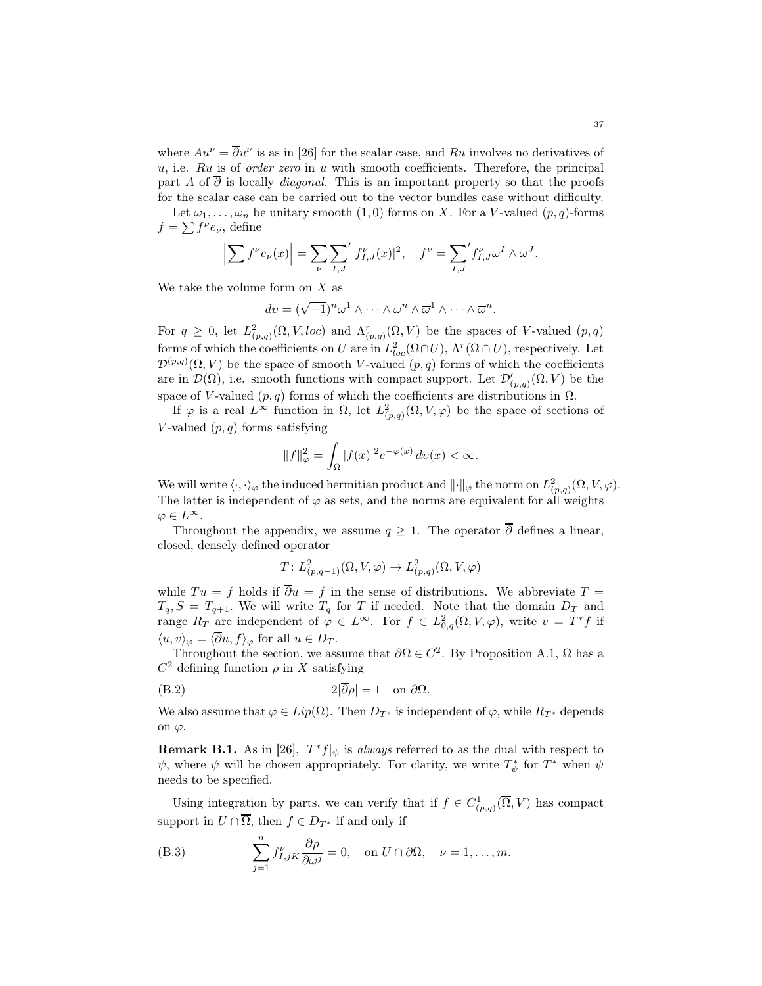where  $Au^{\nu} = \overline{\partial}u^{\nu}$  is as in [\[26\]](#page-43-10) for the scalar case, and Ru involves no derivatives of  $u$ , i.e.  $Ru$  is of *order zero* in  $u$  with smooth coefficients. Therefore, the principal part A of  $\overline{\partial}$  is locally *diagonal*. This is an important property so that the proofs for the scalar case can be carried out to the vector bundles case without difficulty.

Let  $\omega_1, \ldots, \omega_n$  be unitary smooth  $(1, 0)$  forms on X. For a V-valued  $(p, q)$ -forms  $f = \sum f^{\nu} e_{\nu}$ , define

$$
\left| \sum f^{\nu} e_{\nu}(x) \right| = \sum_{\nu} \sum_{I,J} \left| f_{I,J}^{\nu}(x) \right|^2, \quad f^{\nu} = \sum_{I,J} \left| f_{I,J}^{\nu} \omega^I \wedge \overline{\omega}^J \right|.
$$

We take the volume form on  $X$  as

$$
dv = (\sqrt{-1})^n \omega^1 \wedge \cdots \wedge \omega^n \wedge \overline{\omega}^1 \wedge \cdots \wedge \overline{\omega}^n.
$$

For  $q \geq 0$ , let  $L^2_{(p,q)}(\Omega, V, loc)$  and  $\Lambda^r_{(p,q)}(\Omega, V)$  be the spaces of V-valued  $(p,q)$ forms of which the coefficients on U are in  $L^2_{loc}(\Omega \cap U)$ ,  $\Lambda^r(\Omega \cap U)$ , respectively. Let  $\mathcal{D}^{(p,q)}(\Omega, V)$  be the space of smooth V-valued  $(p, q)$  forms of which the coefficients are in  $\mathcal{D}(\Omega)$ , i.e. smooth functions with compact support. Let  $\mathcal{D}'_{(p,q)}(\Omega, V)$  be the space of V-valued  $(p, q)$  forms of which the coefficients are distributions in  $\Omega$ .

If  $\varphi$  is a real  $L^{\infty}$  function in  $\Omega$ , let  $L^2_{(p,q)}(\Omega,V,\varphi)$  be the space of sections of V-valued  $(p, q)$  forms satisfying

$$
||f||_{\varphi}^{2} = \int_{\Omega} |f(x)|^{2} e^{-\varphi(x)} dv(x) < \infty.
$$

We will write  $\langle \cdot, \cdot \rangle_{\varphi}$  the induced hermitian product and  $\|\cdot\|_{\varphi}$  the norm on  $L^2_{(p,q)}(\Omega, V, \varphi)$ . The latter is independent of  $\varphi$  as sets, and the norms are equivalent for all weights  $\varphi \in L^{\infty}$ .

Throughout the appendix, we assume  $q \geq 1$ . The operator  $\overline{\partial}$  defines a linear, closed, densely defined operator

$$
T: L^2_{(p,q-1)}(\Omega, V, \varphi) \to L^2_{(p,q)}(\Omega, V, \varphi)
$$

while  $Tu = f$  holds if  $\overline{\partial}u = f$  in the sense of distributions. We abbreviate  $T =$  $T_q$ ,  $S = T_{q+1}$ . We will write  $T_q$  for T if needed. Note that the domain  $D_T$  and range  $R_T$  are independent of  $\varphi \in L^{\infty}$ . For  $f \in L^2_{0,q}(\Omega,V,\varphi)$ , write  $v = T^*f$  if  $\langle u, v \rangle_{\varphi} = \langle \overline{\partial} u, f \rangle_{\varphi}$  for all  $u \in D_T$ .

Throughout the section, we assume that  $\partial\Omega \in C^2$ . By Proposition [A.1,](#page-34-1)  $\Omega$  has a  $C^2$  defining function  $\rho$  in X satisfying

(B.2) 
$$
2|\overline{\partial}\rho|=1
$$
 on  $\partial\Omega$ .

We also assume that  $\varphi \in Lip(\Omega)$ . Then  $D_{T^*}$  is independent of  $\varphi$ , while  $R_{T^*}$  depends on  $\varphi$ .

**Remark B.1.** As in [\[26\]](#page-43-10),  $|T^*f|_{\psi}$  is *always* referred to as the dual with respect to  $\psi$ , where  $\psi$  will be chosen appropriately. For clarity, we write  $T^*_{\psi}$  for  $T^*$  when  $\psi$ needs to be specified.

Using integration by parts, we can verify that if  $f \in C^1_{(p,q)}(\overline{\Omega}, V)$  has compact support in  $U \cap \overline{\Omega}$ , then  $f \in D_{T^*}$  if and only if

(B.3) 
$$
\sum_{j=1}^{n} f_{I,jK}^{\nu} \frac{\partial \rho}{\partial \omega^{j}} = 0, \text{ on } U \cap \partial \Omega, \quad \nu = 1, ..., m.
$$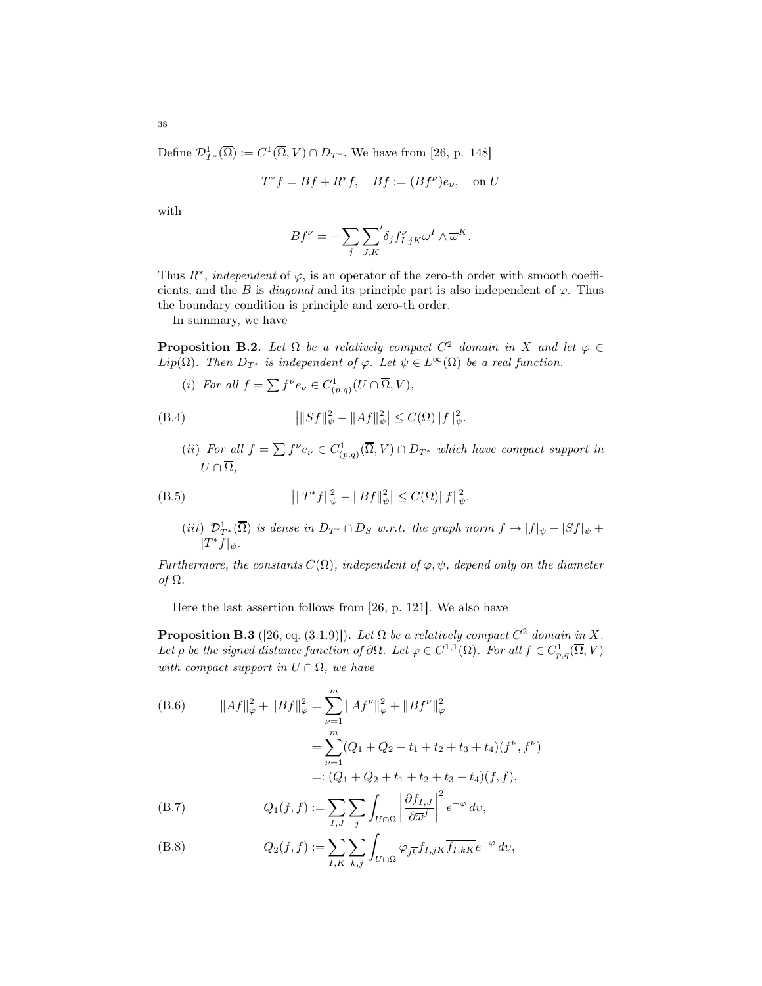Define  $\mathcal{D}_{T^*}^1(\overline{\Omega}) := C^1(\overline{\Omega}, V) \cap D_{T^*}$ . We have from [\[26,](#page-43-10) p. 148]

$$
T^*f = Bf + R^*f, \quad Bf := (Bf^{\nu})e_{\nu}, \quad \text{on } U
$$

with

$$
Bf^{\nu} = -\sum_{j} \sum_{J,K} \delta_j f_{I,jK}^{\nu} \omega^I \wedge \overline{\omega}^K.
$$

Thus  $R^*$ , *independent* of  $\varphi$ , is an operator of the zero-th order with smooth coefficients, and the B is *diagonal* and its principle part is also independent of  $\varphi$ . Thus the boundary condition is principle and zero-th order.

In summary, we have

**Proposition B.2.** Let  $\Omega$  be a relatively compact  $C^2$  domain in X and let  $\varphi \in$ Lip( $\Omega$ ). Then  $D_{T^*}$  is independent of  $\varphi$ . Let  $\psi \in L^{\infty}(\Omega)$  be a real function.

(i) For all 
$$
f = \sum f^{\nu} e_{\nu} \in C^1_{(p,q)}(U \cap \overline{\Omega}, V)
$$
,

<span id="page-37-0"></span>(B.4) 
$$
\left| \|Sf\|_{\psi}^2 - \|Af\|_{\psi}^2 \right| \leq C(\Omega) \|f\|_{\psi}^2.
$$

(ii) For all  $f = \sum f^{\nu} e_{\nu} \in C^1_{(p,q)}(\overline{\Omega}, V) \cap D_{T^*}$  which have compact support in  $U \cap \overline{\Omega}$ ,

<span id="page-37-1"></span>(B.5) 
$$
\left| \|T^* f\|_{\psi}^2 - \|Bf\|_{\psi}^2 \right| \leq C(\Omega) \|f\|_{\psi}^2.
$$

(*iii*) 
$$
\mathcal{D}_{T^*}^1(\overline{\Omega})
$$
 is dense in  $D_{T^*} \cap D_S$  w.r.t. the graph norm  $f \to |f|_{\psi} + |Sf|_{\psi} + |T^*f|_{\psi}$ .

Furthermore, the constants  $C(\Omega)$ , independent of  $\varphi, \psi$ , depend only on the diameter of Ω.

Here the last assertion follows from [\[26,](#page-43-10) p. 121]. We also have

**Proposition B.3** ([\[26,](#page-43-10) eq. (3.1.9)]). Let  $\Omega$  be a relatively compact  $C^2$  domain in X. Let  $\rho$  be the signed distance function of  $\partial\Omega$ . Let  $\varphi \in C^{1,1}(\Omega)$ . For all  $f \in C_{p,q}^1(\overline{\Omega}, V)$ with compact support in  $U \cap \overline{\Omega}$ , we have

(B.6) 
$$
||Af||_{\varphi}^{2} + ||Bf||_{\varphi}^{2} = \sum_{\nu=1}^{m} ||Af^{\nu}||_{\varphi}^{2} + ||Bf^{\nu}||_{\varphi}^{2}
$$

$$
= \sum_{\nu=1}^{m} (Q_{1} + Q_{2} + t_{1} + t_{2} + t_{3} + t_{4})(f^{\nu}, f^{\nu})
$$

$$
=: (Q_{1} + Q_{2} + t_{1} + t_{2} + t_{3} + t_{4})(f, f),
$$

(B.7) 
$$
Q_1(f, f) := \sum_{I, J} \sum_j \int_{U \cap \Omega} \left| \frac{\partial f_{I, J}}{\partial \overline{\omega}^j} \right|^2 e^{-\varphi} dv,
$$

(B.8) 
$$
Q_2(f, f) := \sum_{I,K} \sum_{k,j} \int_{U \cap \Omega} \varphi_{j\overline{k}} f_{I,jK} \overline{f_{I,kK}} e^{-\varphi} dv,
$$

38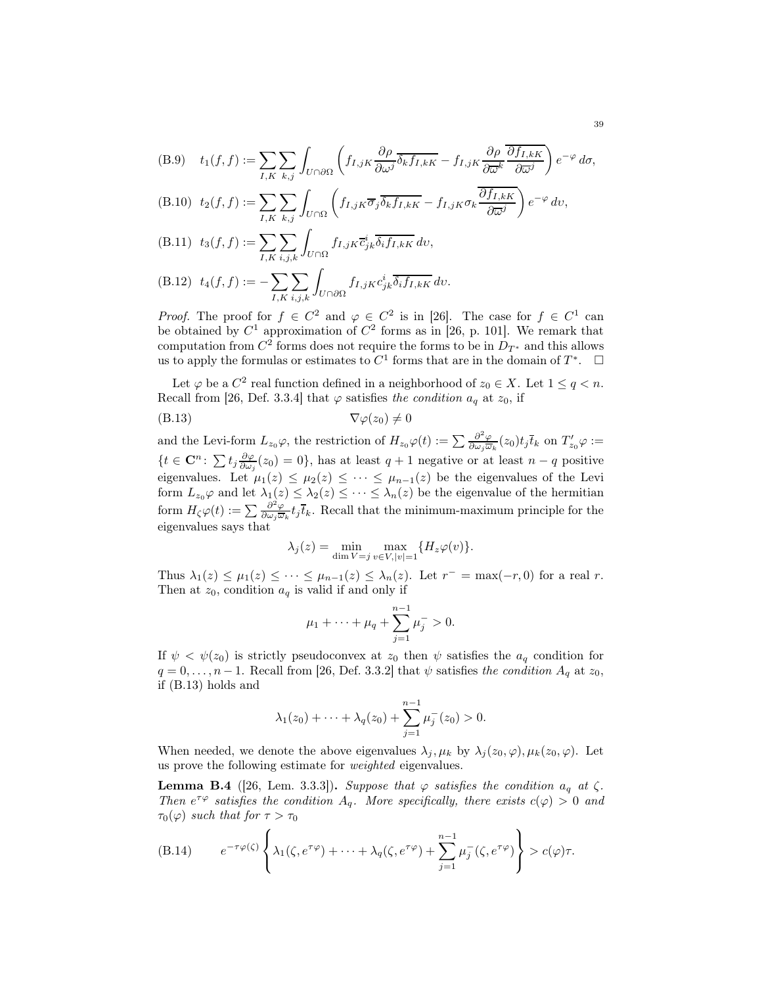(B.9) 
$$
t_1(f, f) := \sum_{I, K} \sum_{k,j} \int_{U \cap \partial \Omega} \left( f_{I,jK} \frac{\partial \rho}{\partial \omega^j} \overline{\delta_k f_{I,kK}} - f_{I,jK} \frac{\partial \rho}{\partial \overline{\omega^k}} \frac{\overline{\partial f_{I,kK}}}{\partial \overline{\omega}^j} \right) e^{-\varphi} d\sigma,
$$

(B.10) 
$$
t_2(f, f) := \sum_{I, K} \sum_{k,j} \int_{U \cap \Omega} \left( f_{I,jK} \overline{\sigma}_j \overline{\delta_k f_{I,kK}} - f_{I,jK} \sigma_k \frac{\partial f_{I,kK}}{\partial \overline{\omega}^j} \right) e^{-\varphi} dv
$$

(B.11) 
$$
t_3(f, f) := \sum_{I, K} \sum_{i,j,k} \int_{U \cap \Omega} f_{I,jK} \overline{c}_{jk}^i \overline{\delta_i f_{I,kK}} dv,
$$

(B.12) 
$$
t_4(f, f) := -\sum_{I,K} \sum_{i,j,k} \int_{U \cap \partial \Omega} f_{I,jK} c_{jk}^i \overline{\delta_i f_{I,kK}} dv.
$$

*Proof.* The proof for  $f \in C^2$  and  $\varphi \in C^2$  is in [\[26\]](#page-43-10). The case for  $f \in C^1$  can be obtained by  $C^1$  approximation of  $C^2$  forms as in [\[26,](#page-43-10) p. 101]. We remark that computation from  $C^2$  forms does not require the forms to be in  $D_{T^*}$  and this allows us to apply the formulas or estimates to  $C^1$  forms that are in the domain of  $T^*$ .  $\Box$ 

Let  $\varphi$  be a  $C^2$  real function defined in a neighborhood of  $z_0 \in X$ . Let  $1 \le q < n$ . Recall from [\[26,](#page-43-10) Def. 3.3.4] that  $\varphi$  satisfies the condition  $a_q$  at  $z_0$ , if

$$
\nabla \varphi(z_0) \neq 0
$$
 (B.13)

and the Levi-form  $L_{z_0}\varphi$ , the restriction of  $H_{z_0}\varphi(t) := \sum \frac{\partial^2 \varphi}{\partial \omega_i \omega}$  $\frac{\partial}{\partial \omega_j \overline{\omega}_k}(z_0) t_j \overline{t}_k$  on  $T'_{z_0} \varphi :=$  $\{t \in \mathbf{C}^n: \sum t_j \frac{\partial \varphi}{\partial \omega_j}(z_0) = 0\}$ , has at least  $q + 1$  negative or at least  $n - q$  positive eigenvalues. Let  $\mu_1(z) \leq \mu_2(z) \leq \cdots \leq \mu_{n-1}(z)$  be the eigenvalues of the Levi form  $L_{z_0} \varphi$  and let  $\lambda_1(z) \leq \lambda_2(z) \leq \cdots \leq \lambda_n(z)$  be the eigenvalue of the hermitian form  $H_{\zeta}\varphi(t):=\sum \frac{\partial^2 \varphi}{\partial \omega_i \overline{\omega}}$  $\frac{\partial^2 \varphi}{\partial \omega_j \overline{\omega}_k} t_j \overline{t}_k$ . Recall that the minimum-maximum principle for the eigenvalues says that

<span id="page-38-0"></span>
$$
\lambda_j(z) = \min_{\dim V = j} \max_{v \in V, |v| = 1} \{ H_z \varphi(v) \}.
$$

Thus  $\lambda_1(z) \leq \mu_1(z) \leq \cdots \leq \mu_{n-1}(z) \leq \lambda_n(z)$ . Let  $r^- = \max(-r, 0)$  for a real r. Then at  $z_0$ , condition  $a_q$  is valid if and only if

$$
\mu_1 + \cdots + \mu_q + \sum_{j=1}^{n-1} \mu_j^- > 0.
$$

If  $\psi < \psi(z_0)$  is strictly pseudoconvex at  $z_0$  then  $\psi$  satisfies the  $a_q$  condition for  $q = 0, \ldots, n - 1$ . Recall from [\[26,](#page-43-10) Def. 3.3.2] that  $\psi$  satisfies the condition  $A_q$  at  $z_0$ , if [\(B.13\)](#page-38-0) holds and

$$
\lambda_1(z_0) + \cdots + \lambda_q(z_0) + \sum_{j=1}^{n-1} \mu_j^-(z_0) > 0.
$$

When needed, we denote the above eigenvalues  $\lambda_j, \mu_k$  by  $\lambda_j(z_0, \varphi), \mu_k(z_0, \varphi)$ . Let us prove the following estimate for weighted eigenvalues.

**Lemma B.4** ([\[26,](#page-43-10) Lem. 3.3.3]). Suppose that  $\varphi$  satisfies the condition  $a_q$  at  $\zeta$ . Then  $e^{\tau \varphi}$  satisfies the condition  $A_q$ . More specifically, there exists  $c(\varphi) > 0$  and  $\tau_0(\varphi)$  such that for  $\tau > \tau_0$ 

<span id="page-38-1"></span>(B.14) 
$$
e^{-\tau \varphi(\zeta)} \left\{ \lambda_1(\zeta, e^{\tau \varphi}) + \dots + \lambda_q(\zeta, e^{\tau \varphi}) + \sum_{j=1}^{n-1} \mu_j^-(\zeta, e^{\tau \varphi}) \right\} > c(\varphi)\tau.
$$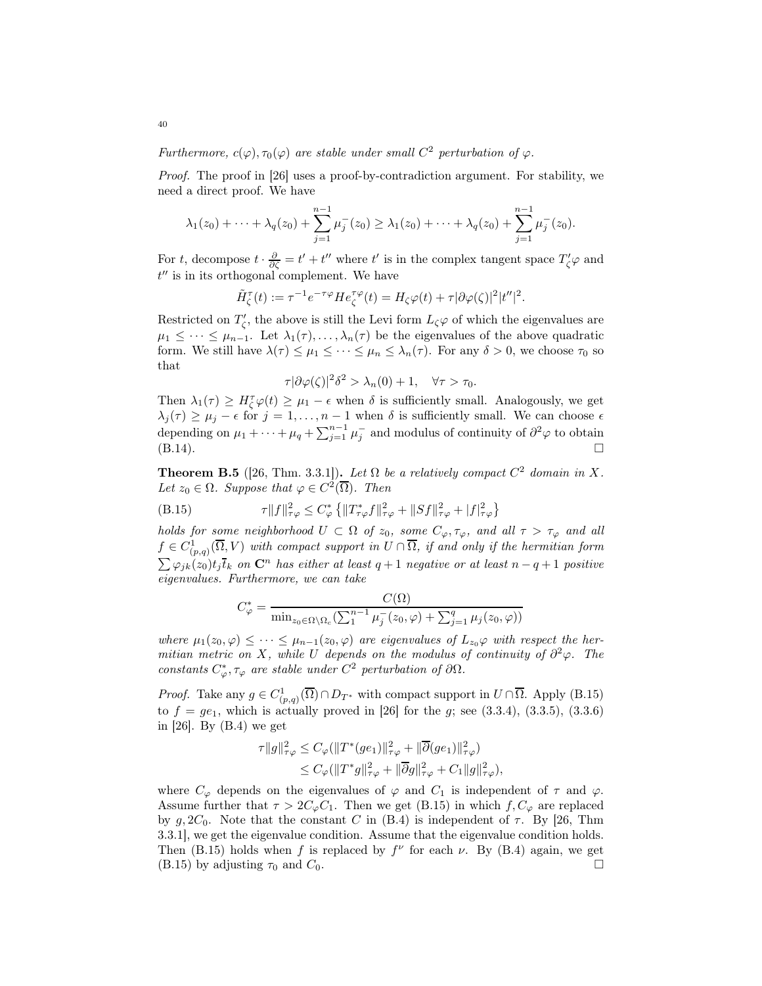Furthermore,  $c(\varphi), \tau_0(\varphi)$  are stable under small  $C^2$  perturbation of  $\varphi$ .

Proof. The proof in [\[26\]](#page-43-10) uses a proof-by-contradiction argument. For stability, we need a direct proof. We have

$$
\lambda_1(z_0)+\cdots+\lambda_q(z_0)+\sum_{j=1}^{n-1}\mu_j^-(z_0)\geq\lambda_1(z_0)+\cdots+\lambda_q(z_0)+\sum_{j=1}^{n-1}\mu_j^-(z_0).
$$

For t, decompose  $t \cdot \frac{\partial}{\partial \zeta} = t' + t''$  where t' is in the complex tangent space  $T'_{\zeta} \varphi$  and  $t''$  is in its orthogonal complement. We have

$$
\tilde{H}_{\zeta}^{\tau}(t) := \tau^{-1} e^{-\tau \varphi} H e_{\zeta}^{\tau \varphi}(t) = H_{\zeta} \varphi(t) + \tau |\partial \varphi(\zeta)|^2 |t''|^2.
$$

Restricted on  $T'_{\zeta}$ , the above is still the Levi form  $L_{\zeta}\varphi$  of which the eigenvalues are  $\mu_1 \leq \cdots \leq \mu_{n-1}$ . Let  $\lambda_1(\tau), \ldots, \lambda_n(\tau)$  be the eigenvalues of the above quadratic form. We still have  $\lambda(\tau) \leq \mu_1 \leq \cdots \leq \mu_n \leq \lambda_n(\tau)$ . For any  $\delta > 0$ , we choose  $\tau_0$  so that

$$
\tau |\partial \varphi(\zeta)|^2 \delta^2 > \lambda_n(0) + 1, \quad \forall \tau > \tau_0.
$$

Then  $\lambda_1(\tau) \geq H_\zeta^{\tau} \varphi(t) \geq \mu_1 - \epsilon$  when  $\delta$  is sufficiently small. Analogously, we get  $\lambda_j(\tau) \geq \mu_j - \epsilon$  for  $j = 1, \ldots, n-1$  when  $\delta$  is sufficiently small. We can choose  $\epsilon$ depending on  $\mu_1 + \cdots + \mu_q + \sum_{j=1}^{n-1} \mu_j^-$  and modulus of continuity of  $\partial^2 \varphi$  to obtain  $(B.14).$  $(B.14).$ 

<span id="page-39-1"></span>**Theorem B.5** ([\[26,](#page-43-10) Thm. 3.3.1]). Let  $\Omega$  be a relatively compact  $C^2$  domain in X. Let  $z_0 \in \Omega$ . Suppose that  $\varphi \in C^2(\overline{\Omega})$ . Then

(B.15) 
$$
\tau \|f\|_{\tau\varphi}^2 \leq C_{\varphi}^* \left\{ \|T_{\tau\varphi}^* f\|_{\tau\varphi}^2 + \|Sf\|_{\tau\varphi}^2 + |f|_{\tau\varphi}^2 \right\}
$$

holds for some neighborhood  $U \subset \Omega$  of  $z_0$ , some  $C_{\varphi}, \tau_{\varphi}$ , and all  $\tau > \tau_{\varphi}$  and all  $f \in C_{(p,q)}^{1}(\overline{\Omega}, V)$  with compact support in  $U \cap \overline{\Omega}$ , if and only if the hermitian form  $\sum \varphi_{jk}(z_0)t_j \overline{t_k}$  on  $\mathbb{C}^n$  has either at least  $q+1$  negative or at least  $n-q+1$  positive eigenvalues. Furthermore, we can take

<span id="page-39-0"></span>
$$
C_{\varphi}^* = \frac{C(\Omega)}{\min_{z_0 \in \Omega \setminus \Omega_c} (\sum_1^{n-1} \mu_j^-(z_0, \varphi) + \sum_{j=1}^q \mu_j(z_0, \varphi))}
$$

where  $\mu_1(z_0, \varphi) \leq \cdots \leq \mu_{n-1}(z_0, \varphi)$  are eigenvalues of  $L_{z_0} \varphi$  with respect the hermitian metric on X, while U depends on the modulus of continuity of  $\partial^2 \varphi$ . The constants  $C^*_{\varphi}, \tau_{\varphi}$  are stable under  $C^2$  perturbation of  $\partial\Omega$ .

*Proof.* Take any  $g \in C^1_{(p,q)}(\overline{\Omega}) \cap D_{T^*}$  with compact support in  $U \cap \overline{\Omega}$ . Apply [\(B.15\)](#page-39-0) to  $f = ge_1$ , which is actually proved in [\[26\]](#page-43-10) for the g; see (3.3.4), (3.3.5), (3.3.6) in [\[26\]](#page-43-10). By [\(B.4\)](#page-37-0) we get

$$
\tau ||g||_{\tau\varphi}^2 \leq C_{\varphi} (||T^*(ge_1)||_{\tau\varphi}^2 + ||\overline{\partial}(ge_1)||_{\tau\varphi}^2)
$$
  
 
$$
\leq C_{\varphi} (||T^*g||_{\tau\varphi}^2 + ||\overline{\partial}g||_{\tau\varphi}^2 + C_1 ||g||_{\tau\varphi}^2),
$$

where  $C_{\varphi}$  depends on the eigenvalues of  $\varphi$  and  $C_1$  is independent of  $\tau$  and  $\varphi$ . Assume further that  $\tau > 2C_{\varphi}C_1$ . Then we get [\(B.15\)](#page-39-0) in which  $f, C_{\varphi}$  are replaced by  $g, 2C_0$ . Note that the constant C in [\(B.4\)](#page-37-0) is independent of  $\tau$ . By [\[26,](#page-43-10) Thm 3.3.1], we get the eigenvalue condition. Assume that the eigenvalue condition holds. Then [\(B.15\)](#page-39-0) holds when f is replaced by  $f^{\nu}$  for each  $\nu$ . By [\(B.4\)](#page-37-0) again, we get  $(B.15)$  by adjusting  $\tau_0$  and  $C_0$ .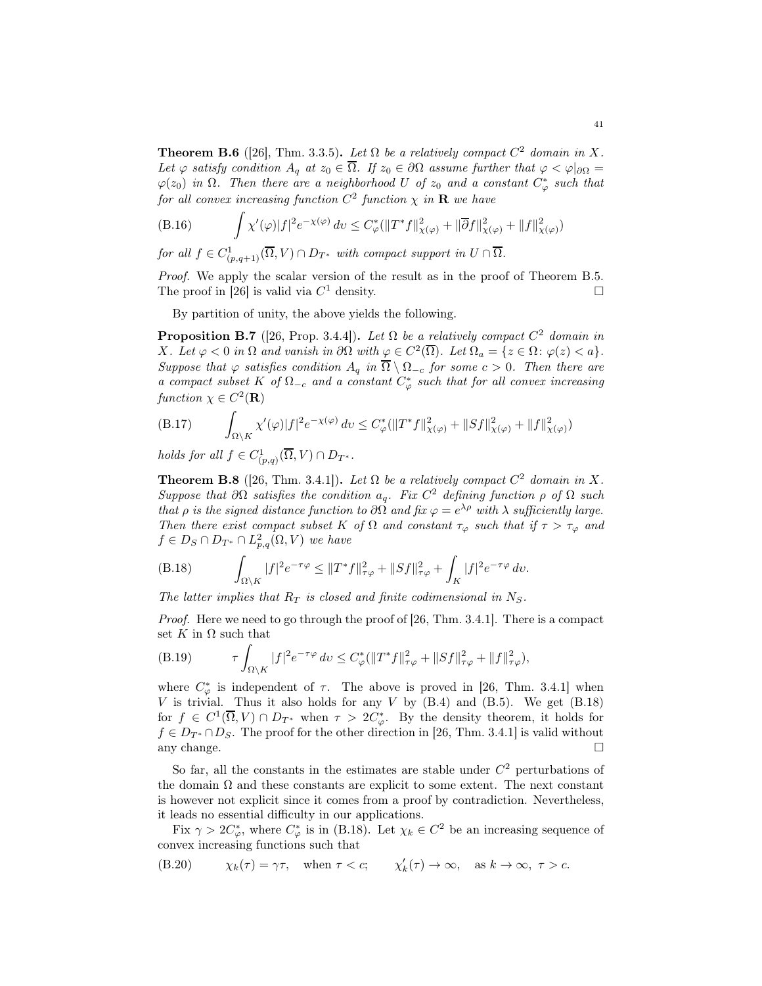**Theorem B.6** ([\[26\]](#page-43-10), Thm. 3.3.5). Let  $\Omega$  be a relatively compact  $C^2$  domain in X. Let  $\varphi$  satisfy condition  $A_q$  at  $z_0 \in \overline{\Omega}$ . If  $z_0 \in \partial\Omega$  assume further that  $\varphi < \varphi|_{\partial\Omega} =$  $\varphi(z_0)$  in  $\Omega$ . Then there are a neighborhood U of  $z_0$  and a constant  $C^*_\varphi$  such that for all convex increasing function  $C^2$  function  $\chi$  in  $\mathbf R$  we have

(B.16) 
$$
\int \chi'(\varphi) |f|^2 e^{-\chi(\varphi)} dv \leq C_{\varphi}^* (\|T^* f\|_{\chi(\varphi)}^2 + \|\overline{\partial} f\|_{\chi(\varphi)}^2 + \|f\|_{\chi(\varphi)}^2)
$$

for all  $f \in C^1_{(p,q+1)}(\overline{\Omega}, V) \cap D_{T^*}$  with compact support in  $U \cap \overline{\Omega}$ .

Proof. We apply the scalar version of the result as in the proof of Theorem [B.5.](#page-39-1) The proof in [\[26\]](#page-43-10) is valid via  $C^1$  density.

By partition of unity, the above yields the following.

<span id="page-40-1"></span>**Proposition B.7** ([\[26,](#page-43-10) Prop. 3.4.4]). Let  $\Omega$  be a relatively compact  $C^2$  domain in X. Let  $\varphi < 0$  in  $\Omega$  and vanish in  $\partial \Omega$  with  $\underline{\varphi} \in C^2(\overline{\Omega})$ . Let  $\Omega_a = \{z \in \Omega : \varphi(z) < a\}$ . Suppose that  $\varphi$  satisfies condition  $A_q$  in  $\overline{\Omega} \setminus \Omega_{-c}$  for some  $c > 0$ . Then there are a compact subset K of  $\Omega_{-c}$  and a constant  $C^*_{\varphi}$  such that for all convex increasing function  $\chi \in C^2(\mathbf{R})$ 

<span id="page-40-2"></span>(B.17) 
$$
\int_{\Omega \setminus K} \chi'(\varphi) |f|^2 e^{-\chi(\varphi)} dv \leq C_{\varphi}^* (\|T^* f\|_{\chi(\varphi)}^2 + \|Sf\|_{\chi(\varphi)}^2 + \|f\|_{\chi(\varphi)}^2)
$$

holds for all  $f \in C^1_{(p,q)}(\overline{\Omega}, V) \cap D_{T^*}.$ 

**Theorem B.8** ([\[26,](#page-43-10) Thm. 3.4.1]). Let  $\Omega$  be a relatively compact  $C^2$  domain in X. Suppose that  $\partial\Omega$  satisfies the condition  $a_q$ . Fix  $C^2$  defining function  $\rho$  of  $\Omega$  such that  $\rho$  is the signed distance function to  $\partial\Omega$  and fix  $\varphi = e^{\lambda \rho}$  with  $\lambda$  sufficiently large. Then there exist compact subset K of  $\Omega$  and constant  $\tau_{\varphi}$  such that if  $\tau > \tau_{\varphi}$  and  $f \in D_S \cap D_{T^*} \cap L^2_{p,q}(\Omega, V)$  we have

<span id="page-40-0"></span>(B.18) 
$$
\int_{\Omega \setminus K} |f|^2 e^{-\tau \varphi} \leq ||T^* f||^2_{\tau \varphi} + ||Sf||^2_{\tau \varphi} + \int_K |f|^2 e^{-\tau \varphi} dv.
$$

The latter implies that  $R_T$  is closed and finite codimensional in  $N_S$ .

Proof. Here we need to go through the proof of [\[26,](#page-43-10) Thm. 3.4.1]. There is a compact set K in  $\Omega$  such that

(B.19) 
$$
\tau \int_{\Omega \setminus K} |f|^2 e^{-\tau \varphi} dv \leq C_{\varphi}^* (\|T^* f\|_{\tau \varphi}^2 + \|Sf\|_{\tau \varphi}^2 + \|f\|_{\tau \varphi}^2),
$$

where  $C^*_{\varphi}$  is independent of  $\tau$ . The above is proved in [\[26,](#page-43-10) Thm. 3.4.1] when  $V$  is trivial. Thus it also holds for any  $V$  by  $(B.4)$  and  $(B.5)$ . We get  $(B.18)$ for  $f \in C^1(\overline{\Omega}, V) \cap D_{T^*}$  when  $\tau > 2C_{\varphi}^*$ . By the density theorem, it holds for  $f \in D_{T^*} \cap D_S$ . The proof for the other direction in [\[26,](#page-43-10) Thm. 3.4.1] is valid without any change. any change.  $\square$ 

So far, all the constants in the estimates are stable under  $C<sup>2</sup>$  perturbations of the domain  $\Omega$  and these constants are explicit to some extent. The next constant is however not explicit since it comes from a proof by contradiction. Nevertheless, it leads no essential difficulty in our applications.

Fix  $\gamma > 2C^*_{\varphi}$ , where  $C^*_{\varphi}$  is in [\(B.18\)](#page-40-0). Let  $\chi_k \in C^2$  be an increasing sequence of convex increasing functions such that

(B.20) 
$$
\chi_k(\tau) = \gamma \tau, \quad \text{when } \tau < c; \qquad \chi'_k(\tau) \to \infty, \quad \text{as } k \to \infty, \ \tau > c.
$$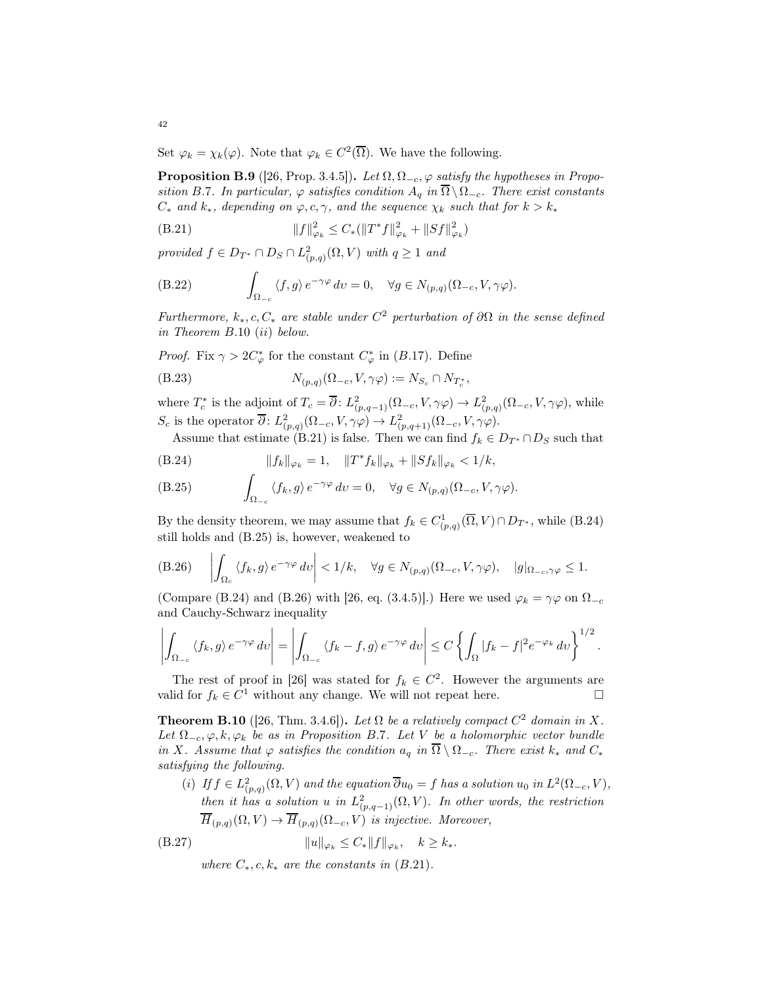Set  $\varphi_k = \chi_k(\varphi)$ . Note that  $\varphi_k \in C^2(\overline{\Omega})$ . We have the following.

<span id="page-41-5"></span>**Proposition B.9** ([\[26,](#page-43-10) Prop. 3.4.5]). Let  $\Omega$ ,  $\Omega_{-c}$ ,  $\varphi$  satisfy the hypotheses in Propo-sition [B.](#page-40-1)7. In particular,  $\varphi$  satisfies condition  $A_q$  in  $\overline{\Omega} \setminus \Omega_{-c}$ . There exist constants  $C_*$  and  $k_*$ , depending on  $\varphi, c, \gamma$ , and the sequence  $\chi_k$  such that for  $k > k_*$ 

<span id="page-41-1"></span>(B.21) 
$$
||f||_{\varphi_k}^2 \leq C_* (||T^*f||_{\varphi_k}^2 + ||Sf||_{\varphi_k}^2)
$$

provided  $f \in D_{T^*} \cap D_S \cap L^2_{(p,q)}(\Omega, V)$  with  $q \ge 1$  and

(B.22) 
$$
\int_{\Omega_{-c}} \langle f, g \rangle e^{-\gamma \varphi} dv = 0, \quad \forall g \in N_{(p,q)}(\Omega_{-c}, V, \gamma \varphi).
$$

Furthermore,  $k_*, c, C_*$  are stable under  $C^2$  perturbation of  $\partial\Omega$  in the sense defined in Theorem B.[10](#page-41-0) (ii) below.

*Proof.* Fix  $\gamma > 2C^*_{\varphi}$  for the constant  $C^*_{\varphi}$  in (B.[17\)](#page-40-2). Define

$$
(B.23) \t\t N_{(p,q)}(\Omega_{-c}, V, \gamma \varphi) := N_{S_c} \cap N_{T_c^*}
$$

where  $T_c^*$  is the adjoint of  $T_c = \overline{\partial}$ :  $L^2_{(p,q-1)}(\Omega_{-c}, V, \gamma \varphi) \to L^2_{(p,q)}(\Omega_{-c}, V, \gamma \varphi)$ , while S<sub>c</sub> is the operator  $\overline{\partial}$ :  $L^2_{(p,q)}(\Omega_{-c}, V, \gamma \varphi) \to L^2_{(p,q+1)}(\Omega_{-c}, V, \gamma \varphi)$ .

,

Assume that estimate [\(B.21\)](#page-41-1) is false. Then we can find  $f_k \in D_{T^*} \cap D_S$  such that

<span id="page-41-2"></span>
$$
(B.24) \t\t\t ||f_k||_{\varphi_k} = 1, \t ||T^*f_k||_{\varphi_k} + ||Sf_k||_{\varphi_k} < 1/k,
$$

<span id="page-41-3"></span>(B.25) 
$$
\int_{\Omega_{-c}} \langle f_k, g \rangle e^{-\gamma \varphi} dv = 0, \quad \forall g \in N_{(p,q)}(\Omega_{-c}, V, \gamma \varphi).
$$

By the density theorem, we may assume that  $f_k \in C^1_{(p,q)}(\overline{\Omega}, V) \cap D_{T^*}$ , while [\(B.24\)](#page-41-2) still holds and [\(B.25\)](#page-41-3) is, however, weakened to

<span id="page-41-4"></span>(B.26) 
$$
\left| \int_{\Omega_c} \langle f_k, g \rangle e^{-\gamma \varphi} dv \right| < 1/k, \quad \forall g \in N_{(p,q)}(\Omega_{-c}, V, \gamma \varphi), \quad |g|_{\Omega_{-c}, \gamma \varphi} \leq 1.
$$

(Compare [\(B.24\)](#page-41-2) and [\(B.26\)](#page-41-4) with [\[26,](#page-43-10) eq. (3.4.5)].) Here we used  $\varphi_k = \gamma \varphi$  on  $\Omega_{-c}$ and Cauchy-Schwarz inequality

$$
\left| \int_{\Omega_{-c}} \left\langle f_k, g \right\rangle e^{-\gamma \varphi} dv \right| = \left| \int_{\Omega_{-c}} \left\langle f_k - f, g \right\rangle e^{-\gamma \varphi} dv \right| \leq C \left\{ \int_{\Omega} |f_k - f|^2 e^{-\varphi_k} dv \right\}^{1/2}.
$$

The rest of proof in [\[26\]](#page-43-10) was stated for  $f_k \in C^2$ . However the arguments are valid for  $f_k \in C^1$  without any change. We will not repeat here.

<span id="page-41-0"></span>**Theorem B.10** ([\[26,](#page-43-10) Thm. 3.4.6]). Let  $\Omega$  be a relatively compact  $C^2$  domain in X. Let  $\Omega_{-c}, \varphi, k, \varphi_k$  be as in Proposition [B.](#page-40-1)7. Let V be a holomorphic vector bundle in X. Assume that  $\varphi$  satisfies the condition  $a_q$  in  $\overline{\Omega} \setminus \Omega_{-c}$ . There exist  $k_*$  and  $C_*$ satisfying the following.

(i) If  $f \in L^2_{(p,q)}(\Omega, V)$  and the equation  $\overline{\partial} u_0 = f$  has a solution  $u_0$  in  $L^2(\Omega_{-c}, V)$ , then it has a solution u in  $L^2_{(p,q-1)}(\Omega, V)$ . In other words, the restriction  $\overline{H}_{(p,q)}(\Omega, V) \to \overline{H}_{(p,q)}(\Omega_{-c}, V)$  is injective. Moreover,

$$
(B.27) \t\t\t ||u||_{\varphi_k} \le C_* ||f||_{\varphi_k}, \quad k \ge k_*.
$$

where  $C_*, c, k_*$  are the constants in  $(B.21)$  $(B.21)$ .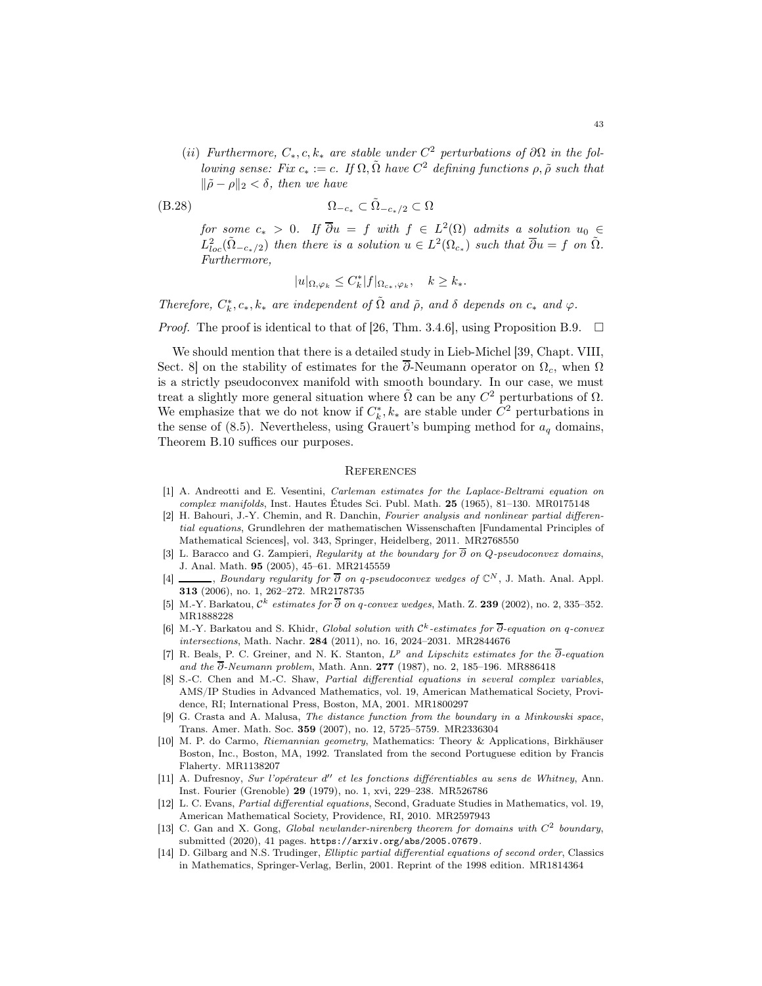(ii) Furthermore,  $C_*, c, k_*$  are stable under  $C^2$  perturbations of  $\partial\Omega$  in the following sense: Fix  $c_* := c$ . If  $\Omega$ ,  $\tilde{\Omega}$  have  $C^2$  defining functions  $\rho$ ,  $\tilde{\rho}$  such that  $\|\tilde{\rho} - \rho\|_2 < \delta$ , then we have

$$
\Omega_{-c_*} \subset \tilde{\Omega}_{-c_*/2} \subset \Omega
$$

for some  $c_* > 0$ . If  $\overline{\partial} u = f$  with  $f \in L^2(\Omega)$  admits a solution  $u_0 \in$  $L^2_{loc}(\tilde{\Omega}_{-c_*/2})$  then there is a solution  $u \in L^2(\Omega_{c_*})$  such that  $\overline{\partial}u = f$  on  $\tilde{\Omega}$ . Furthermore,

$$
|u|_{\Omega,\varphi_k} \leq C_k^* |f|_{\Omega_{c_*},\varphi_k}, \quad k \geq k_*.
$$

Therefore,  $C_k^*, c_*, k_*$  are independent of  $\tilde{\Omega}$  and  $\tilde{\rho}$ , and  $\delta$  depends on  $c_*$  and  $\varphi$ .

*Proof.* The proof is identical to that of [\[26,](#page-43-10) Thm. 3.4.6], using Proposition [B.9.](#page-41-5)  $\Box$ 

We should mention that there is a detailed study in Lieb-Michel [\[39,](#page-43-17) Chapt. VIII, Sect. 8] on the stability of estimates for the  $\overline{\partial}$ -Neumann operator on  $\Omega_c$ , when  $\Omega$ is a strictly pseudoconvex manifold with smooth boundary. In our case, we must treat a slightly more general situation where  $\tilde{\Omega}$  can be any  $C^2$  perturbations of  $\Omega$ . We emphasize that we do not know if  $C_k^*, k_*$  are stable under  $C^2$  perturbations in the sense of [\(8.5\)](#page-25-0). Nevertheless, using Grauert's bumping method for  $a<sub>q</sub>$  domains, Theorem [B.10](#page-41-0) suffices our purposes.

## **REFERENCES**

- <span id="page-42-12"></span>[1] A. Andreotti and E. Vesentini, Carleman estimates for the Laplace-Beltrami equation on complex manifolds, Inst. Hautes Études Sci. Publ. Math. 25 (1965), 81–130. [MR0175148](http://www.ams.org/mathscinet-getitem?mr=0175148)
- <span id="page-42-5"></span>[2] H. Bahouri, J.-Y. Chemin, and R. Danchin, Fourier analysis and nonlinear partial differential equations, Grundlehren der mathematischen Wissenschaften [Fundamental Principles of Mathematical Sciences], vol. 343, Springer, Heidelberg, 2011. [MR2768550](http://www.ams.org/mathscinet-getitem?mr=2768550)
- <span id="page-42-7"></span>[3] L. Baracco and G. Zampieri, Regularity at the boundary for  $\overline{\partial}$  on Q-pseudoconvex domains, J. Anal. Math. 95 (2005), 45–61. [MR2145559](http://www.ams.org/mathscinet-getitem?mr=2145559)
- <span id="page-42-8"></span>[4] , Boundary regularity for  $\overline{\partial}$  on q-pseudoconvex wedges of  $\mathbb{C}^N$ , J. Math. Anal. Appl. 313 (2006), no. 1, 262–272. [MR2178735](http://www.ams.org/mathscinet-getitem?mr=2178735)
- <span id="page-42-1"></span>[5] M.-Y. Barkatou,  $\mathcal{C}^k$  estimates for  $\overline{\partial}$  on q-convex wedges, Math. Z. 239 (2002), no. 2, 335–352. [MR1888228](http://www.ams.org/mathscinet-getitem?mr=1888228)
- <span id="page-42-2"></span>[6] M.-Y. Barkatou and S. Khidr, Global solution with  $\mathcal{C}^k$ -estimates for  $\overline{\partial}$ -equation on q-convex intersections, Math. Nachr. 284 (2011), no. 16, 2024–2031. [MR2844676](http://www.ams.org/mathscinet-getitem?mr=2844676)
- <span id="page-42-0"></span>[7] R. Beals, P. C. Greiner, and N. K. Stanton,  $L^p$  and Lipschitz estimates for the  $\overline{\partial}$ -equation and the  $\overline{\partial}$ -Neumann problem, Math. Ann. 277 (1987), no. 2, 185–196. [MR886418](http://www.ams.org/mathscinet-getitem?mr=886418)
- <span id="page-42-3"></span>[8] S.-C. Chen and M.-C. Shaw, Partial differential equations in several complex variables, AMS/IP Studies in Advanced Mathematics, vol. 19, American Mathematical Society, Providence, RI; International Press, Boston, MA, 2001. [MR1800297](http://www.ams.org/mathscinet-getitem?mr=1800297)
- <span id="page-42-9"></span>[9] G. Crasta and A. Malusa, The distance function from the boundary in a Minkowski space, Trans. Amer. Math. Soc. 359 (2007), no. 12, 5725–5759. [MR2336304](http://www.ams.org/mathscinet-getitem?mr=2336304)
- <span id="page-42-11"></span>[10] M. P. do Carmo, Riemannian geometry, Mathematics: Theory & Applications, Birkhäuser Boston, Inc., Boston, MA, 1992. Translated from the second Portuguese edition by Francis Flaherty. [MR1138207](http://www.ams.org/mathscinet-getitem?mr=1138207)
- <span id="page-42-6"></span>[11] A. Dufresnoy, Sur l'opérateur d'' et les fonctions différentiables au sens de Whitney, Ann. Inst. Fourier (Grenoble) 29 (1979), no. 1, xvi, 229–238. [MR526786](http://www.ams.org/mathscinet-getitem?mr=526786)
- [12] L. C. Evans, Partial differential equations, Second, Graduate Studies in Mathematics, vol. 19, American Mathematical Society, Providence, RI, 2010. [MR2597943](http://www.ams.org/mathscinet-getitem?mr=2597943)
- <span id="page-42-4"></span>[13] C. Gan and X. Gong, Global newlander-nirenberg theorem for domains with  $C<sup>2</sup>$  boundary, submitted (2020), 41 pages. <https://arxiv.org/abs/2005.07679>.
- <span id="page-42-10"></span>[14] D. Gilbarg and N.S. Trudinger, Elliptic partial differential equations of second order, Classics in Mathematics, Springer-Verlag, Berlin, 2001. Reprint of the 1998 edition. [MR1814364](http://www.ams.org/mathscinet-getitem?mr=1814364)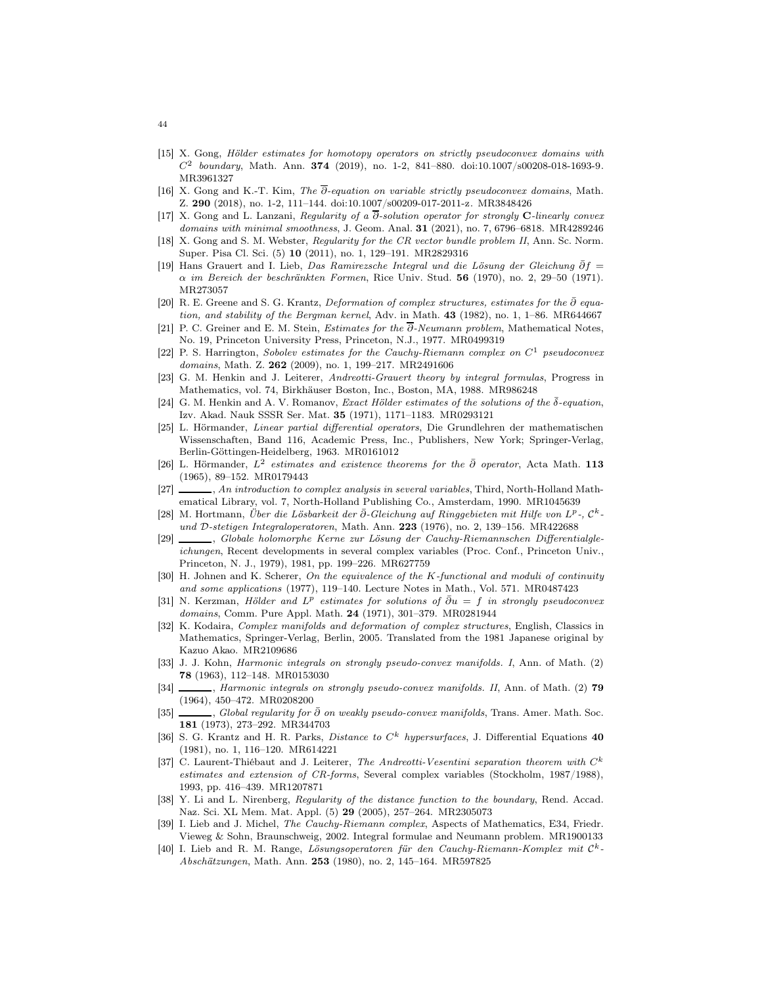- <span id="page-43-11"></span>[15] X. Gong, Hölder estimates for homotopy operators on strictly pseudoconvex domains with  $C^2$  boundary, Math. Ann. 374 (2019), no. 1-2, 841–880. [doi:10.1007/s00208-018-1693-9.](http://dx.doi.org/10.1007/s00208-018-1693-9) [MR3961327](http://www.ams.org/mathscinet-getitem?mr=3961327)
- <span id="page-43-18"></span>[16] X. Gong and K.-T. Kim, The ∂-equation on variable strictly pseudoconvex domains, Math. Z. 290 (2018), no. 1-2, 111–144. [doi:10.1007/s00209-017-2011-z.](http://dx.doi.org/10.1007/s00209-017-2011-z) [MR3848426](http://www.ams.org/mathscinet-getitem?mr=3848426)
- <span id="page-43-4"></span>[17] X. Gong and L. Lanzani, Regularity of a  $\overline{\partial}$ -solution operator for strongly C-linearly convex domains with minimal smoothness, J. Geom. Anal. **31** (2021), no. 7, 6796–6818. [MR4289246](http://www.ams.org/mathscinet-getitem?mr=4289246)
- <span id="page-43-15"></span>[18] X. Gong and S. M. Webster, Regularity for the CR vector bundle problem II, Ann. Sc. Norm. Super. Pisa Cl. Sci. (5) 10 (2011), no. 1, 129–191. [MR2829316](http://www.ams.org/mathscinet-getitem?mr=2829316)
- <span id="page-43-0"></span>[19] Hans Grauert and I. Lieb, Das Ramirezsche Integral und die Lösung der Gleichung  $\bar{\partial}f=$  $\alpha$  im Bereich der beschränkten Formen, Rice Univ. Stud. 56 (1970), no. 2, 29–50 (1971). [MR273057](http://www.ams.org/mathscinet-getitem?mr=273057)
- <span id="page-43-16"></span>[20] R. E. Greene and S. G. Krantz, Deformation of complex structures, estimates for the  $\bar{\partial}$  equa-tion, and stability of the Bergman kernel, Adv. in Math. 43 (1982), no. 1, 1-86. [MR644667](http://www.ams.org/mathscinet-getitem?mr=644667)
- <span id="page-43-7"></span>[21] P. C. Greiner and E. M. Stein, Estimates for the ∂-Neumann problem, Mathematical Notes, No. 19, Princeton University Press, Princeton, N.J., 1977. [MR0499319](http://www.ams.org/mathscinet-getitem?mr=0499319)
- <span id="page-43-22"></span>[22] P. S. Harrington, Sobolev estimates for the Cauchy-Riemann complex on  $C^1$  pseudoconvex domains, Math. Z. 262 (2009), no. 1, 199–217. [MR2491606](http://www.ams.org/mathscinet-getitem?mr=2491606)
- <span id="page-43-9"></span>[23] G. M. Henkin and J. Leiterer, Andreotti-Grauert theory by integral formulas, Progress in Mathematics, vol. 74, Birkhäuser Boston, Inc., Boston, MA, 1988. [MR986248](http://www.ams.org/mathscinet-getitem?mr=986248)
- <span id="page-43-2"></span>[24] G. M. Henkin and A. V. Romanov, Exact Hölder estimates of the solutions of the  $\bar{\delta}$ -equation, Izv. Akad. Nauk SSSR Ser. Mat. 35 (1971), 1171–1183. [MR0293121](http://www.ams.org/mathscinet-getitem?mr=0293121)
- [25] L. Hörmander, Linear partial differential operators, Die Grundlehren der mathematischen Wissenschaften, Band 116, Academic Press, Inc., Publishers, New York; Springer-Verlag, Berlin-Göttingen-Heidelberg, 1963. [MR0161012](http://www.ams.org/mathscinet-getitem?mr=0161012)
- <span id="page-43-10"></span>[26] L. Hörmander,  $L^2$  estimates and existence theorems for the  $\bar{\partial}$  operator, Acta Math. 113 (1965), 89–152. [MR0179443](http://www.ams.org/mathscinet-getitem?mr=0179443)
- <span id="page-43-19"></span>[27]  $\_\_\_\_\_$ , An introduction to complex analysis in several variables, Third, North-Holland Mathematical Library, vol. 7, North-Holland Publishing Co., Amsterdam, 1990. [MR1045639](http://www.ams.org/mathscinet-getitem?mr=1045639)
- <span id="page-43-12"></span>[28] M. Hortmann, Über die Lösbarkeit der ∂-Gleichung auf Ringgebieten mit Hilfe von L<sup>p</sup>-, C<sup>k</sup>-und D-stetigen Integraloperatoren, Math. Ann. 223 (1976), no. 2, 139-156. [MR422688](http://www.ams.org/mathscinet-getitem?mr=422688)
- <span id="page-43-13"></span>[29] , Globale holomorphe Kerne zur Lösung der Cauchy-Riemannschen Differentialgleichungen, Recent developments in several complex variables (Proc. Conf., Princeton Univ., Princeton, N. J., 1979), 1981, pp. 199–226. [MR627759](http://www.ams.org/mathscinet-getitem?mr=627759)
- <span id="page-43-14"></span>[30] H. Johnen and K. Scherer, On the equivalence of the K-functional and moduli of continuity and some applications (1977), 119–140. Lecture Notes in Math., Vol. 571. [MR0487423](http://www.ams.org/mathscinet-getitem?mr=0487423)
- <span id="page-43-1"></span>[31] N. Kerzman, Hölder and  $L^p$  estimates for solutions of  $\bar{\partial}u = f$  in strongly pseudoconvex domains, Comm. Pure Appl. Math. 24 (1971), 301-379. [MR0281944](http://www.ams.org/mathscinet-getitem?mr=0281944)
- <span id="page-43-20"></span>[32] K. Kodaira, Complex manifolds and deformation of complex structures, English, Classics in Mathematics, Springer-Verlag, Berlin, 2005. Translated from the 1981 Japanese original by Kazuo Akao. [MR2109686](http://www.ams.org/mathscinet-getitem?mr=2109686)
- <span id="page-43-5"></span>[33] J. J. Kohn, Harmonic integrals on strongly pseudo-convex manifolds. I, Ann. of Math. (2) 78 (1963), 112–148. [MR0153030](http://www.ams.org/mathscinet-getitem?mr=0153030)
- <span id="page-43-6"></span>[34] , Harmonic integrals on strongly pseudo-convex manifolds. II, Ann. of Math. (2) 79 (1964), 450–472. [MR0208200](http://www.ams.org/mathscinet-getitem?mr=0208200)
- <span id="page-43-21"></span>[35] , Global regularity for  $\bar{\partial}$  on weakly pseudo-convex manifolds, Trans. Amer. Math. Soc. 181 (1973), 273–292. [MR344703](http://www.ams.org/mathscinet-getitem?mr=344703)
- <span id="page-43-24"></span>[36] S. G. Krantz and H. R. Parks, *Distance to*  $C^k$  *hypersurfaces*, J. Differential Equations 40 (1981), no. 1, 116–120. [MR614221](http://www.ams.org/mathscinet-getitem?mr=614221)
- <span id="page-43-8"></span>[37] C. Laurent-Thiébaut and J. Leiterer, The Andreotti-Vesentini separation theorem with  $C<sup>k</sup>$ estimates and extension of CR-forms, Several complex variables (Stockholm, 1987/1988), 1993, pp. 416–439. [MR1207871](http://www.ams.org/mathscinet-getitem?mr=1207871)
- <span id="page-43-23"></span>[38] Y. Li and L. Nirenberg, Regularity of the distance function to the boundary, Rend. Accad. Naz. Sci. XL Mem. Mat. Appl. (5) 29 (2005), 257–264. [MR2305073](http://www.ams.org/mathscinet-getitem?mr=2305073)
- <span id="page-43-17"></span>[39] I. Lieb and J. Michel, The Cauchy-Riemann complex, Aspects of Mathematics, E34, Friedr. Vieweg & Sohn, Braunschweig, 2002. Integral formulae and Neumann problem. [MR1900133](http://www.ams.org/mathscinet-getitem?mr=1900133)
- <span id="page-43-3"></span>[40] I. Lieb and R. M. Range, Lösungsoperatoren für den Cauchy-Riemann-Komplex mit C<sup>k</sup>-Abschätzungen, Math. Ann. 253 (1980), no. 2, 145-164. [MR597825](http://www.ams.org/mathscinet-getitem?mr=597825)